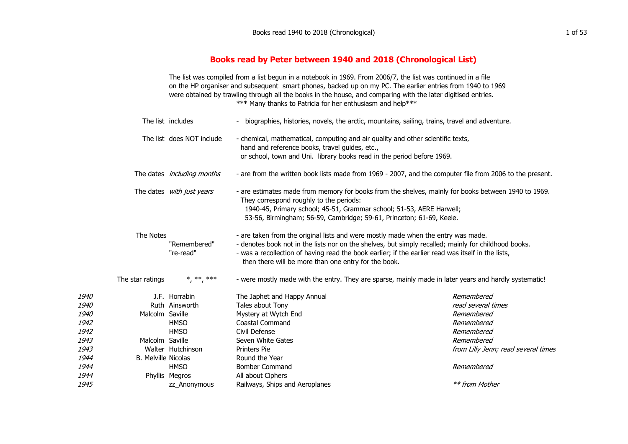## **Books read by Peter between 1940 and 2018 (Chronological List)**

The list was compiled from a list begun in a notebook in 1969. From 2006/7, the list was continued in a file on the HP organiser and subsequent smart phones, backed up on my PC. The earlier entries from 1940 to 1969 were obtained by trawling through all the books in the house, and comparing with the later digitised entries. \*\*\* Many thanks to Patricia for her enthusiasm and help\*\*\*

| The list includes |                            | biographies, histories, novels, the arctic, mountains, sailing, trains, travel and adventure. |                                                                                                                                                                                                                                                                    |                                     |  |
|-------------------|----------------------------|-----------------------------------------------------------------------------------------------|--------------------------------------------------------------------------------------------------------------------------------------------------------------------------------------------------------------------------------------------------------------------|-------------------------------------|--|
|                   | The list does NOT include  |                                                                                               | - chemical, mathematical, computing and air quality and other scientific texts,<br>hand and reference books, travel guides, etc.,                                                                                                                                  |                                     |  |
|                   |                            | or school, town and Uni. library books read in the period before 1969.                        |                                                                                                                                                                                                                                                                    |                                     |  |
|                   |                            | The dates <i>including months</i>                                                             | - are from the written book lists made from 1969 - 2007, and the computer file from 2006 to the present.                                                                                                                                                           |                                     |  |
|                   |                            | The dates with just years                                                                     | - are estimates made from memory for books from the shelves, mainly for books between 1940 to 1969.<br>They correspond roughly to the periods:                                                                                                                     |                                     |  |
|                   |                            |                                                                                               | 1940-45, Primary school; 45-51, Grammar school; 51-53, AERE Harwell;<br>53-56, Birmingham; 56-59, Cambridge; 59-61, Princeton; 61-69, Keele.                                                                                                                       |                                     |  |
|                   | The Notes                  |                                                                                               | - are taken from the original lists and were mostly made when the entry was made.                                                                                                                                                                                  |                                     |  |
|                   |                            | "Remembered"<br>"re-read"                                                                     | - denotes book not in the lists nor on the shelves, but simply recalled; mainly for childhood books.<br>- was a recollection of having read the book earlier; if the earlier read was itself in the lists,<br>then there will be more than one entry for the book. |                                     |  |
|                   | The star ratings           | *, **, ***                                                                                    | - were mostly made with the entry. They are sparse, mainly made in later years and hardly systematic!                                                                                                                                                              |                                     |  |
| <i>1940</i>       |                            | J.F. Horrabin                                                                                 | The Japhet and Happy Annual                                                                                                                                                                                                                                        | Remembered                          |  |
| 1940              |                            | Ruth Ainsworth                                                                                | Tales about Tony                                                                                                                                                                                                                                                   | read several times                  |  |
| 1940              | Malcolm Saville            |                                                                                               | Mystery at Wytch End                                                                                                                                                                                                                                               | Remembered                          |  |
| 1942              |                            | <b>HMSO</b>                                                                                   | <b>Coastal Command</b>                                                                                                                                                                                                                                             | Remembered                          |  |
| 1942              |                            | <b>HMSO</b>                                                                                   | Civil Defense                                                                                                                                                                                                                                                      | Remembered                          |  |
| 1943              | Malcolm Saville            |                                                                                               | Seven White Gates                                                                                                                                                                                                                                                  | Remembered                          |  |
| 1943              |                            | Walter Hutchinson                                                                             | <b>Printers Pie</b>                                                                                                                                                                                                                                                | from Lilly Jenn; read several times |  |
| 1944              | <b>B. Melville Nicolas</b> |                                                                                               | Round the Year                                                                                                                                                                                                                                                     |                                     |  |
| 1944              |                            | <b>HMSO</b>                                                                                   | <b>Bomber Command</b>                                                                                                                                                                                                                                              | Remembered                          |  |
| 1944              |                            | Phyllis Megros                                                                                | All about Ciphers                                                                                                                                                                                                                                                  |                                     |  |
| 1945              |                            | zz_Anonymous                                                                                  | Railways, Ships and Aeroplanes                                                                                                                                                                                                                                     | ** from Mother                      |  |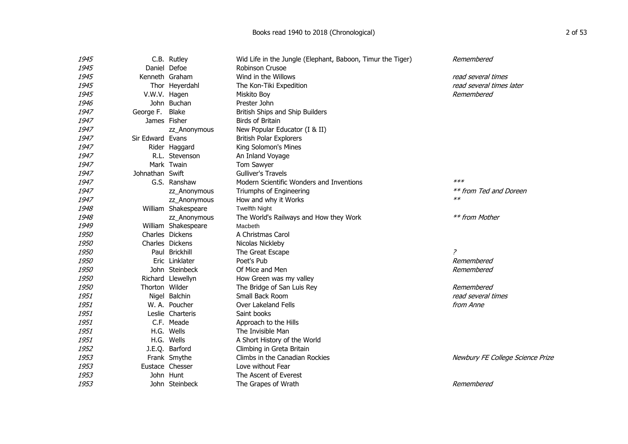| 1945 |                  | C.B. Rutley         | Wid Life in the Jungle (Elephant, Baboon, Timur the Tiger) | Remembered                       |
|------|------------------|---------------------|------------------------------------------------------------|----------------------------------|
| 1945 | Daniel Defoe     |                     | <b>Robinson Crusoe</b>                                     |                                  |
| 1945 | Kenneth Graham   |                     | Wind in the Willows                                        | read several times               |
| 1945 |                  | Thor Heyerdahl      | The Kon-Tiki Expedition                                    | read several times later         |
| 1945 | V.W.V. Hagen     |                     | Miskito Boy                                                | Remembered                       |
| 1946 |                  | John Buchan         | Prester John                                               |                                  |
| 1947 | George F.        | Blake               | British Ships and Ship Builders                            |                                  |
| 1947 | James Fisher     |                     | Birds of Britain                                           |                                  |
| 1947 |                  | zz_Anonymous        | New Popular Educator (I & II)                              |                                  |
| 1947 | Sir Edward Evans |                     | <b>British Polar Explorers</b>                             |                                  |
| 1947 |                  | Rider Haggard       | King Solomon's Mines                                       |                                  |
| 1947 |                  | R.L. Stevenson      | An Inland Voyage                                           |                                  |
| 1947 |                  | Mark Twain          | Tom Sawyer                                                 |                                  |
| 1947 | Johnathan Swift  |                     | <b>Gulliver's Travels</b>                                  |                                  |
| 1947 |                  | G.S. Ranshaw        | Modern Scientific Wonders and Inventions                   | $***$                            |
| 1947 |                  | zz_Anonymous        | Triumphs of Engineering                                    | ** from Ted and Doreen           |
| 1947 |                  | zz_Anonymous        | How and why it Works                                       | $**$                             |
| 1948 |                  | William Shakespeare | <b>Twelfth Night</b>                                       |                                  |
| 1948 |                  | zz_Anonymous        | The World's Railways and How they Work                     | ** from Mother                   |
| 1949 |                  | William Shakespeare | Macbeth                                                    |                                  |
| 1950 |                  | Charles Dickens     | A Christmas Carol                                          |                                  |
| 1950 |                  | Charles Dickens     | Nicolas Nickleby                                           |                                  |
| 1950 |                  | Paul Brickhill      | The Great Escape                                           | 2                                |
| 1950 |                  | Eric Linklater      | Poet's Pub                                                 | Remembered                       |
| 1950 |                  | John Steinbeck      | Of Mice and Men                                            | Remembered                       |
| 1950 |                  | Richard Llewellyn   | How Green was my valley                                    |                                  |
| 1950 | Thorton Wilder   |                     | The Bridge of San Luis Rey                                 | Remembered                       |
| 1951 |                  | Nigel Balchin       | Small Back Room                                            | read several times               |
| 1951 |                  | W. A. Poucher       | Over Lakeland Fells                                        | from Anne                        |
| 1951 |                  | Leslie Charteris    | Saint books                                                |                                  |
| 1951 |                  | C.F. Meade          | Approach to the Hills                                      |                                  |
| 1951 |                  | H.G. Wells          | The Invisible Man                                          |                                  |
| 1951 |                  | H.G. Wells          | A Short History of the World                               |                                  |
| 1952 |                  | J.E.Q. Barford      | Climbing in Greta Britain                                  |                                  |
| 1953 |                  | Frank Smythe        | Climbs in the Canadian Rockies                             | Newbury FE College Science Prize |
| 1953 |                  | Eustace Chesser     | Love without Fear                                          |                                  |
| 1953 |                  | John Hunt           | The Ascent of Everest                                      |                                  |
| 1953 |                  | John Steinbeck      | The Grapes of Wrath                                        | Remembered                       |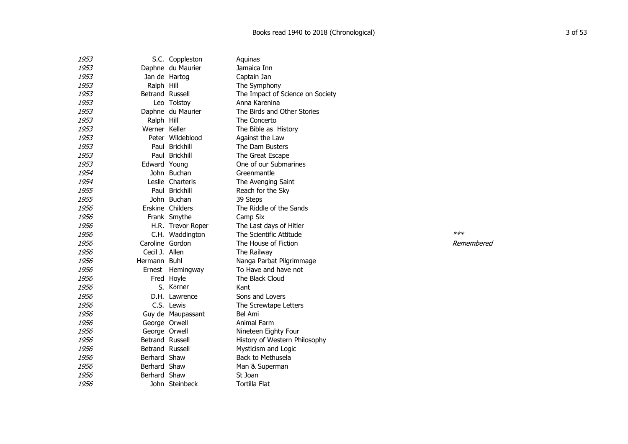| 1953 |                 | S.C. Coppleston   | Aguinas                          |            |
|------|-----------------|-------------------|----------------------------------|------------|
| 1953 |                 | Daphne du Maurier | Jamaica Inn                      |            |
| 1953 |                 | Jan de Hartog     | Captain Jan                      |            |
| 1953 | Ralph Hill      |                   | The Symphony                     |            |
| 1953 | Betrand Russell |                   | The Impact of Science on Society |            |
| 1953 |                 | Leo Tolstoy       | Anna Karenina                    |            |
| 1953 |                 | Daphne du Maurier | The Birds and Other Stories      |            |
| 1953 | Ralph Hill      |                   | The Concerto                     |            |
| 1953 | Werner Keller   |                   | The Bible as History             |            |
| 1953 |                 | Peter Wildeblood  | Against the Law                  |            |
| 1953 |                 | Paul Brickhill    | The Dam Busters                  |            |
| 1953 |                 | Paul Brickhill    | The Great Escape                 |            |
| 1953 | Edward Young    |                   | One of our Submarines            |            |
| 1954 |                 | John Buchan       | Greenmantle                      |            |
| 1954 |                 | Leslie Charteris  | The Avenging Saint               |            |
| 1955 |                 | Paul Brickhill    | Reach for the Sky                |            |
| 1955 |                 | John Buchan       | 39 Steps                         |            |
| 1956 |                 | Erskine Childers  | The Riddle of the Sands          |            |
| 1956 |                 | Frank Smythe      | Camp Six                         |            |
| 1956 |                 | H.R. Trevor Roper | The Last days of Hitler          |            |
| 1956 |                 | C.H. Waddington   | The Scientific Attitude          | $***$      |
| 1956 | Caroline Gordon |                   | The House of Fiction             | Remembered |
| 1956 | Cecil J. Allen  |                   | The Railway                      |            |
| 1956 | Hermann Buhl    |                   | Nanga Parbat Pilgrimmage         |            |
| 1956 |                 | Ernest Hemingway  | To Have and have not             |            |
| 1956 |                 | Fred Hoyle        | The Black Cloud                  |            |
| 1956 |                 | S. Körner         | Kant                             |            |
| 1956 |                 | D.H. Lawrence     | Sons and Lovers                  |            |
| 1956 |                 | C.S. Lewis        | The Screwtape Letters            |            |
| 1956 |                 | Guy de Maupassant | Bel Ami                          |            |
| 1956 | George Orwell   |                   | Animal Farm                      |            |
| 1956 | George Orwell   |                   | Nineteen Eighty Four             |            |
| 1956 | Betrand Russell |                   | History of Western Philosophy    |            |
| 1956 | Betrand Russell |                   | Mysticism and Logic              |            |
| 1956 | Berhard Shaw    |                   | Back to Methusela                |            |
| 1956 | Berhard Shaw    |                   | Man & Superman                   |            |
| 1956 | Berhard Shaw    |                   | St Joan                          |            |
| 1956 |                 | John Steinbeck    | <b>Tortilla Flat</b>             |            |
|      |                 |                   |                                  |            |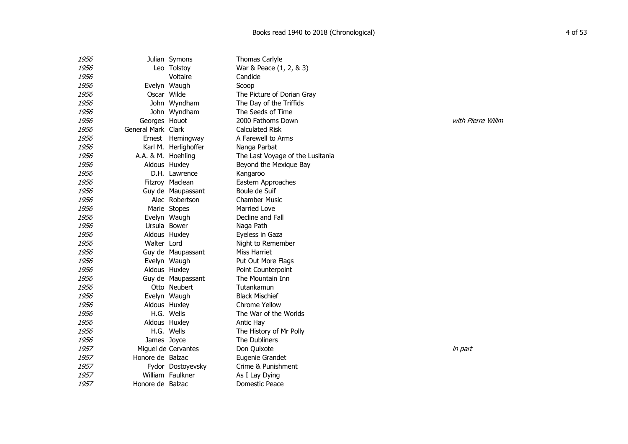| 1956 |                    | Julian Symons        | Thomas Carlyle                   |         |
|------|--------------------|----------------------|----------------------------------|---------|
| 1956 |                    | Leo Tolstoy          | War & Peace (1, 2, & 3)          |         |
| 1956 |                    | Voltaire             | Candide                          |         |
| 1956 |                    | Evelyn Waugh         | Scoop                            |         |
| 1956 | Oscar Wilde        |                      | The Picture of Dorian Gray       |         |
| 1956 |                    | John Wyndham         | The Day of the Triffids          |         |
| 1956 |                    | John Wyndham         | The Seeds of Time                |         |
| 1956 | Georges Houot      |                      | 2000 Fathoms Down                | with Pi |
| 1956 | General Mark Clark |                      | <b>Calculated Risk</b>           |         |
| 1956 |                    | Ernest Hemingway     | A Farewell to Arms               |         |
| 1956 |                    | Karl M. Herlighoffer | Nanga Parbat                     |         |
| 1956 | A.A. & M. Hoehling |                      | The Last Voyage of the Lusitania |         |
| 1956 |                    | Aldous Huxley        | Beyond the Mexique Bay           |         |
| 1956 |                    | D.H. Lawrence        | Kangaroo                         |         |
| 1956 |                    | Fitzroy Maclean      | Eastern Approaches               |         |
| 1956 |                    | Guy de Maupassant    | Boule de Suif                    |         |
| 1956 |                    | Alec Robertson       | <b>Chamber Music</b>             |         |
| 1956 |                    | Marie Stopes         | <b>Married Love</b>              |         |
| 1956 |                    | Evelyn Waugh         | Decline and Fall                 |         |
| 1956 |                    | Ursula Bower         | Naga Path                        |         |
| 1956 |                    | Aldous Huxley        | Eyeless in Gaza                  |         |
| 1956 | Walter Lord        |                      | Night to Remember                |         |
| 1956 |                    | Guy de Maupassant    | Miss Harriet                     |         |
| 1956 |                    | Evelyn Waugh         | Put Out More Flags               |         |
| 1956 |                    | Aldous Huxley        | Point Counterpoint               |         |
| 1956 |                    | Guy de Maupassant    | The Mountain Inn                 |         |
| 1956 |                    | Otto Neubert         | Tutankamun                       |         |
| 1956 |                    | Evelyn Waugh         | <b>Black Mischief</b>            |         |
| 1956 |                    | Aldous Huxley        | <b>Chrome Yellow</b>             |         |
| 1956 |                    | H.G. Wells           | The War of the Worlds            |         |
| 1956 |                    | Aldous Huxley        | Antic Hay                        |         |
| 1956 |                    | H.G. Wells           | The History of Mr Polly          |         |
| 1956 | James Joyce        |                      | The Dubliners                    |         |
| 1957 |                    | Miguel de Cervantes  | Don Quixote                      | in part |
| 1957 | Honore de Balzac   |                      | Eugenie Grandet                  |         |
| 1957 |                    | Fydor Dostoyevsky    | Crime & Punishment               |         |
| 1957 |                    | William Faulkner     | As I Lay Dying                   |         |
| 1957 | Honore de Balzac   |                      | Domestic Peace                   |         |

with Pierre Willm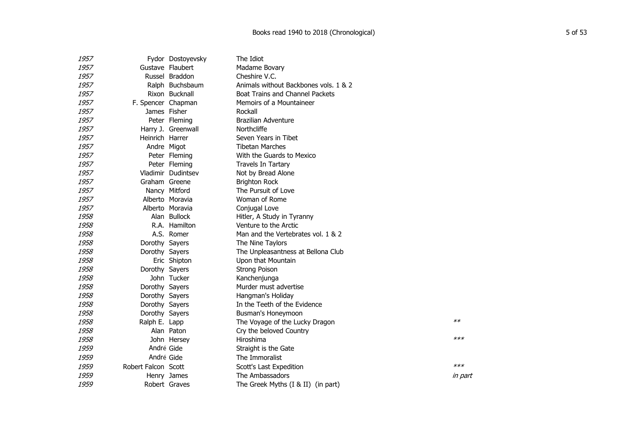| 1957 |                     | Fydor Dostoyevsky  | The Idiot                              |         |
|------|---------------------|--------------------|----------------------------------------|---------|
| 1957 |                     | Gustave Flaubert   | Madame Bovary                          |         |
| 1957 |                     | Russel Braddon     | Cheshire V.C.                          |         |
| 1957 |                     | Ralph Buchsbaum    | Animals without Backbones vols, 1 & 2  |         |
| 1957 |                     | Rixon Bucknall     | <b>Boat Trains and Channel Packets</b> |         |
| 1957 | F. Spencer Chapman  |                    | Memoirs of a Mountaineer               |         |
| 1957 |                     | James Fisher       | Rockall                                |         |
| 1957 |                     | Peter Fleming      | <b>Brazilian Adventure</b>             |         |
| 1957 |                     | Harry J. Greenwall | Northcliffe                            |         |
| 1957 | Heinrich Harrer     |                    | Seven Years in Tibet                   |         |
| 1957 |                     | Andre Migot        | <b>Tibetan Marches</b>                 |         |
| 1957 |                     | Peter Fleming      | With the Guards to Mexico              |         |
| 1957 |                     | Peter Fleming      | Travels In Tartary                     |         |
| 1957 |                     | Vladimir Dudintsev | Not by Bread Alone                     |         |
| 1957 | Graham Greene       |                    | <b>Brighton Rock</b>                   |         |
| 1957 |                     | Nancy Mitford      | The Pursuit of Love                    |         |
| 1957 |                     | Alberto Moravia    | Woman of Rome                          |         |
| 1957 |                     | Alberto Moravia    | Conjugal Love                          |         |
| 1958 |                     | Alan Bullock       | Hitler, A Study in Tyranny             |         |
| 1958 |                     | R.A. Hamilton      | Venture to the Arctic                  |         |
| 1958 |                     | A.S. Romer         | Man and the Vertebrates vol. 1 & 2     |         |
| 1958 | Dorothy Sayers      |                    | The Nine Taylors                       |         |
| 1958 | Dorothy Sayers      |                    | The Unpleasantness at Bellona Club     |         |
| 1958 |                     | Eric Shipton       | Upon that Mountain                     |         |
| 1958 | Dorothy Sayers      |                    | <b>Strong Poison</b>                   |         |
| 1958 |                     | John Tucker        | Kanchenjunga                           |         |
| 1958 | Dorothy Sayers      |                    | Murder must advertise                  |         |
| 1958 | Dorothy Sayers      |                    | Hangman's Holiday                      |         |
| 1958 | Dorothy Sayers      |                    | In the Teeth of the Evidence           |         |
| 1958 | Dorothy Sayers      |                    | Busman's Honeymoon                     |         |
| 1958 | Ralph E. Lapp       |                    | The Voyage of the Lucky Dragon         | $**$    |
| 1958 |                     | Alan Paton         | Cry the beloved Country                |         |
| 1958 |                     | John Hersey        | Hiroshima                              | $***$   |
| 1959 | André Gide          |                    | Straight is the Gate                   |         |
| 1959 | André Gide          |                    | The Immoralist                         |         |
| 1959 | Robert Falcon Scott |                    | Scott's Last Expedition                | $***$   |
| 1959 |                     | Henry James        | The Ambassadors                        | in part |
| 1959 |                     | Robert Graves      | The Greek Myths (I & II) (in part)     |         |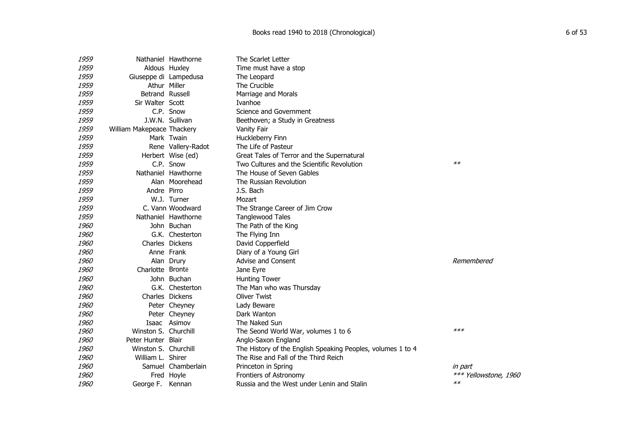| 1959        |                            | Nathaniel Hawthorne | The Scarlet Letter                                          |                       |
|-------------|----------------------------|---------------------|-------------------------------------------------------------|-----------------------|
| 1959        |                            | Aldous Huxley       | Time must have a stop                                       |                       |
| 1959        | Giuseppe di Lampedusa      |                     | The Leopard                                                 |                       |
| 1959        |                            | Athur Miller        | The Crucible                                                |                       |
| <i>1959</i> | Betrand Russell            |                     | Marriage and Morals                                         |                       |
| 1959        | Sir Walter Scott           |                     | Ivanhoe                                                     |                       |
| 1959        |                            | C.P. Snow           | Science and Government                                      |                       |
| 1959        |                            | J.W.N. Sullivan     | Beethoven; a Study in Greatness                             |                       |
| 1959        | William Makepeace Thackery |                     | Vanity Fair                                                 |                       |
| 1959        |                            | Mark Twain          | Huckleberry Finn                                            |                       |
| 1959        |                            | Rene Vallery-Radot  | The Life of Pasteur                                         |                       |
| 1959        |                            | Herbert Wise (ed)   | Great Tales of Terror and the Supernatural                  |                       |
| 1959        |                            | C.P. Snow           | Two Cultures and the Scientific Revolution                  | $**$                  |
| 1959        |                            | Nathaniel Hawthorne | The House of Seven Gables                                   |                       |
| <i>1959</i> |                            | Alan Moorehead      | The Russian Revolution                                      |                       |
| 1959        | Andre Pirro                |                     | J.S. Bach                                                   |                       |
| 1959        |                            | W.J. Turner         | Mozart                                                      |                       |
| 1959        |                            | C. Vann Woodward    | The Strange Career of Jim Crow                              |                       |
| 1959        |                            | Nathaniel Hawthorne | <b>Tanglewood Tales</b>                                     |                       |
| 1960        |                            | John Buchan         | The Path of the King                                        |                       |
| 1960        |                            | G.K. Chesterton     | The Flying Inn                                              |                       |
| <i>1960</i> |                            | Charles Dickens     | David Copperfield                                           |                       |
| <i>1960</i> |                            | Anne Frank          | Diary of a Young Girl                                       |                       |
| <i>1960</i> |                            | Alan Drury          | Advise and Consent                                          | Remembered            |
| 1960        | Charlotte Brontë           |                     | Jane Eyre                                                   |                       |
| 1960        |                            | John Buchan         | <b>Hunting Tower</b>                                        |                       |
| <i>1960</i> |                            | G.K. Chesterton     | The Man who was Thursday                                    |                       |
| <i>1960</i> |                            | Charles Dickens     | <b>Oliver Twist</b>                                         |                       |
| <i>1960</i> |                            | Peter Cheyney       | Lady Beware                                                 |                       |
| 1960        |                            | Peter Cheyney       | Dark Wanton                                                 |                       |
| 1960        |                            | Isaac Asimov        | The Naked Sun                                               |                       |
| 1960        | Winston S. Churchill       |                     | The Seond World War, volumes 1 to 6                         | $***$                 |
| 1960        | Peter Hunter Blair         |                     | Anglo-Saxon England                                         |                       |
| 1960        | Winston S. Churchill       |                     | The History of the English Speaking Peoples, volumes 1 to 4 |                       |
| 1960        | William L. Shirer          |                     | The Rise and Fall of the Third Reich                        |                       |
| <i>1960</i> |                            | Samuel Chamberlain  | Princeton in Spring                                         | in part               |
| <i>1960</i> |                            | Fred Hoyle          | Frontiers of Astronomy                                      | *** Yellowstone, 1960 |
| <i>1960</i> | George F.                  | Kennan              | Russia and the West under Lenin and Stalin                  | $**$                  |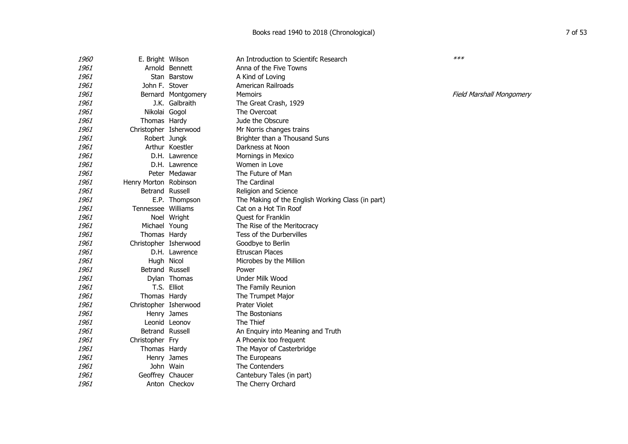| <i>1960</i> | E. Bright Wilson      |                    | An Introduction to Scientifc Research             | $***$                           |
|-------------|-----------------------|--------------------|---------------------------------------------------|---------------------------------|
| 1961        |                       | Arnold Bennett     | Anna of the Five Towns                            |                                 |
| 1961        |                       | Stan Barstow       | A Kind of Loving                                  |                                 |
| 1961        | John F. Stover        |                    | American Railroads                                |                                 |
| 1961        |                       | Bernard Montgomery | <b>Memoirs</b>                                    | <b>Field Marshall Mongomery</b> |
| 1961        |                       | J.K. Galbraith     | The Great Crash, 1929                             |                                 |
| 1961        | Nikolai Gogol         |                    | The Overcoat                                      |                                 |
| 1961        | Thomas Hardy          |                    | Jude the Obscure                                  |                                 |
| 1961        | Christopher Isherwood |                    | Mr Norris changes trains                          |                                 |
| 1961        | Robert Jungk          |                    | Brighter than a Thousand Suns                     |                                 |
| 1961        |                       | Arthur Koestler    | Darkness at Noon                                  |                                 |
| 1961        |                       | D.H. Lawrence      | Mornings in Mexico                                |                                 |
| 1961        |                       | D.H. Lawrence      | Women in Love                                     |                                 |
| 1961        |                       | Peter Medawar      | The Future of Man                                 |                                 |
| 1961        | Henry Morton Robinson |                    | The Cardinal                                      |                                 |
| 1961        | Betrand Russell       |                    | Religion and Science                              |                                 |
| 1961        |                       | E.P. Thompson      | The Making of the English Working Class (in part) |                                 |
| 1961        | Tennessee Williams    |                    | Cat on a Hot Tin Roof                             |                                 |
| 1961        |                       | Noel Wright        | Quest for Franklin                                |                                 |
| 1961        | Michael Young         |                    | The Rise of the Meritocracy                       |                                 |
| 1961        | Thomas Hardy          |                    | Tess of the Durbervilles                          |                                 |
| 1961        | Christopher Isherwood |                    | Goodbye to Berlin                                 |                                 |
| 1961        |                       | D.H. Lawrence      | Etruscan Places                                   |                                 |
| 1961        | Hugh Nicol            |                    | Microbes by the Million                           |                                 |
| 1961        | Betrand Russell       |                    | Power                                             |                                 |
| 1961        |                       | Dylan Thomas       | Under Milk Wood                                   |                                 |
| 1961        |                       | T.S. Elliot        | The Family Reunion                                |                                 |
| 1961        | Thomas Hardy          |                    | The Trumpet Major                                 |                                 |
| 1961        | Christopher Isherwood |                    | <b>Prater Violet</b>                              |                                 |
| 1961        |                       | Henry James        | The Bostonians                                    |                                 |
| 1961        |                       | Leonid Leonov      | The Thief                                         |                                 |
| 1961        | Betrand Russell       |                    | An Enquiry into Meaning and Truth                 |                                 |
| 1961        | Christopher Fry       |                    | A Phoenix too frequent                            |                                 |
| 1961        | Thomas Hardy          |                    | The Mayor of Casterbridge                         |                                 |
| 1961        |                       | Henry James        | The Europeans                                     |                                 |
| 1961        |                       | John Wain          | The Contenders                                    |                                 |
| 1961        | Geoffrey Chaucer      |                    | Cantebury Tales (in part)                         |                                 |
| 1961        |                       | Anton Checkov      | The Cherry Orchard                                |                                 |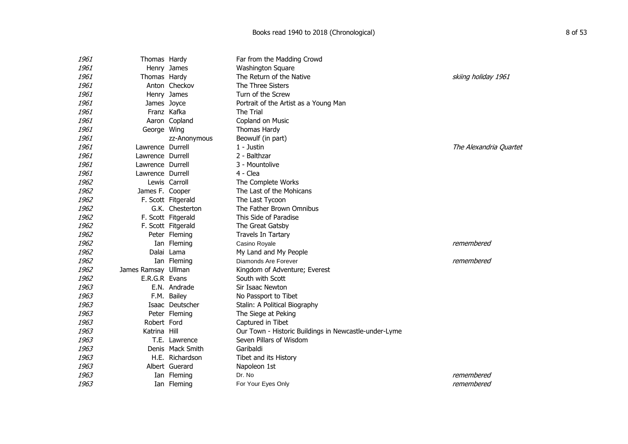| <i>1961</i> | Thomas Hardy        |                    | Far from the Madding Crowd                            |                        |
|-------------|---------------------|--------------------|-------------------------------------------------------|------------------------|
| <i>1961</i> |                     | Henry James        | <b>Washington Square</b>                              |                        |
| 1961        | Thomas Hardy        |                    | The Return of the Native                              | skiing holiday 1961    |
| 1961        |                     | Anton Checkov      | The Three Sisters                                     |                        |
| <i>1961</i> |                     | Henry James        | Turn of the Screw                                     |                        |
| 1961        | James Joyce         |                    | Portrait of the Artist as a Young Man                 |                        |
| 1961        |                     | Franz Kafka        | The Trial                                             |                        |
| 1961        |                     | Aaron Copland      | Copland on Music                                      |                        |
| <i>1961</i> | George Wing         |                    | Thomas Hardy                                          |                        |
| 1961        |                     | zz-Anonymous       | Beowulf (in part)                                     |                        |
| <i>1961</i> | Lawrence Durrell    |                    | 1 - Justin                                            | The Alexandria Quartet |
| 1961        | Lawrence Durrell    |                    | 2 - Balthzar                                          |                        |
| <i>1961</i> | Lawrence Durrell    |                    | 3 - Mountolive                                        |                        |
| 1961        | Lawrence Durrell    |                    | 4 - Clea                                              |                        |
| 1962        |                     | Lewis Carroll      | The Complete Works                                    |                        |
| 1962        | James F. Cooper     |                    | The Last of the Mohicans                              |                        |
| 1962        |                     | F. Scott Fitgerald | The Last Tycoon                                       |                        |
| 1962        |                     | G.K. Chesterton    | The Father Brown Omnibus                              |                        |
| 1962        |                     | F. Scott Fitgerald | This Side of Paradise                                 |                        |
| 1962        |                     | F. Scott Fitgerald | The Great Gatsby                                      |                        |
| 1962        |                     | Peter Fleming      | Travels In Tartary                                    |                        |
| 1962        |                     | Ian Fleming        | Casino Royale                                         | remembered             |
| 1962        |                     | Dalai Lama         | My Land and My People                                 |                        |
| 1962        |                     | Ian Fleming        | Diamonds Are Forever                                  | remembered             |
| 1962        | James Ramsay Ullman |                    | Kingdom of Adventure; Everest                         |                        |
| 1962        | E.R.G.R Evans       |                    | South with Scott                                      |                        |
| 1963        |                     | E.N. Andrade       | Sir Isaac Newton                                      |                        |
| 1963        |                     | F.M. Bailey        | No Passport to Tibet                                  |                        |
| 1963        |                     | Isaac Deutscher    | Stalin: A Political Biography                         |                        |
| 1963        |                     | Peter Fleming      | The Siege at Peking                                   |                        |
| 1963        | Robert Ford         |                    | Captured in Tibet                                     |                        |
| 1963        | Katrina Hill        |                    | Our Town - Historic Buildings in Newcastle-under-Lyme |                        |
| 1963        |                     | T.E. Lawrence      | Seven Pillars of Wisdom                               |                        |
| 1963        |                     | Denis Mack Smith   | Garibaldi                                             |                        |
| 1963        |                     | H.E. Richardson    | Tibet and its History                                 |                        |
| 1963        |                     | Albert Guerard     | Napoleon 1st                                          |                        |
| 1963        |                     | Ian Fleming        | Dr. No                                                | remembered             |
| 1963        |                     | Ian Fleming        | For Your Eyes Only                                    | remembered             |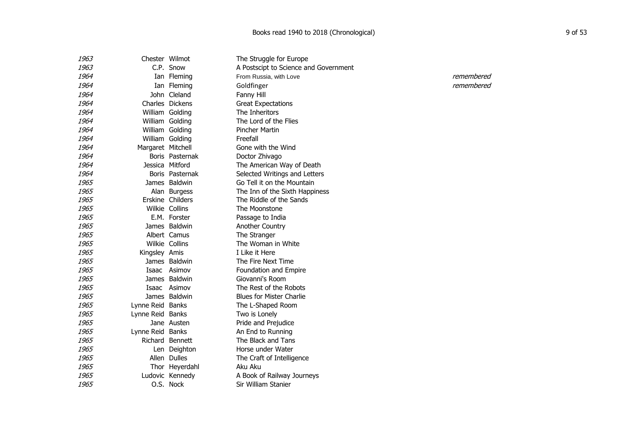| 1963 | Chester Wilmot    |                  | The Struggle for Europe               |            |
|------|-------------------|------------------|---------------------------------------|------------|
| 1963 |                   | C.P. Snow        | A Postscipt to Science and Government |            |
| 1964 |                   | Ian Fleming      | From Russia, with Love                | remembered |
| 1964 |                   | Ian Fleming      | Goldfinger                            | remembered |
| 1964 |                   | John Cleland     | Fanny Hill                            |            |
| 1964 |                   | Charles Dickens  | <b>Great Expectations</b>             |            |
| 1964 |                   | William Golding  | The Inheritors                        |            |
| 1964 |                   | William Golding  | The Lord of the Flies                 |            |
| 1964 |                   | William Golding  | <b>Pincher Martin</b>                 |            |
| 1964 |                   | William Golding  | Freefall                              |            |
| 1964 | Margaret Mitchell |                  | Gone with the Wind                    |            |
| 1964 |                   | Boris Pasternak  | Doctor Zhivago                        |            |
| 1964 | Jessica Mitford   |                  | The American Way of Death             |            |
| 1964 |                   | Boris Pasternak  | Selected Writings and Letters         |            |
| 1965 |                   | James Baldwin    | Go Tell it on the Mountain            |            |
| 1965 |                   | Alan Burgess     | The Inn of the Sixth Happiness        |            |
| 1965 |                   | Erskine Childers | The Riddle of the Sands               |            |
| 1965 |                   | Wilkie Collins   | The Moonstone                         |            |
| 1965 |                   | E.M. Forster     | Passage to India                      |            |
| 1965 |                   | James Baldwin    | Another Country                       |            |
| 1965 |                   | Albert Camus     | The Stranger                          |            |
| 1965 |                   | Wilkie Collins   | The Woman in White                    |            |
| 1965 | Kingsley Amis     |                  | I Like it Here                        |            |
| 1965 |                   | James Baldwin    | The Fire Next Time                    |            |
| 1965 |                   | Isaac Asimov     | Foundation and Empire                 |            |
| 1965 |                   | James Baldwin    | Giovanni's Room                       |            |
| 1965 |                   | Isaac Asimov     | The Rest of the Robots                |            |
| 1965 |                   | James Baldwin    | <b>Blues for Mister Charlie</b>       |            |
| 1965 | Lynne Reid Banks  |                  | The L-Shaped Room                     |            |
| 1965 | Lynne Reid Banks  |                  | Two is Lonely                         |            |
| 1965 |                   | Jane Austen      | Pride and Prejudice                   |            |
| 1965 | Lynne Reid Banks  |                  | An End to Running                     |            |
| 1965 |                   | Richard Bennett  | The Black and Tans                    |            |
| 1965 |                   | Len Deighton     | Horse under Water                     |            |
| 1965 |                   | Allen Dulles     | The Craft of Intelligence             |            |
| 1965 |                   | Thor Heyerdahl   | Aku Aku                               |            |
| 1965 |                   | Ludovic Kennedy  | A Book of Railway Journeys            |            |
| 1965 |                   | O.S. Nock        | Sir William Stanier                   |            |
|      |                   |                  |                                       |            |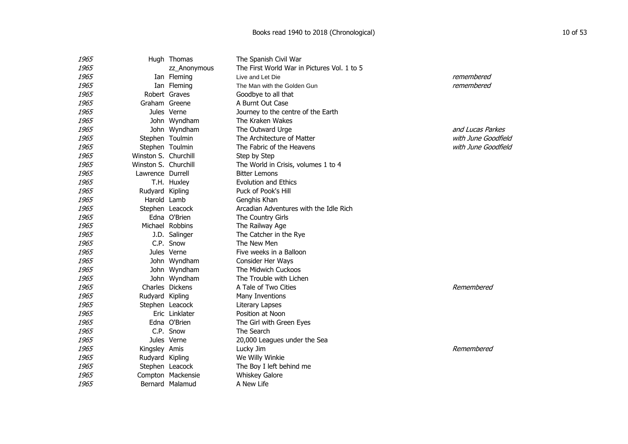| 1965 |                      | Hugh Thomas       | The Spanish Civil War                       |                     |
|------|----------------------|-------------------|---------------------------------------------|---------------------|
| 1965 |                      | zz_Anonymous      | The First World War in Pictures Vol. 1 to 5 |                     |
| 1965 |                      | Ian Fleming       | Live and Let Die                            | remembered          |
| 1965 |                      | Ian Fleming       | The Man with the Golden Gun                 | remembered          |
| 1965 |                      | Robert Graves     | Goodbye to all that                         |                     |
| 1965 | Graham Greene        |                   | A Burnt Out Case                            |                     |
| 1965 |                      | Jules Verne       | Journey to the centre of the Earth          |                     |
| 1965 |                      | John Wyndham      | The Kraken Wakes                            |                     |
| 1965 |                      | John Wyndham      | The Outward Urge                            | and Lucas Parkes    |
| 1965 |                      | Stephen Toulmin   | The Architecture of Matter                  | with June Goodfield |
| 1965 |                      | Stephen Toulmin   | The Fabric of the Heavens                   | with June Goodfield |
| 1965 | Winston S. Churchill |                   | Step by Step                                |                     |
| 1965 | Winston S. Churchill |                   | The World in Crisis, volumes 1 to 4         |                     |
| 1965 | Lawrence Durrell     |                   | <b>Bitter Lemons</b>                        |                     |
| 1965 |                      | T.H. Huxley       | <b>Evolution and Ethics</b>                 |                     |
| 1965 | Rudyard Kipling      |                   | Puck of Pook's Hill                         |                     |
| 1965 | Harold Lamb          |                   | Genghis Khan                                |                     |
| 1965 |                      | Stephen Leacock   | Arcadian Adventures with the Idle Rich      |                     |
| 1965 |                      | Edna O'Brien      | The Country Girls                           |                     |
| 1965 |                      | Michael Robbins   | The Railway Age                             |                     |
| 1965 |                      | J.D. Salinger     | The Catcher in the Rye                      |                     |
| 1965 |                      | C.P. Snow         | The New Men                                 |                     |
| 1965 |                      | Jules Verne       | Five weeks in a Balloon                     |                     |
| 1965 |                      | John Wyndham      | Consider Her Ways                           |                     |
| 1965 |                      | John Wyndham      | The Midwich Cuckoos                         |                     |
| 1965 |                      | John Wyndham      | The Trouble with Lichen                     |                     |
| 1965 |                      | Charles Dickens   | A Tale of Two Cities                        | Remembered          |
| 1965 | Rudyard Kipling      |                   | Many Inventions                             |                     |
| 1965 |                      | Stephen Leacock   | Literary Lapses                             |                     |
| 1965 |                      | Eric Linklater    | Position at Noon                            |                     |
| 1965 |                      | Edna O'Brien      | The Girl with Green Eyes                    |                     |
| 1965 |                      | C.P. Snow         | The Search                                  |                     |
| 1965 |                      | Jules Verne       | 20,000 Leagues under the Sea                |                     |
| 1965 | Kingsley Amis        |                   | Lucky Jim                                   | Remembered          |
| 1965 | Rudyard Kipling      |                   | We Willy Winkie                             |                     |
| 1965 |                      | Stephen Leacock   | The Boy I left behind me                    |                     |
| 1965 |                      | Compton Mackensie | <b>Whiskey Galore</b>                       |                     |
| 1965 |                      | Bernard Malamud   | A New Life                                  |                     |
|      |                      |                   |                                             |                     |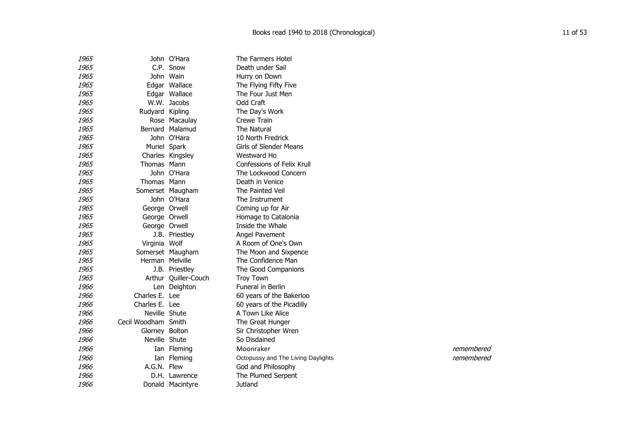| 1965 |                     | John O'Hara          | The Farmers Hotel                  |            |
|------|---------------------|----------------------|------------------------------------|------------|
| 1965 |                     | C.P. Snow            | Death under Sail                   |            |
| 1965 |                     | John Wain            | Hurry on Down                      |            |
| 1965 |                     | Edgar Wallace        | The Flying Fifty Five              |            |
| 1965 |                     | Edgar Wallace        | The Four Just Men                  |            |
| 1965 |                     | W.W. Jacobs          | Odd Craft                          |            |
| 1965 | Rudyard Kipling     |                      | The Day's Work                     |            |
| 1965 |                     | Rose Macaulay        | Crewe Train                        |            |
| 1965 |                     | Bernard Malamud      | The Natural                        |            |
| 1965 |                     | John O'Hara          | 10 North Fredrick                  |            |
| 1965 |                     | Muriel Spark         | Girls of Slender Means             |            |
| 1965 |                     | Charles Kingsley     | Westward Ho                        |            |
| 1965 | Thomas Mann         |                      | Confessions of Felix Krull         |            |
| 1965 |                     | John O'Hara          | The Lockwood Concern               |            |
| 1965 | Thomas Mann         |                      | Death in Venice                    |            |
| 1965 |                     | Somerset Maugham     | The Painted Veil                   |            |
| 1965 |                     | John O'Hara          | The Instrument                     |            |
| 1965 | George Orwell       |                      | Coming up for Air                  |            |
| 1965 | George Orwell       |                      | Homage to Catalonia                |            |
| 1965 | George Orwell       |                      | Inside the Whale                   |            |
| 1965 |                     | J.B. Priestley       | Angel Pavement                     |            |
| 1965 | Virginia Wolf       |                      | A Room of One's Own                |            |
| 1965 |                     | Somerset Maugham     | The Moon and Sixpence              |            |
| 1965 | Herman Melville     |                      | The Confidence Man                 |            |
| 1965 |                     | J.B. Priestley       | The Good Companions                |            |
| 1965 |                     | Arthur Quiller-Couch | <b>Troy Town</b>                   |            |
| 1966 |                     | Len Deighton         | Funeral in Berlin                  |            |
| 1966 | Charles E. Lee      |                      | 60 years of the Bakerloo           |            |
| 1966 | Charles E. Lee      |                      | 60 years of the Picadilly          |            |
| 1966 | Neville Shute       |                      | A Town Like Alice                  |            |
| 1966 | Cecil Woodham Smith |                      | The Great Hunger                   |            |
| 1966 | Glorney Bolton      |                      | Sir Christopher Wren               |            |
| 1966 | Neville Shute       |                      | So Disdained                       |            |
| 1966 |                     | Ian Fleming          | Moonraker                          | remembered |
| 1966 |                     | Ian Fleming          | Octopussy and The Living Daylights | remembered |
| 1966 | A.G.N. Flew         |                      | God and Philosophy                 |            |
| 1966 |                     | D.H. Lawrence        | The Plumed Serpent                 |            |
| 1966 |                     | Donald Macintyre     | Jutland                            |            |
|      |                     |                      |                                    |            |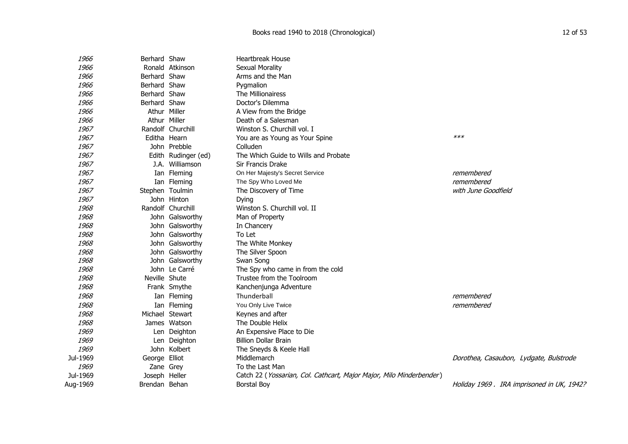| 1966     | Berhard Shaw    |                     | <b>Heartbreak House</b>                                             |                                            |
|----------|-----------------|---------------------|---------------------------------------------------------------------|--------------------------------------------|
| 1966     |                 | Ronald Atkinson     | <b>Sexual Morality</b>                                              |                                            |
| 1966     | Berhard Shaw    |                     | Arms and the Man                                                    |                                            |
| 1966     | Berhard Shaw    |                     | Pygmalion                                                           |                                            |
| 1966     | Berhard Shaw    |                     | The Millionairess                                                   |                                            |
| 1966     | Berhard Shaw    |                     | Doctor's Dilemma                                                    |                                            |
| 1966     | Athur Miller    |                     | A View from the Bridge                                              |                                            |
| 1966     | Athur Miller    |                     | Death of a Salesman                                                 |                                            |
| 1967     |                 | Randolf Churchill   | Winston S. Churchill vol. I                                         |                                            |
| 1967     | Editha Hearn    |                     | You are as Young as Your Spine                                      | $***$                                      |
| 1967     |                 | John Prebble        | Colluden                                                            |                                            |
| 1967     |                 | Edith Rudinger (ed) | The Which Guide to Wills and Probate                                |                                            |
| 1967     |                 | J.A. Williamson     | Sir Francis Drake                                                   |                                            |
| 1967     |                 | Ian Fleming         | On Her Majesty's Secret Service                                     | remembered                                 |
| 1967     |                 | Ian Fleming         | The Spy Who Loved Me                                                | remembered                                 |
| 1967     | Stephen Toulmin |                     | The Discovery of Time                                               | with June Goodfield                        |
| 1967     |                 | John Hinton         | Dying                                                               |                                            |
| 1968     |                 | Randolf Churchill   | Winston S. Churchill vol. II                                        |                                            |
| 1968     |                 | John Galsworthy     | Man of Property                                                     |                                            |
| 1968     |                 | John Galsworthy     | In Chancery                                                         |                                            |
| 1968     |                 | John Galsworthy     | To Let                                                              |                                            |
| 1968     |                 | John Galsworthy     | The White Monkey                                                    |                                            |
| 1968     |                 | John Galsworthy     | The Silver Spoon                                                    |                                            |
| 1968     |                 | John Galsworthy     | Swan Song                                                           |                                            |
| 1968     |                 | John Le Carré       | The Spy who came in from the cold                                   |                                            |
| 1968     | Neville Shute   |                     | Trustee from the Toolroom                                           |                                            |
| 1968     |                 | Frank Smythe        | Kanchenjunga Adventure                                              |                                            |
| 1968     |                 | Ian Fleming         | Thunderball                                                         | remembered                                 |
| 1968     |                 | Ian Fleming         | You Only Live Twice                                                 | remembered                                 |
| 1968     |                 | Michael Stewart     | Keynes and after                                                    |                                            |
| 1968     |                 | James Watson        | The Double Helix                                                    |                                            |
| 1969     |                 | Len Deighton        | An Expensive Place to Die                                           |                                            |
| 1969     |                 | Len Deighton        | <b>Billion Dollar Brain</b>                                         |                                            |
| 1969     |                 | John Kolbert        | The Sneyds & Keele Hall                                             |                                            |
| Jul-1969 | George Elliot   |                     | Middlemarch                                                         | Dorothea, Casaubon, Lydgate, Bulstrode     |
| 1969     | Zane Grey       |                     | To the Last Man                                                     |                                            |
| Jul-1969 | Joseph Heller   |                     | Catch 22 (Yossarian, Col. Cathcart, Major Major, Milo Minderbender) |                                            |
| Aug-1969 | Brendan Behan   |                     | <b>Borstal Boy</b>                                                  | Holiday 1969 . IRA imprisoned in UK, 1942? |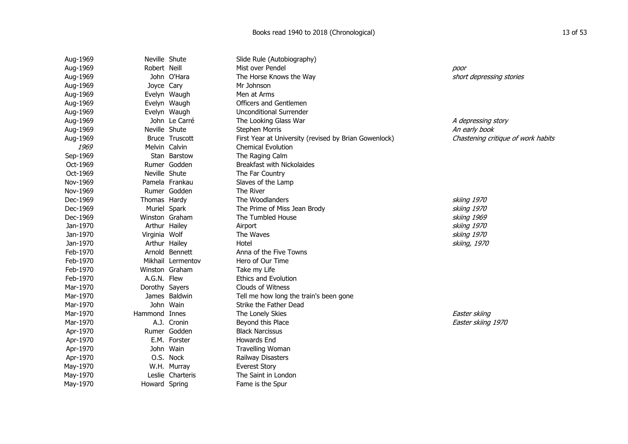| Aug-1969 | Neville Shute  |                   | Slide Rule (Autobiography)                            |                                    |
|----------|----------------|-------------------|-------------------------------------------------------|------------------------------------|
| Aug-1969 | Robert Neill   |                   | Mist over Pendel                                      | poor                               |
| Aug-1969 |                | John O'Hara       | The Horse Knows the Way                               | short depressing stories           |
| Aug-1969 | Joyce Cary     |                   | Mr Johnson                                            |                                    |
| Aug-1969 |                | Evelyn Waugh      | Men at Arms                                           |                                    |
| Aug-1969 |                | Evelyn Waugh      | Officers and Gentlemen                                |                                    |
| Aug-1969 |                | Evelyn Waugh      | <b>Unconditional Surrender</b>                        |                                    |
| Aug-1969 |                | John Le Carré     | The Looking Glass War                                 | A depressing story                 |
| Aug-1969 | Neville Shute  |                   | <b>Stephen Morris</b>                                 | An early book                      |
| Aug-1969 |                | Bruce Truscott    | First Year at University (revised by Brian Gowenlock) | Chastening critique of work habits |
| 1969     | Melvin Calvin  |                   | <b>Chemical Evolution</b>                             |                                    |
| Sep-1969 |                | Stan Barstow      | The Raging Calm                                       |                                    |
| Oct-1969 |                | Rumer Godden      | <b>Breakfast with Nickolaides</b>                     |                                    |
| Oct-1969 | Neville Shute  |                   | The Far Country                                       |                                    |
| Nov-1969 |                | Pamela Frankau    | Slaves of the Lamp                                    |                                    |
| Nov-1969 |                | Rumer Godden      | The River                                             |                                    |
| Dec-1969 | Thomas Hardy   |                   | The Woodlanders                                       | skiing 1970                        |
| Dec-1969 | Muriel Spark   |                   | The Prime of Miss Jean Brody                          | skiing 1970                        |
| Dec-1969 | Winston Graham |                   | The Tumbled House                                     | skiing 1969                        |
| Jan-1970 | Arthur Hailey  |                   | Airport                                               | skiing 1970                        |
| Jan-1970 | Virginia Wolf  |                   | The Waves                                             | skiing 1970                        |
| Jan-1970 | Arthur Hailey  |                   | Hotel                                                 | skiing, 1970                       |
| Feb-1970 |                | Arnold Bennett    | Anna of the Five Towns                                |                                    |
| Feb-1970 |                | Mikhail Lermentov | Hero of Our Time                                      |                                    |
| Feb-1970 | Winston Graham |                   | Take my Life                                          |                                    |
| Feb-1970 | A.G.N. Flew    |                   | <b>Ethics and Evolution</b>                           |                                    |
| Mar-1970 | Dorothy Sayers |                   | Clouds of Witness                                     |                                    |
| Mar-1970 |                | James Baldwin     | Tell me how long the train's been gone                |                                    |
| Mar-1970 |                | John Wain         | Strike the Father Dead                                |                                    |
| Mar-1970 | Hammond Innes  |                   | The Lonely Skies                                      | Easter skiing                      |
| Mar-1970 |                | A.J. Cronin       | Beyond this Place                                     | Easter skiing 1970                 |
| Apr-1970 |                | Rumer Godden      | <b>Black Narcissus</b>                                |                                    |
| Apr-1970 |                | E.M. Forster      | <b>Howards End</b>                                    |                                    |
| Apr-1970 |                | John Wain         | <b>Travelling Woman</b>                               |                                    |
| Apr-1970 |                | O.S. Nock         | Railway Disasters                                     |                                    |
| May-1970 |                | W.H. Murray       | <b>Everest Story</b>                                  |                                    |
| May-1970 |                | Leslie Charteris  | The Saint in London                                   |                                    |
| May-1970 | Howard Spring  |                   | Fame is the Spur                                      |                                    |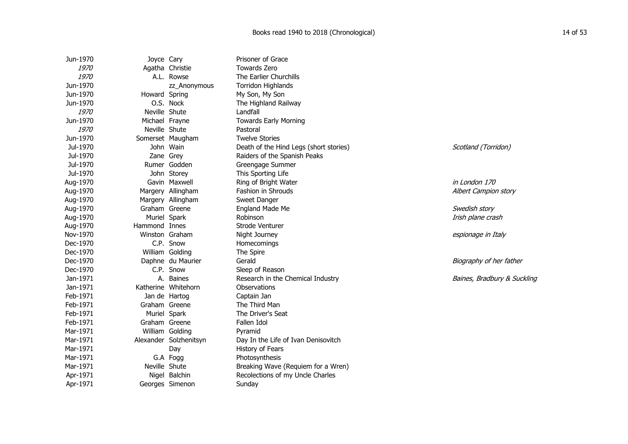| Jun-1970    | Joyce Cary     |                        | Prisoner of Grace                      |                             |
|-------------|----------------|------------------------|----------------------------------------|-----------------------------|
| <i>1970</i> |                | Agatha Christie        | Towards Zero                           |                             |
| 1970        |                | A.L. Rowse             | The Earlier Churchills                 |                             |
| Jun-1970    |                | zz_Anonymous           | Torridon Highlands                     |                             |
| Jun-1970    | Howard Spring  |                        | My Son, My Son                         |                             |
| Jun-1970    |                | O.S. Nock              | The Highland Railway                   |                             |
| 1970        | Neville Shute  |                        | Landfall                               |                             |
| Jun-1970    | Michael Frayne |                        | <b>Towards Early Morning</b>           |                             |
| <i>1970</i> | Neville Shute  |                        | Pastoral                               |                             |
| Jun-1970    |                | Somerset Maugham       | <b>Twelve Stories</b>                  |                             |
| Jul-1970    |                | John Wain              | Death of the Hind Legs (short stories) | Scotland (Torridon)         |
| Jul-1970    |                | Zane Grey              | Raiders of the Spanish Peaks           |                             |
| Jul-1970    |                | Rumer Godden           | Greengage Summer                       |                             |
| Jul-1970    |                | John Storey            | This Sporting Life                     |                             |
| Aug-1970    |                | Gavin Maxwell          | Ring of Bright Water                   | in London 170               |
| Aug-1970    |                | Margery Allingham      | Fashion in Shrouds                     | Albert Campion story        |
| Aug-1970    |                | Margery Allingham      | Sweet Danger                           |                             |
| Aug-1970    | Graham Greene  |                        | <b>England Made Me</b>                 | Swedish story               |
| Aug-1970    |                | Muriel Spark           | Robinson                               | Irish plane crash           |
| Aug-1970    | Hammond Innes  |                        | Strode Venturer                        |                             |
| Nov-1970    | Winston Graham |                        | Night Journey                          | espionage in Italy          |
| Dec-1970    |                | C.P. Snow              | Homecomings                            |                             |
| Dec-1970    |                | William Golding        | The Spire                              |                             |
| Dec-1970    |                | Daphne du Maurier      | Gerald                                 | Biography of her father     |
| Dec-1970    |                | C.P. Snow              | Sleep of Reason                        |                             |
| Jan-1971    | А.             | Baines                 | Research in the Chemical Industry      | Baines, Bradbury & Suckling |
| Jan-1971    |                | Katherine Whitehorn    | Observations                           |                             |
| Feb-1971    |                | Jan de Hartog          | Captain Jan                            |                             |
| Feb-1971    | Graham Greene  |                        | The Third Man                          |                             |
| Feb-1971    |                | Muriel Spark           | The Driver's Seat                      |                             |
| Feb-1971    | Graham Greene  |                        | Fallen Idol                            |                             |
| Mar-1971    |                | William Golding        | Pyramid                                |                             |
| Mar-1971    |                | Alexander Solzhenitsyn | Day In the Life of Ivan Denisovitch    |                             |
| Mar-1971    |                | Day                    | History of Fears                       |                             |
| Mar-1971    |                | G.A Fogg               | Photosynthesis                         |                             |
| Mar-1971    | Neville Shute  |                        | Breaking Wave (Requiem for a Wren)     |                             |
| Apr-1971    |                | Nigel Balchin          | Recolections of my Uncle Charles       |                             |
| Apr-1971    |                | Georges Simenon        | Sunday                                 |                             |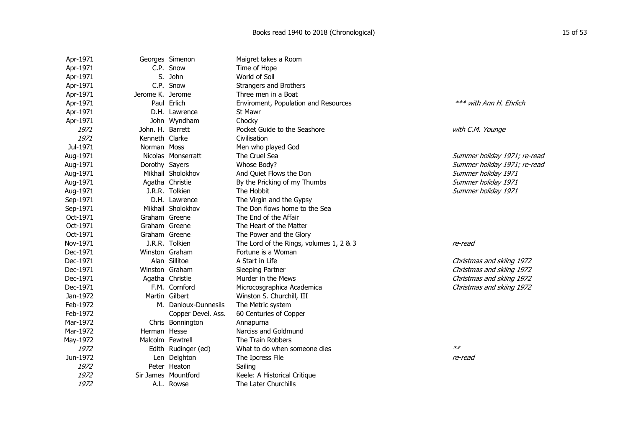| Apr-1971 |                  | Georges Simenon      | Maigret takes a Room                    |                              |
|----------|------------------|----------------------|-----------------------------------------|------------------------------|
| Apr-1971 |                  | C.P. Snow            | Time of Hope                            |                              |
| Apr-1971 |                  | S. John              | World of Soil                           |                              |
| Apr-1971 |                  | C.P. Snow            | Strangers and Brothers                  |                              |
| Apr-1971 | Jerome K. Jerome |                      | Three men in a Boat                     |                              |
| Apr-1971 |                  | Paul Erlich          | Enviroment, Population and Resources    | *** with Ann H. Ehrlich      |
| Apr-1971 |                  | D.H. Lawrence        | St Mawr                                 |                              |
| Apr-1971 |                  | John Wyndham         | Chocky                                  |                              |
| 1971     | John. H. Barrett |                      | Pocket Guide to the Seashore            | with C.M. Younge             |
| 1971     | Kenneth Clarke   |                      | Civilisation                            |                              |
| Jul-1971 | Norman Moss      |                      | Men who played God                      |                              |
| Aug-1971 |                  | Nicolas Monserratt   | The Cruel Sea                           | Summer holiday 1971; re-read |
| Aug-1971 | Dorothy Sayers   |                      | Whose Body?                             | Summer holiday 1971; re-read |
| Aug-1971 |                  | Mikhail Sholokhov    | And Quiet Flows the Don                 | Summer holiday 1971          |
| Aug-1971 |                  | Agatha Christie      | By the Pricking of my Thumbs            | Summer holiday 1971          |
| Aug-1971 |                  | J.R.R. Tolkien       | The Hobbit                              | Summer holiday 1971          |
| Sep-1971 |                  | D.H. Lawrence        | The Virgin and the Gypsy                |                              |
| Sep-1971 |                  | Mikhail Sholokhov    | The Don flows home to the Sea           |                              |
| Oct-1971 | Graham Greene    |                      | The End of the Affair                   |                              |
| Oct-1971 | Graham Greene    |                      | The Heart of the Matter                 |                              |
| Oct-1971 | Graham Greene    |                      | The Power and the Glory                 |                              |
| Nov-1971 |                  | J.R.R. Tolkien       | The Lord of the Rings, volumes 1, 2 & 3 | re-read                      |
| Dec-1971 |                  | Winston Graham       | Fortune is a Woman                      |                              |
| Dec-1971 |                  | Alan Sillitoe        | A Start in Life                         | Christmas and skiing 1972    |
| Dec-1971 |                  | Winston Graham       | Sleeping Partner                        | Christmas and skiing 1972    |
| Dec-1971 |                  | Agatha Christie      | Murder in the Mews                      | Christmas and skiing 1972    |
| Dec-1971 |                  | F.M. Cornford        | Microcosgraphica Academica              | Christmas and skiing 1972    |
| Jan-1972 |                  | Martin Gilbert       | Winston S. Churchill, III               |                              |
| Feb-1972 |                  | M. Danloux-Dunnesils | The Metric system                       |                              |
| Feb-1972 |                  | Copper Devel. Ass.   | 60 Centuries of Copper                  |                              |
| Mar-1972 |                  | Chris Bonnington     | Annapurna                               |                              |
| Mar-1972 | Herman Hesse     |                      | Narciss and Goldmund                    |                              |
| May-1972 |                  | Malcolm Fewtrell     | The Train Robbers                       |                              |
| 1972     |                  | Edith Rudinger (ed)  | What to do when someone dies            | $**$                         |
| Jun-1972 |                  | Len Deighton         | The Ipcress File                        | re-read                      |
| 1972     |                  | Peter Heaton         | Sailing                                 |                              |
| 1972     |                  | Sir James Mountford  | Keele: A Historical Critique            |                              |
| 1972     |                  | A.L. Rowse           | The Later Churchills                    |                              |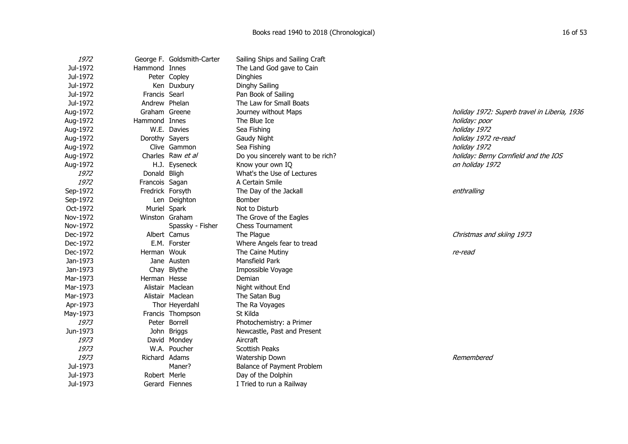| <i>1972</i> |                  | George F. Goldsmith-Carter | Sailing Ships and Sailing Craft   |                                              |
|-------------|------------------|----------------------------|-----------------------------------|----------------------------------------------|
| Jul-1972    | Hammond Innes    |                            | The Land God gave to Cain         |                                              |
| Jul-1972    |                  | Peter Copley               | <b>Dinghies</b>                   |                                              |
| Jul-1972    |                  | Ken Duxbury                | Dinghy Sailing                    |                                              |
| Jul-1972    | Francis Searl    |                            | Pan Book of Sailing               |                                              |
| Jul-1972    | Andrew Phelan    |                            | The Law for Small Boats           |                                              |
| Aug-1972    | Graham Greene    |                            | Journey without Maps              | holiday 1972: Superb travel in Liberia, 1936 |
| Aug-1972    | Hammond Innes    |                            | The Blue Ice                      | holiday: poor                                |
| Aug-1972    |                  | W.E. Davies                | Sea Fishing                       | holiday 1972                                 |
| Aug-1972    | Dorothy Sayers   |                            | Gaudy Night                       | holiday 1972 re-read                         |
| Aug-1972    |                  | Clive Gammon               | Sea Fishing                       | holiday 1972                                 |
| Aug-1972    |                  | Charles Raw et al          | Do you sincerely want to be rich? | holiday: Berny Cornfield and the IOS         |
| Aug-1972    |                  | H.J. Eyseneck              | Know your own IO                  | on holiday 1972                              |
| 1972        | Donald Bligh     |                            | What's the Use of Lectures        |                                              |
| 1972        | Francois Sagan   |                            | A Certain Smile                   |                                              |
| Sep-1972    | Fredrick Forsyth |                            | The Day of the Jackall            | enthralling                                  |
| Sep-1972    |                  | Len Deighton               | Bomber                            |                                              |
| Oct-1972    | Muriel Spark     |                            | Not to Disturb                    |                                              |
| Nov-1972    |                  | Winston Graham             | The Grove of the Eagles           |                                              |
| Nov-1972    |                  | Spassky - Fisher           | <b>Chess Tournament</b>           |                                              |
| Dec-1972    |                  | Albert Camus               | The Plague                        | Christmas and skiing 1973                    |
| Dec-1972    |                  | E.M. Forster               | Where Angels fear to tread        |                                              |
| Dec-1972    | Herman Wouk      |                            | The Caine Mutiny                  | re-read                                      |
| Jan-1973    |                  | Jane Austen                | Mansfield Park                    |                                              |
| Jan-1973    |                  | Chay Blythe                | Impossible Voyage                 |                                              |
| Mar-1973    | Herman Hesse     |                            | Demian                            |                                              |
| Mar-1973    |                  | Alistair Maclean           | Night without End                 |                                              |
| Mar-1973    |                  | Alistair Maclean           | The Satan Bug                     |                                              |
| Apr-1973    |                  | Thor Heyerdahl             | The Ra Voyages                    |                                              |
| May-1973    |                  | Francis Thompson           | St Kilda                          |                                              |
| 1973        |                  | Peter Borrell              | Photochemistry: a Primer          |                                              |
| Jun-1973    |                  | John Briggs                | Newcastle, Past and Present       |                                              |
| 1973        |                  | David Mondey               | Aircraft                          |                                              |
| 1973        |                  | W.A. Poucher               | <b>Scottish Peaks</b>             |                                              |
| 1973        | Richard Adams    |                            | Watership Down                    | Remembered                                   |
| Jul-1973    |                  | Maner?                     | Balance of Payment Problem        |                                              |
| Jul-1973    | Robert Merle     |                            | Day of the Dolphin                |                                              |
| Jul-1973    |                  | Gerard Fiennes             | I Tried to run a Railway          |                                              |
|             |                  |                            |                                   |                                              |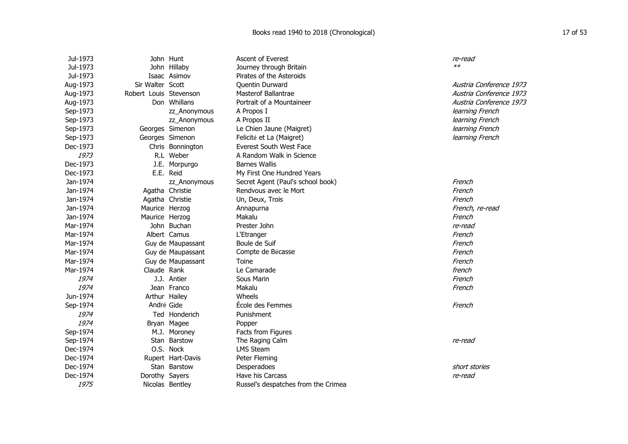| Jul-1973 |                        | John Hunt         | <b>Ascent of Everest</b>            | re-read                 |
|----------|------------------------|-------------------|-------------------------------------|-------------------------|
| Jul-1973 |                        | John Hillaby      | Journey through Britain             | $**$                    |
| Jul-1973 |                        | Isaac Asimov      | Pirates of the Asteroids            |                         |
| Aug-1973 | Sir Walter Scott       |                   | <b>Ouentin Durward</b>              | Austria Conference 1973 |
| Aug-1973 | Robert Louis Stevenson |                   | Masterof Ballantrae                 | Austria Conference 1973 |
| Aug-1973 |                        | Don Whillans      | Portrait of a Mountaineer           | Austria Conference 1973 |
| Sep-1973 |                        | zz_Anonymous      | A Propos I                          | learning French         |
| Sep-1973 |                        | zz_Anonymous      | A Propos II                         | learning French         |
| Sep-1973 |                        | Georges Simenon   | Le Chien Jaune (Maigret)            | learning French         |
| Sep-1973 |                        | Georges Simenon   | Felicité et La (Maigret)            | learning French         |
| Dec-1973 |                        | Chris Bonnington  | Everest South West Face             |                         |
| 1973     |                        | R.L Weber         | A Random Walk in Science            |                         |
| Dec-1973 |                        | J.E. Morpurgo     | <b>Barnes Wallis</b>                |                         |
| Dec-1973 |                        | E.E. Reid         | My First One Hundred Years          |                         |
| Jan-1974 |                        | zz_Anonymous      | Secret Agent (Paul's school book)   | French                  |
| Jan-1974 |                        | Agatha Christie   | Rendvous avec le Mort               | French                  |
| Jan-1974 |                        | Agatha Christie   | Un, Deux, Trois                     | French                  |
| Jan-1974 | Maurice Herzog         |                   | Annapurna                           | French, re-read         |
| Jan-1974 | Maurice Herzog         |                   | Makalu                              | French                  |
| Mar-1974 |                        | John Buchan       | Prester John                        | re-read                 |
| Mar-1974 |                        | Albert Camus      | L'Etranger                          | French                  |
| Mar-1974 |                        | Guy de Maupassant | Boule de Suif                       | French                  |
| Mar-1974 |                        | Guy de Maupassant | Compte de Bécasse                   | French                  |
| Mar-1974 |                        | Guy de Maupassant | Toine                               | French                  |
| Mar-1974 | Claude Rank            |                   | Le Camarade                         | french                  |
| 1974     |                        | J.J. Antier       | Sous Marin                          | French                  |
| 1974     |                        | Jean Franco       | Makalu                              | French                  |
| Jun-1974 |                        | Arthur Hailey     | Wheels                              |                         |
| Sep-1974 | André Gide             |                   | Ecole des Femmes                    | French                  |
| 1974     |                        | Ted Honderich     | Punishment                          |                         |
| 1974     |                        | Bryan Magee       | Popper                              |                         |
| Sep-1974 |                        | M.J. Moroney      | Facts from Figures                  |                         |
| Sep-1974 |                        | Stan Barstow      | The Raging Calm                     | re-read                 |
| Dec-1974 |                        | O.S. Nock         | <b>LMS Steam</b>                    |                         |
| Dec-1974 |                        | Rupert Hart-Davis | Peter Fleming                       |                         |
| Dec-1974 |                        | Stan Barstow      | Desperadoes                         | short stories           |
| Dec-1974 | Dorothy Sayers         |                   | Have his Carcass                    | re-read                 |
| 1975     |                        | Nicolas Bentley   | Russel's despatches from the Crimea |                         |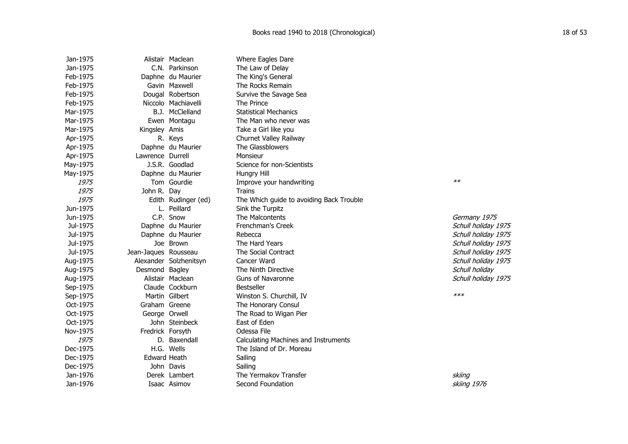| Jan-1975 |                      | Alistair Maclean       | Where Eagles Dare                        |                     |
|----------|----------------------|------------------------|------------------------------------------|---------------------|
| Jan-1975 |                      | C.N. Parkinson         | The Law of Delay                         |                     |
| Feb-1975 |                      | Daphne du Maurier      | The King's General                       |                     |
| Feb-1975 |                      | Gavin Maxwell          | The Rocks Remain                         |                     |
| Feb-1975 |                      | Dougal Robertson       | Survive the Savage Sea                   |                     |
| Feb-1975 |                      | Niccolo Machiavelli    | The Prince                               |                     |
| Mar-1975 |                      | B.J. McClelland        | <b>Statistical Mechanics</b>             |                     |
| Mar-1975 |                      | Ewen Montagu           | The Man who never was                    |                     |
| Mar-1975 | Kingsley Amis        |                        | Take a Girl like you                     |                     |
| Apr-1975 |                      | R. Keys                | Churnet Valley Railway                   |                     |
| Apr-1975 |                      | Daphne du Maurier      | The Glassblowers                         |                     |
| Apr-1975 | Lawrence Durrell     |                        | Monsieur                                 |                     |
| May-1975 |                      | J.S.R. Goodlad         | Science for non-Scientists               |                     |
| May-1975 |                      | Daphne du Maurier      | Hungry Hill                              |                     |
| 1975     |                      | Tom Gourdie            | Improve your handwriting                 | $**$                |
| 1975     | John R. Day          |                        | Trains                                   |                     |
| 1975     |                      | Edith Rudinger (ed)    | The Which guide to avoiding Back Trouble |                     |
| Jun-1975 |                      | L. Peillard            | Sink the Turpitz                         |                     |
| Jun-1975 |                      | C.P. Snow              | The Malcontents                          | Germany 1975        |
| Jul-1975 |                      | Daphne du Maurier      | Frenchman's Creek                        | Schull holiday 1975 |
| Jul-1975 |                      | Daphne du Maurier      | Rebecca                                  | Schull holiday 1975 |
| Jul-1975 |                      | Joe Brown              | The Hard Years                           | Schull holiday 1975 |
| Jul-1975 | Jean-Jaques Rousseau |                        | The Social Contract                      | Schull holiday 1975 |
| Aug-1975 |                      | Alexander Solzhenitsyn | Cancer Ward                              | Schull holiday 1975 |
| Aug-1975 | Desmond Bagley       |                        | The Ninth Directive                      | Schull holiday      |
| Aug-1975 |                      | Alistair Maclean       | <b>Guns of Navaronne</b>                 | Schull holiday 1975 |
| Sep-1975 |                      | Claude Cockburn        | <b>Bestseller</b>                        |                     |
| Sep-1975 |                      | Martin Gilbert         | Winston S. Churchill, IV                 | $***$               |
| Oct-1975 | Graham Greene        |                        | The Honorary Consul                      |                     |
| Oct-1975 | George Orwell        |                        | The Road to Wigan Pier                   |                     |
| Oct-1975 |                      | John Steinbeck         | East of Eden                             |                     |
| Nov-1975 | Fredrick Forsyth     |                        | Odessa File                              |                     |
| 1975     |                      | D. Baxendall           | Calculating Machines and Instruments     |                     |
| Dec-1975 |                      | H.G. Wells             | The Island of Dr. Moreau                 |                     |
| Dec-1975 | <b>Edward Heath</b>  |                        | Sailing                                  |                     |
| Dec-1975 |                      | John Davis             | Sailing                                  |                     |
| Jan-1976 |                      | Derek Lambert          | The Yermakov Transfer                    | skiing              |
| Jan-1976 |                      | Isaac Asimov           | Second Foundation                        | skiing 1976         |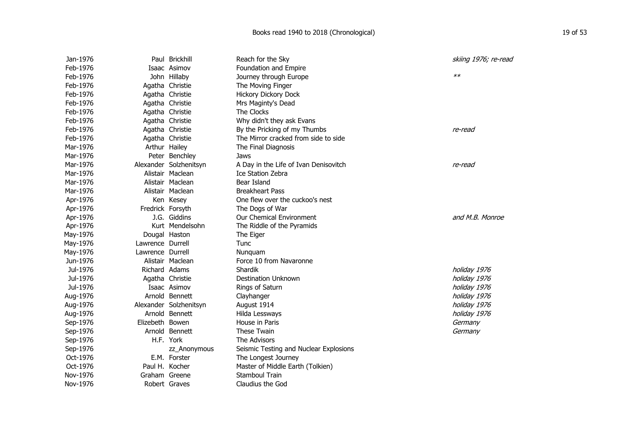| Jan-1976 |                  | Paul Brickhill         | Reach for the Sky                      | skiing 1976; re-read |
|----------|------------------|------------------------|----------------------------------------|----------------------|
| Feb-1976 |                  | Isaac Asimov           | Foundation and Empire                  |                      |
| Feb-1976 |                  | John Hillaby           | Journey through Europe                 | $**$                 |
| Feb-1976 |                  | Agatha Christie        | The Moving Finger                      |                      |
| Feb-1976 |                  | Agatha Christie        | <b>Hickory Dickory Dock</b>            |                      |
| Feb-1976 |                  | Agatha Christie        | Mrs Maginty's Dead                     |                      |
| Feb-1976 |                  | Agatha Christie        | The Clocks                             |                      |
| Feb-1976 |                  | Agatha Christie        | Why didn't they ask Evans              |                      |
| Feb-1976 |                  | Agatha Christie        | By the Pricking of my Thumbs           | re-read              |
| Feb-1976 |                  | Agatha Christie        | The Mirror cracked from side to side   |                      |
| Mar-1976 |                  | Arthur Hailey          | The Final Diagnosis                    |                      |
| Mar-1976 |                  | Peter Benchley         | Jaws                                   |                      |
| Mar-1976 |                  | Alexander Solzhenitsyn | A Day in the Life of Ivan Denisovitch  | re-read              |
| Mar-1976 |                  | Alistair Maclean       | <b>Ice Station Zebra</b>               |                      |
| Mar-1976 |                  | Alistair Maclean       | Bear Island                            |                      |
| Mar-1976 |                  | Alistair Maclean       | <b>Breakheart Pass</b>                 |                      |
| Apr-1976 |                  | Ken Kesey              | One flew over the cuckoo's nest        |                      |
| Apr-1976 | Fredrick Forsyth |                        | The Dogs of War                        |                      |
| Apr-1976 |                  | J.G. Giddins           | Our Chemical Environment               | and M.B. Monroe      |
| Apr-1976 |                  | Kurt Mendelsohn        | The Riddle of the Pyramids             |                      |
| May-1976 |                  | Dougal Haston          | The Eiger                              |                      |
| May-1976 | Lawrence Durrell |                        | Tunc                                   |                      |
| May-1976 | Lawrence Durrell |                        | Nunquam                                |                      |
| Jun-1976 |                  | Alistair Maclean       | Force 10 from Navaronne                |                      |
| Jul-1976 | Richard Adams    |                        | Shardik                                | holiday 1976         |
| Jul-1976 |                  | Agatha Christie        | <b>Destination Unknown</b>             | holiday 1976         |
| Jul-1976 |                  | Isaac Asimov           | Rings of Saturn                        | holiday 1976         |
| Aug-1976 |                  | Arnold Bennett         | Clayhanger                             | holiday 1976         |
| Aug-1976 |                  | Alexander Solzhenitsyn | August 1914                            | holiday 1976         |
| Aug-1976 |                  | Arnold Bennett         | Hilda Lessways                         | holiday 1976         |
| Sep-1976 | Elizebeth Bowen  |                        | House in Paris                         | Germany              |
| Sep-1976 |                  | Arnold Bennett         | These Twain                            | Germany              |
| Sep-1976 |                  | H.F. York              | The Advisors                           |                      |
| Sep-1976 |                  | zz_Anonymous           | Seismic Testing and Nuclear Explosions |                      |
| Oct-1976 |                  | E.M. Forster           | The Longest Journey                    |                      |
| Oct-1976 | Paul H. Kocher   |                        | Master of Middle Earth (Tolkien)       |                      |
| Nov-1976 | Graham Greene    |                        | Stamboul Train                         |                      |
| Nov-1976 |                  | Robert Graves          | Claudius the God                       |                      |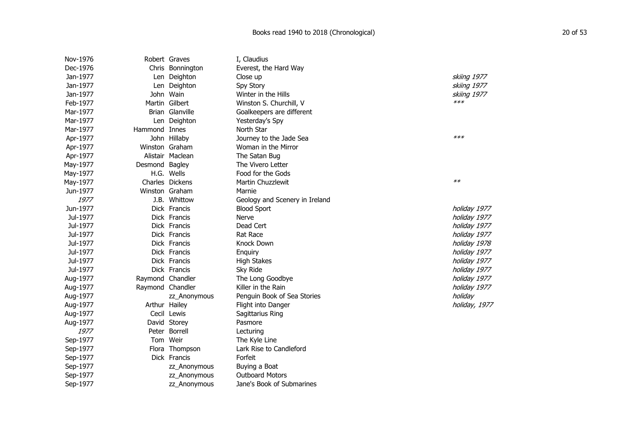| Nov-1976 |                  | Robert Graves    | I, Claudius                    |               |
|----------|------------------|------------------|--------------------------------|---------------|
| Dec-1976 |                  | Chris Bonnington | Everest, the Hard Way          |               |
| Jan-1977 |                  | Len Deighton     | Close up                       | skiing 1977   |
| Jan-1977 |                  | Len Deighton     | Spy Story                      | skiing 1977   |
| Jan-1977 |                  | John Wain        | Winter in the Hills            | skiing 1977   |
| Feb-1977 |                  | Martin Gilbert   | Winston S. Churchill, V        | $***$         |
| Mar-1977 |                  | Brian Glanville  | Goalkeepers are different      |               |
| Mar-1977 |                  | Len Deighton     | Yesterday's Spy                |               |
| Mar-1977 | Hammond Innes    |                  | North Star                     |               |
| Apr-1977 |                  | John Hillaby     | Journey to the Jade Sea        | $***$         |
| Apr-1977 |                  | Winston Graham   | Woman in the Mirror            |               |
| Apr-1977 |                  | Alistair Maclean | The Satan Bug                  |               |
| May-1977 | Desmond Bagley   |                  | The Vivero Letter              |               |
| May-1977 |                  | H.G. Wells       | Food for the Gods              |               |
| May-1977 |                  | Charles Dickens  | Martin Chuzzlewit              | $**$          |
| Jun-1977 |                  | Winston Graham   | Marnie                         |               |
| 1977     |                  | J.B. Whittow     | Geology and Scenery in Ireland |               |
| Jun-1977 |                  | Dick Francis     | <b>Blood Sport</b>             | holiday 1977  |
| Jul-1977 |                  | Dick Francis     | Nerve                          | holiday 1977  |
| Jul-1977 |                  | Dick Francis     | Dead Cert                      | holiday 1977  |
| Jul-1977 |                  | Dick Francis     | <b>Rat Race</b>                | holiday 1977  |
| Jul-1977 |                  | Dick Francis     | Knock Down                     | holiday 1978  |
| Jul-1977 |                  | Dick Francis     | Enquiry                        | holiday 1977  |
| Jul-1977 |                  | Dick Francis     | <b>High Stakes</b>             | holiday 1977  |
| Jul-1977 |                  | Dick Francis     | Sky Ride                       | holiday 1977  |
| Aug-1977 | Raymond Chandler |                  | The Long Goodbye               | holiday 1977  |
| Aug-1977 | Raymond Chandler |                  | Killer in the Rain             | holiday 1977  |
| Aug-1977 |                  | zz_Anonymous     | Penguin Book of Sea Stories    | holiday       |
| Aug-1977 |                  | Arthur Hailey    | Flight into Danger             | holiday, 1977 |
| Aug-1977 |                  | Cecil Lewis      | Sagittarius Ring               |               |
| Aug-1977 |                  | David Storey     | Pasmore                        |               |
| 1977     |                  | Peter Borrell    | Lecturing                      |               |
| Sep-1977 |                  | Tom Weir         | The Kyle Line                  |               |
| Sep-1977 |                  | Flora Thompson   | Lark Rise to Candleford        |               |
| Sep-1977 |                  | Dick Francis     | Forfeit                        |               |
| Sep-1977 |                  | zz_Anonymous     | Buying a Boat                  |               |
| Sep-1977 |                  | zz_Anonymous     | <b>Outboard Motors</b>         |               |
| Sep-1977 |                  | zz_Anonymous     | Jane's Book of Submarines      |               |
|          |                  |                  |                                |               |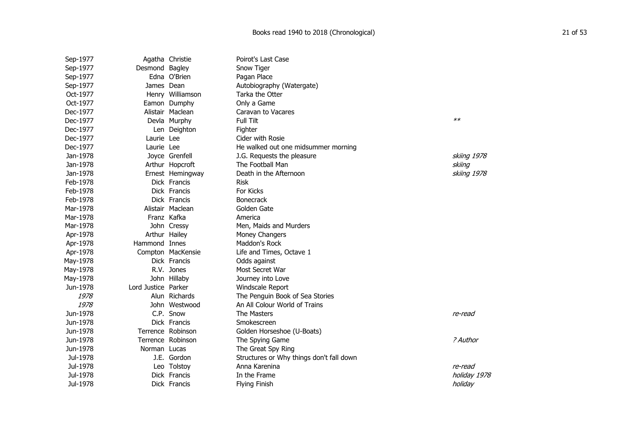| Sep-1977 |                     | Agatha Christie   | Poirot's Last Case                       |              |
|----------|---------------------|-------------------|------------------------------------------|--------------|
| Sep-1977 | Desmond Bagley      |                   | Snow Tiger                               |              |
| Sep-1977 |                     | Edna O'Brien      | Pagan Place                              |              |
| Sep-1977 | James Dean          |                   | Autobiography (Watergate)                |              |
| Oct-1977 |                     | Henry Williamson  | Tarka the Otter                          |              |
| Oct-1977 |                     | Eamon Dumphy      | Only a Game                              |              |
| Dec-1977 |                     | Alistair Maclean  | Caravan to Vacares                       |              |
| Dec-1977 |                     | Devla Murphy      | Full Tilt                                | $**$         |
| Dec-1977 |                     | Len Deighton      | Fighter                                  |              |
| Dec-1977 | Laurie Lee          |                   | Cider with Rosie                         |              |
| Dec-1977 | Laurie Lee          |                   | He walked out one midsummer morning      |              |
| Jan-1978 |                     | Joyce Grenfell    | J.G. Requests the pleasure               | skiing 1978  |
| Jan-1978 |                     | Arthur Hopcroft   | The Football Man                         | skiing       |
| Jan-1978 |                     | Ernest Hemingway  | Death in the Afternoon                   | skiing 1978  |
| Feb-1978 |                     | Dick Francis      | Risk                                     |              |
| Feb-1978 |                     | Dick Francis      | For Kicks                                |              |
| Feb-1978 |                     | Dick Francis      | <b>Bonecrack</b>                         |              |
| Mar-1978 |                     | Alistair Maclean  | Golden Gate                              |              |
| Mar-1978 |                     | Franz Kafka       | America                                  |              |
| Mar-1978 |                     | John Cressy       | Men, Maids and Murders                   |              |
| Apr-1978 |                     | Arthur Hailey     | Money Changers                           |              |
| Apr-1978 | Hammond Innes       |                   | Maddon's Rock                            |              |
| Apr-1978 |                     | Compton MacKensie | Life and Times, Octave 1                 |              |
| May-1978 |                     | Dick Francis      | Odds against                             |              |
| May-1978 |                     | R.V. Jones        | Most Secret War                          |              |
| May-1978 |                     | John Hillaby      | Journey into Love                        |              |
| Jun-1978 | Lord Justice Parker |                   | Windscale Report                         |              |
| 1978     |                     | Alun Richards     | The Penguin Book of Sea Stories          |              |
| 1978     |                     | John Westwood     | An All Colour World of Trains            |              |
| Jun-1978 |                     | C.P. Snow         | The Masters                              | re-read      |
| Jun-1978 |                     | Dick Francis      | Smokescreen                              |              |
| Jun-1978 |                     | Terrence Robinson | Golden Horseshoe (U-Boats)               |              |
| Jun-1978 |                     | Terrence Robinson | The Spying Game                          | ? Author     |
| Jun-1978 | Norman Lucas        |                   | The Great Spy Ring                       |              |
| Jul-1978 |                     | J.E. Gordon       | Structures or Why things don't fall down |              |
| Jul-1978 |                     | Leo Tolstoy       | Anna Karenina                            | re-read      |
| Jul-1978 |                     | Dick Francis      | In the Frame                             | holiday 1978 |
| Jul-1978 |                     | Dick Francis      | <b>Flying Finish</b>                     | holiday      |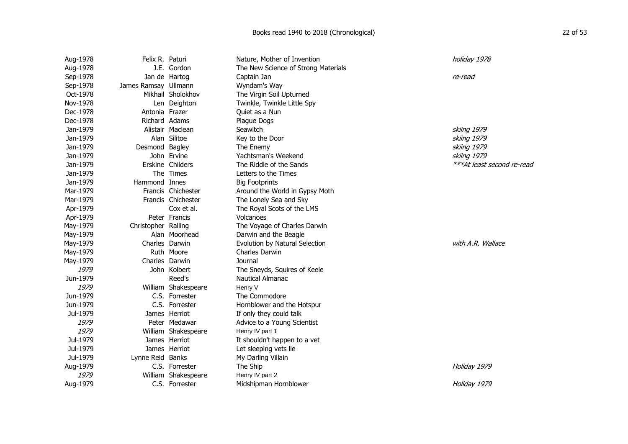| Aug-1978 | Felix R. Paturi      |                     | Nature, Mother of Invention         | holiday 1978               |
|----------|----------------------|---------------------|-------------------------------------|----------------------------|
| Aug-1978 |                      | J.E. Gordon         | The New Science of Strong Materials |                            |
| Sep-1978 |                      | Jan de Hartog       | Captain Jan                         | re-read                    |
| Sep-1978 | James Ramsay Ullmann |                     | Wyndam's Way                        |                            |
| Oct-1978 |                      | Mikhail Sholokhov   | The Virgin Soil Upturned            |                            |
| Nov-1978 |                      | Len Deighton        | Twinkle, Twinkle Little Spy         |                            |
| Dec-1978 | Antonia Frazer       |                     | Quiet as a Nun                      |                            |
| Dec-1978 | Richard Adams        |                     | Plague Dogs                         |                            |
| Jan-1979 |                      | Alistair Maclean    | Seawitch                            | skiing 1979                |
| Jan-1979 |                      | Alan Silitoe        | Key to the Door                     | skiing 1979                |
| Jan-1979 | Desmond Bagley       |                     | The Enemy                           | skiing 1979                |
| Jan-1979 |                      | John Ervine         | Yachtsman's Weekend                 | skiing 1979                |
| Jan-1979 |                      | Erskine Childers    | The Riddle of the Sands             | ***At least second re-read |
| Jan-1979 |                      | The Times           | Letters to the Times                |                            |
| Jan-1979 | Hammond Innes        |                     | <b>Big Footprints</b>               |                            |
| Mar-1979 |                      | Francis Chichester  | Around the World in Gypsy Moth      |                            |
| Mar-1979 |                      | Francis Chichester  | The Lonely Sea and Sky              |                            |
| Apr-1979 |                      | Cox et al.          | The Royal Scots of the LMS          |                            |
| Apr-1979 |                      | Peter Francis       | Volcanoes                           |                            |
| May-1979 | Christopher Ralling  |                     | The Voyage of Charles Darwin        |                            |
| May-1979 |                      | Alan Moorhead       | Darwin and the Beagle               |                            |
| May-1979 | Charles Darwin       |                     | Evolution by Natural Selection      | with A.R. Wallace          |
| May-1979 |                      | Ruth Moore          | Charles Darwin                      |                            |
| May-1979 | Charles Darwin       |                     | Journal                             |                            |
| 1979     |                      | John Kolbert        | The Sneyds, Squires of Keele        |                            |
| Jun-1979 |                      | Reed's              | Nautical Almanac                    |                            |
| 1979     |                      | William Shakespeare | Henry V                             |                            |
| Jun-1979 |                      | C.S. Forrester      | The Commodore                       |                            |
| Jun-1979 |                      | C.S. Forrester      | Hornblower and the Hotspur          |                            |
| Jul-1979 |                      | James Herriot       | If only they could talk             |                            |
| 1979     |                      | Peter Medawar       | Advice to a Young Scientist         |                            |
| 1979     |                      | William Shakespeare | Henry IV part 1                     |                            |
| Jul-1979 |                      | James Herriot       | It shouldn't happen to a vet        |                            |
| Jul-1979 |                      | James Herriot       | Let sleeping vets lie               |                            |
| Jul-1979 | Lynne Reid Banks     |                     | My Darling Villain                  |                            |
| Aug-1979 |                      | C.S. Forrester      | The Ship                            | Holiday 1979               |
| 1979     |                      | William Shakespeare | Henry IV part 2                     |                            |
| Aug-1979 |                      | C.S. Forrester      | Midshipman Hornblower               | Holiday 1979               |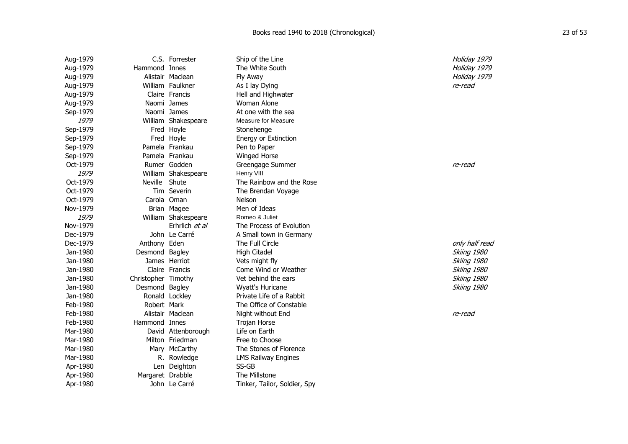| Aug-1979 |                     | C.S. Forrester      | Ship of the Line             | Holiday 1979   |
|----------|---------------------|---------------------|------------------------------|----------------|
| Aug-1979 | Hammond Innes       |                     | The White South              | Holiday 1979   |
| Aug-1979 |                     | Alistair Maclean    | Fly Away                     | Holiday 1979   |
| Aug-1979 |                     | William Faulkner    | As I lay Dying               | re-read        |
| Aug-1979 |                     | Claire Francis      | Hell and Highwater           |                |
| Aug-1979 |                     | Naomi James         | Woman Alone                  |                |
| Sep-1979 |                     | Naomi James         | At one with the sea          |                |
| 1979     |                     | William Shakespeare | <b>Measure for Measure</b>   |                |
| Sep-1979 |                     | Fred Hoyle          | Stonehenge                   |                |
| Sep-1979 |                     | Fred Hoyle          | Energy or Extinction         |                |
| Sep-1979 |                     | Pamela Frankau      | Pen to Paper                 |                |
| Sep-1979 |                     | Pamela Frankau      | Winged Horse                 |                |
| Oct-1979 |                     | Rumer Godden        | Greengage Summer             | re-read        |
| 1979     |                     | William Shakespeare | Henry VIII                   |                |
| Oct-1979 | Neville Shute       |                     | The Rainbow and the Rose     |                |
| Oct-1979 |                     | Tim Severin         | The Brendan Voyage           |                |
| Oct-1979 | Carola Oman         |                     | <b>Nelson</b>                |                |
| Nov-1979 |                     | Brian Magee         | Men of Ideas                 |                |
| 1979     |                     | William Shakespeare | Romeo & Juliet               |                |
| Nov-1979 |                     | Erhrlich et al      | The Process of Evolution     |                |
| Dec-1979 |                     | John Le Carré       | A Small town in Germany      |                |
| Dec-1979 | Anthony Eden        |                     | The Full Circle              | only half read |
| Jan-1980 | Desmond Bagley      |                     | <b>High Citadel</b>          | Skiing 1980    |
| Jan-1980 |                     | James Herriot       | Vets might fly               | Skiing 1980    |
| Jan-1980 |                     | Claire Francis      | Come Wind or Weather         | Skiing 1980    |
| Jan-1980 | Christopher Timothy |                     | Vet behind the ears          | Skiing 1980    |
| Jan-1980 | Desmond Bagley      |                     | Wyatt's Huricane             | Skiing 1980    |
| Jan-1980 |                     | Ronald Lockley      | Private Life of a Rabbit     |                |
| Feb-1980 | Robert Mark         |                     | The Office of Constable      |                |
| Feb-1980 |                     | Alistair Maclean    | Night without End            | re-read        |
| Feb-1980 | Hammond Innes       |                     | Trojan Horse                 |                |
| Mar-1980 |                     | David Attenborough  | Life on Earth                |                |
| Mar-1980 |                     | Milton Friedman     | Free to Choose               |                |
| Mar-1980 |                     | Mary McCarthy       | The Stones of Florence       |                |
| Mar-1980 |                     | R. Rowledge         | <b>LMS Railway Engines</b>   |                |
| Apr-1980 |                     | Len Deighton        | SS-GB                        |                |
| Apr-1980 | Margaret Drabble    |                     | The Millstone                |                |
| Apr-1980 |                     | John Le Carré       | Tinker, Tailor, Soldier, Spy |                |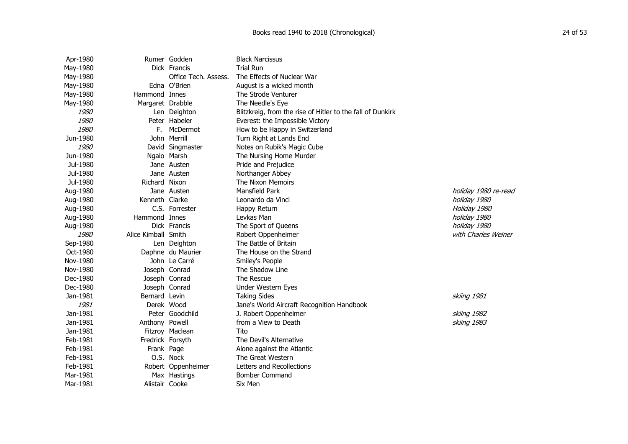| Apr-1980    |                     | Rumer Godden         | <b>Black Narcissus</b>                                     |                      |
|-------------|---------------------|----------------------|------------------------------------------------------------|----------------------|
| May-1980    |                     | Dick Francis         | <b>Trial Run</b>                                           |                      |
| May-1980    |                     | Office Tech. Assess. | The Effects of Nuclear War                                 |                      |
| May-1980    |                     | Edna O'Brien         | August is a wicked month                                   |                      |
| May-1980    | Hammond Innes       |                      | The Strode Venturer                                        |                      |
| May-1980    | Margaret Drabble    |                      | The Needle's Eye                                           |                      |
| 1980        |                     | Len Deighton         | Blitzkreig, from the rise of Hitler to the fall of Dunkirk |                      |
| 1980        |                     | Peter Habeler        | Everest: the Impossible Victory                            |                      |
| 1980        | F.                  | McDermot             | How to be Happy in Switzerland                             |                      |
| Jun-1980    |                     | John Merrill         | Turn Right at Lands End                                    |                      |
| <i>1980</i> |                     | David Singmaster     | Notes on Rubik's Magic Cube                                |                      |
| Jun-1980    |                     | Ngaio Marsh          | The Nursing Home Murder                                    |                      |
| Jul-1980    |                     | Jane Austen          | Pride and Prejudice                                        |                      |
| Jul-1980    |                     | Jane Austen          | Northanger Abbey                                           |                      |
| Jul-1980    | Richard Nixon       |                      | The Nixon Memoirs                                          |                      |
| Aug-1980    |                     | Jane Austen          | Mansfield Park                                             | holiday 1980 re-read |
| Aug-1980    | Kenneth Clarke      |                      | Leonardo da Vinci                                          | holiday 1980         |
| Aug-1980    |                     | C.S. Forrester       | Happy Return                                               | Holiday 1980         |
| Aug-1980    | Hammond Innes       |                      | Levkas Man                                                 | holiday 1980         |
| Aug-1980    |                     | Dick Francis         | The Sport of Queens                                        | holiday 1980         |
| <i>1980</i> | Alice Kimball Smith |                      | Robert Oppenheimer                                         | with Charles Weiner  |
| Sep-1980    |                     | Len Deighton         | The Battle of Britain                                      |                      |
| Oct-1980    |                     | Daphne du Maurier    | The House on the Strand                                    |                      |
| Nov-1980    |                     | John Le Carré        | Smiley's People                                            |                      |
| Nov-1980    |                     | Joseph Conrad        | The Shadow Line                                            |                      |
| Dec-1980    |                     | Joseph Conrad        | The Rescue                                                 |                      |
| Dec-1980    |                     | Joseph Conrad        | Under Western Eyes                                         |                      |
| Jan-1981    | Bernard Levin       |                      | <b>Taking Sides</b>                                        | skiing 1981          |
| 1981        |                     | Derek Wood           | Jane's World Aircraft Recognition Handbook                 |                      |
| Jan-1981    |                     | Peter Goodchild      | J. Robert Oppenheimer                                      | skiing 1982          |
| Jan-1981    | Anthony Powell      |                      | from a View to Death                                       | skiing 1983          |
| Jan-1981    |                     | Fitzroy Maclean      | Tito                                                       |                      |
| Feb-1981    | Fredrick Forsyth    |                      | The Devil's Alternative                                    |                      |
| Feb-1981    | Frank Page          |                      | Alone against the Atlantic                                 |                      |
| Feb-1981    |                     | O.S. Nock            | The Great Western                                          |                      |
| Feb-1981    |                     | Robert Oppenheimer   | Letters and Recollections                                  |                      |
| Mar-1981    |                     | Max Hastings         | Bomber Command                                             |                      |
| Mar-1981    | Alistair Cooke      |                      | Six Men                                                    |                      |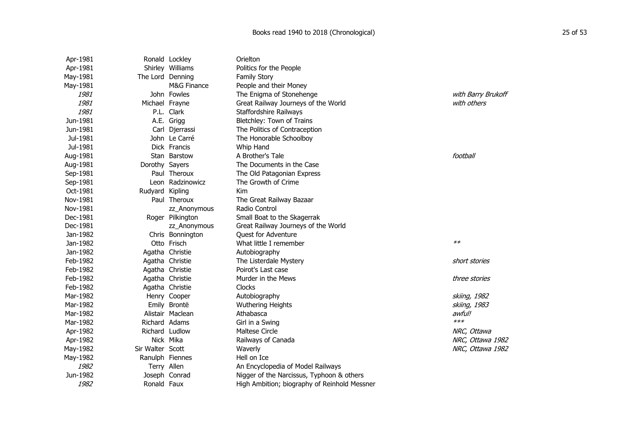| Apr-1981 |                  | Ronald Lockley   | Orielton                                     |                    |
|----------|------------------|------------------|----------------------------------------------|--------------------|
| Apr-1981 |                  | Shirley Williams | Politics for the People                      |                    |
| May-1981 | The Lord Denning |                  | <b>Family Story</b>                          |                    |
| May-1981 |                  | M&G Finance      | People and their Money                       |                    |
| 1981     |                  | John Fowles      | The Enigma of Stonehenge                     | with Barry Brukoff |
| 1981     | Michael Frayne   |                  | Great Railway Journeys of the World          | with others        |
| 1981     |                  | P.L. Clark       | Staffordshire Railways                       |                    |
| Jun-1981 |                  | A.E. Grigg       | Bletchley: Town of Trains                    |                    |
| Jun-1981 |                  | Carl Djerrassi   | The Politics of Contraception                |                    |
| Jul-1981 |                  | John Le Carré    | The Honorable Schoolboy                      |                    |
| Jul-1981 |                  | Dick Francis     | Whip Hand                                    |                    |
| Aug-1981 |                  | Stan Barstow     | A Brother's Tale                             | football           |
| Aug-1981 | Dorothy Sayers   |                  | The Documents in the Case                    |                    |
| Sep-1981 |                  | Paul Theroux     | The Old Patagonian Express                   |                    |
| Sep-1981 |                  | Leon Radzinowicz | The Growth of Crime                          |                    |
| Oct-1981 | Rudyard Kipling  |                  | Kim                                          |                    |
| Nov-1981 |                  | Paul Theroux     | The Great Railway Bazaar                     |                    |
| Nov-1981 |                  | zz_Anonymous     | Radio Control                                |                    |
| Dec-1981 |                  | Roger Pilkington | Small Boat to the Skagerrak                  |                    |
| Dec-1981 |                  | zz_Anonymous     | Great Railway Journeys of the World          |                    |
| Jan-1982 |                  | Chris Bonnington | Quest for Adventure                          |                    |
| Jan-1982 |                  | Otto Frisch      | What little I remember                       | $**$               |
| Jan-1982 |                  | Agatha Christie  | Autobiography                                |                    |
| Feb-1982 |                  | Agatha Christie  | The Listerdale Mystery                       | short stories      |
| Feb-1982 |                  | Agatha Christie  | Poirot's Last case                           |                    |
| Feb-1982 |                  | Agatha Christie  | Murder in the Mews                           | three stories      |
| Feb-1982 |                  | Agatha Christie  | <b>Clocks</b>                                |                    |
| Mar-1982 |                  | Henry Cooper     | Autobiography                                | skiing, 1982       |
| Mar-1982 |                  | Emily Brontë     | <b>Wuthering Heights</b>                     | skiing, 1983       |
| Mar-1982 |                  | Alistair Maclean | Athabasca                                    | awful!             |
| Mar-1982 | Richard Adams    |                  | Girl in a Swing                              | $***$              |
| Apr-1982 | Richard Ludlow   |                  | <b>Maltese Circle</b>                        | NRC, Ottawa        |
| Apr-1982 |                  | Nick Mika        | Railways of Canada                           | NRC, Ottawa 1982   |
| May-1982 | Sir Walter Scott |                  | Waverly                                      | NRC, Ottawa 1982   |
| May-1982 | Ranulph Fiennes  |                  | Hell on Ice                                  |                    |
| 1982     | Terry Allen      |                  | An Encyclopedia of Model Railways            |                    |
| Jun-1982 |                  | Joseph Conrad    | Nigger of the Narcissus, Typhoon & others    |                    |
| 1982     | Ronald Faux      |                  | High Ambition; biography of Reinhold Messner |                    |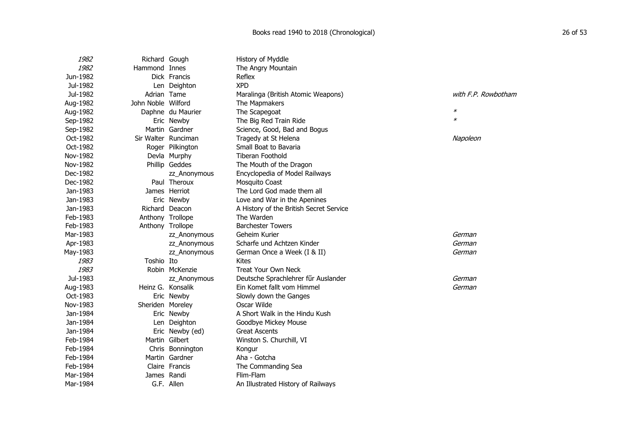| 1982     | Richard Gough      |                     | History of Myddle                       |                     |
|----------|--------------------|---------------------|-----------------------------------------|---------------------|
| 1982     | Hammond Innes      |                     | The Angry Mountain                      |                     |
| Jun-1982 |                    | Dick Francis        | Reflex                                  |                     |
| Jul-1982 |                    | Len Deighton        | <b>XPD</b>                              |                     |
| Jul-1982 | Adrian Tame        |                     | Maralinga (British Atomic Weapons)      | with F.P. Rowbotham |
| Aug-1982 | John Noble Wilford |                     | The Mapmakers                           |                     |
| Aug-1982 |                    | Daphne du Maurier   | The Scapegoat                           | $\ast$              |
| Sep-1982 |                    | Eric Newby          | The Big Red Train Ride                  | $\ast$              |
| Sep-1982 |                    | Martin Gardner      | Science, Good, Bad and Bogus            |                     |
| Oct-1982 |                    | Sir Walter Runciman | Tragedy at St Helena                    | Napoleon            |
| Oct-1982 |                    | Roger Pilkington    | Small Boat to Bavaria                   |                     |
| Nov-1982 |                    | Devla Murphy        | <b>Tiberan Foothold</b>                 |                     |
| Nov-1982 |                    | Phillip Geddes      | The Mouth of the Dragon                 |                     |
| Dec-1982 |                    | zz_Anonymous        | Encyclopedia of Model Railways          |                     |
| Dec-1982 |                    | Paul Theroux        | Mosquito Coast                          |                     |
| Jan-1983 |                    | James Herriot       | The Lord God made them all              |                     |
| Jan-1983 |                    | Eric Newby          | Love and War in the Apenines            |                     |
| Jan-1983 |                    | Richard Deacon      | A History of the British Secret Service |                     |
| Feb-1983 | Anthony Trollope   |                     | The Warden                              |                     |
| Feb-1983 | Anthony Trollope   |                     | <b>Barchester Towers</b>                |                     |
| Mar-1983 |                    | zz_Anonymous        | Geheim Kurier                           | German              |
| Apr-1983 |                    | zz_Anonymous        | Scharfe und Achtzen Kinder              | German              |
| May-1983 |                    | zz_Anonymous        | German Once a Week (I & II)             | German              |
| 1983     | Toshio Ito         |                     | Kites                                   |                     |
| 1983     |                    | Robin McKenzie      | <b>Treat Your Own Neck</b>              |                     |
| Jul-1983 |                    | zz_Anonymous        | Deutsche Sprachlehrer für Auslander     | German              |
| Aug-1983 | Heinz G. Konsalik  |                     | Ein Komet fallt vom Himmel              | German              |
| Oct-1983 |                    | Eric Newby          | Slowly down the Ganges                  |                     |
| Nov-1983 | Sheriden Moreley   |                     | Oscar Wilde                             |                     |
| Jan-1984 |                    | Eric Newby          | A Short Walk in the Hindu Kush          |                     |
| Jan-1984 |                    | Len Deighton        | Goodbye Mickey Mouse                    |                     |
| Jan-1984 |                    | Eric Newby (ed)     | <b>Great Ascents</b>                    |                     |
| Feb-1984 |                    | Martin Gilbert      | Winston S. Churchill, VI                |                     |
| Feb-1984 |                    | Chris Bonnington    | Kongur                                  |                     |
| Feb-1984 |                    | Martin Gardner      | Aha - Gotcha                            |                     |
| Feb-1984 |                    | Claire Francis      | The Commanding Sea                      |                     |
| Mar-1984 | James Randi        |                     | Flim-Flam                               |                     |
| Mar-1984 |                    | G.F. Allen          | An Illustrated History of Railways      |                     |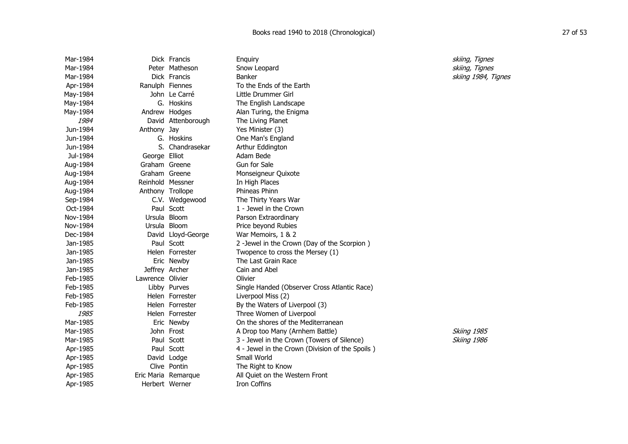| Mar-1984 |                  | Dick Francis        | Enquiry                                         | skiing, Tignes      |
|----------|------------------|---------------------|-------------------------------------------------|---------------------|
| Mar-1984 |                  | Peter Matheson      | Snow Leopard                                    | skiing, Tignes      |
| Mar-1984 |                  | Dick Francis        | <b>Banker</b>                                   | skiing 1984, Tignes |
| Apr-1984 |                  | Ranulph Fiennes     | To the Ends of the Earth                        |                     |
| May-1984 |                  | John Le Carré       | Little Drummer Girl                             |                     |
| May-1984 |                  | G. Hoskins          | The English Landscape                           |                     |
| May-1984 |                  | Andrew Hodges       | Alan Turing, the Enigma                         |                     |
| 1984     |                  | David Attenborough  | The Living Planet                               |                     |
| Jun-1984 | Anthony Jay      |                     | Yes Minister (3)                                |                     |
| Jun-1984 |                  | G. Hoskins          | One Man's England                               |                     |
| Jun-1984 |                  | S. Chandrasekar     | Arthur Eddington                                |                     |
| Jul-1984 | George Elliot    |                     | Adam Bede                                       |                     |
| Aug-1984 | Graham Greene    |                     | Gun for Sale                                    |                     |
| Aug-1984 | Graham Greene    |                     | Monseigneur Quixote                             |                     |
| Aug-1984 |                  | Reinhold Messner    | In High Places                                  |                     |
| Aug-1984 |                  | Anthony Trollope    | Phineas Phinn                                   |                     |
| Sep-1984 |                  | C.V. Wedgewood      | The Thirty Years War                            |                     |
| Oct-1984 |                  | Paul Scott          | 1 - Jewel in the Crown                          |                     |
| Nov-1984 |                  | Ursula Bloom        | Parson Extraordinary                            |                     |
| Nov-1984 |                  | Ursula Bloom        | Price beyond Rubies                             |                     |
| Dec-1984 |                  | David Lloyd-George  | War Memoirs, 1 & 2                              |                     |
| Jan-1985 |                  | Paul Scott          | 2 -Jewel in the Crown (Day of the Scorpion)     |                     |
| Jan-1985 |                  | Helen Forrester     | Twopence to cross the Mersey (1)                |                     |
| Jan-1985 |                  | Eric Newby          | The Last Grain Race                             |                     |
| Jan-1985 |                  | Jeffrey Archer      | Cain and Abel                                   |                     |
| Feb-1985 | Lawrence Olivier |                     | Olivier                                         |                     |
| Feb-1985 |                  | Libby Purves        | Single Handed (Observer Cross Atlantic Race)    |                     |
| Feb-1985 |                  | Helen Forrester     | Liverpool Miss (2)                              |                     |
| Feb-1985 |                  | Helen Forrester     | By the Waters of Liverpool (3)                  |                     |
| 1985     |                  | Helen Forrester     | Three Women of Liverpool                        |                     |
| Mar-1985 |                  | Eric Newby          | On the shores of the Mediterranean              |                     |
| Mar-1985 |                  | John Frost          | A Drop too Many (Arnhem Battle)                 | Skiing 1985         |
| Mar-1985 |                  | Paul Scott          | 3 - Jewel in the Crown (Towers of Silence)      | Skiing 1986         |
| Apr-1985 |                  | Paul Scott          | 4 - Jewel in the Crown (Division of the Spoils) |                     |
| Apr-1985 |                  | David Lodge         | Small World                                     |                     |
| Apr-1985 |                  | Clive Pontin        | The Right to Know                               |                     |
| Apr-1985 |                  | Eric Maria Remarque | All Quiet on the Western Front                  |                     |
| Apr-1985 |                  | Herbert Werner      | Iron Coffins                                    |                     |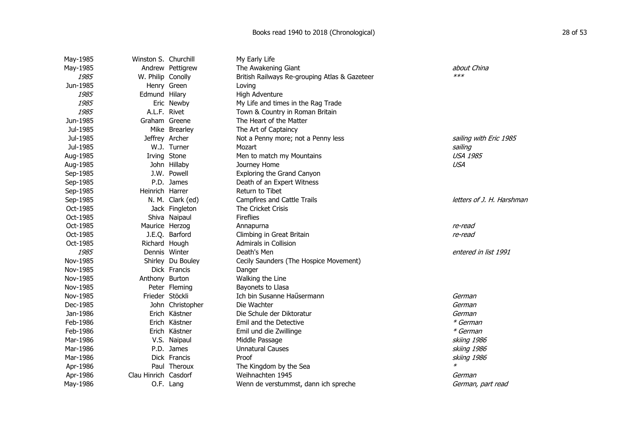| May-1985 | Winston S. Churchill |                   | My Early Life                                 |                           |
|----------|----------------------|-------------------|-----------------------------------------------|---------------------------|
| May-1985 |                      | Andrew Pettigrew  | The Awakening Giant                           | about China               |
| 1985     | W. Philip Conolly    |                   | British Railways Re-grouping Atlas & Gazeteer | $***$                     |
| Jun-1985 |                      | Henry Green       | Loving                                        |                           |
| 1985     | Edmund Hilary        |                   | High Adventure                                |                           |
| 1985     |                      | Eric Newby        | My Life and times in the Rag Trade            |                           |
| 1985     | A.L.F. Rivet         |                   | Town & Country in Roman Britain               |                           |
| Jun-1985 | Graham Greene        |                   | The Heart of the Matter                       |                           |
| Jul-1985 |                      | Mike Brearley     | The Art of Captaincy                          |                           |
| Jul-1985 | Jeffrey Archer       |                   | Not a Penny more; not a Penny less            | sailing with Eric 1985    |
| Jul-1985 |                      | W.J. Turner       | Mozart                                        | sailing                   |
| Aug-1985 |                      | Irving Stone      | Men to match my Mountains                     | <b>USA 1985</b>           |
| Aug-1985 |                      | John Hillaby      | Journey Home                                  | <b>USA</b>                |
| Sep-1985 |                      | J.W. Powell       | Exploring the Grand Canyon                    |                           |
| Sep-1985 |                      | P.D. James        | Death of an Expert Witness                    |                           |
| Sep-1985 | Heinrich Harrer      |                   | Return to Tibet                               |                           |
| Sep-1985 |                      | N. M. Clark (ed)  | Campfires and Cattle Trails                   | letters of J. H. Harshman |
| Oct-1985 |                      | Jack Fingleton    | The Cricket Crisis                            |                           |
| Oct-1985 |                      | Shiva Naipaul     | Fireflies                                     |                           |
| Oct-1985 | Maurice Herzog       |                   | Annapurna                                     | re-read                   |
| Oct-1985 |                      | J.E.Q. Barford    | Climbing in Great Britain                     | re-read                   |
| Oct-1985 | Richard Hough        |                   | Admirals in Collision                         |                           |
| 1985     |                      | Dennis Winter     | Death's Men                                   | entered in list 1991      |
| Nov-1985 |                      | Shirley Du Bouley | Cecily Saunders (The Hospice Movement)        |                           |
| Nov-1985 |                      | Dick Francis      | Danger                                        |                           |
| Nov-1985 | Anthony Burton       |                   | Walking the Line                              |                           |
| Nov-1985 |                      | Peter Fleming     | Bayonets to Llasa                             |                           |
| Nov-1985 | Frieder Stöckli      |                   | Ich bin Susanne Haűsermann                    | German                    |
| Dec-1985 |                      | John Christopher  | Die Wachter                                   | German                    |
| Jan-1986 |                      | Erich Kästner     | Die Schule der Diktoratur                     | German                    |
| Feb-1986 |                      | Erich Kästner     | Emil and the Detective                        | * German                  |
| Feb-1986 |                      | Erich Kästner     | Emil und die Zwillinge                        | * German                  |
| Mar-1986 |                      | V.S. Naipaul      | Middle Passage                                | skiing 1986               |
| Mar-1986 |                      | P.D. James        | <b>Unnatural Causes</b>                       | skiing 1986               |
| Mar-1986 |                      | Dick Francis      | Proof                                         | skiing 1986               |
| Apr-1986 |                      | Paul Theroux      | The Kingdom by the Sea                        | $\ast$                    |
| Apr-1986 | Clau Hinrich Casdorf |                   | Weihnachten 1945                              | German                    |
| May-1986 |                      | O.F. Lang         | Wenn de verstummst, dann ich spreche          | German, part read         |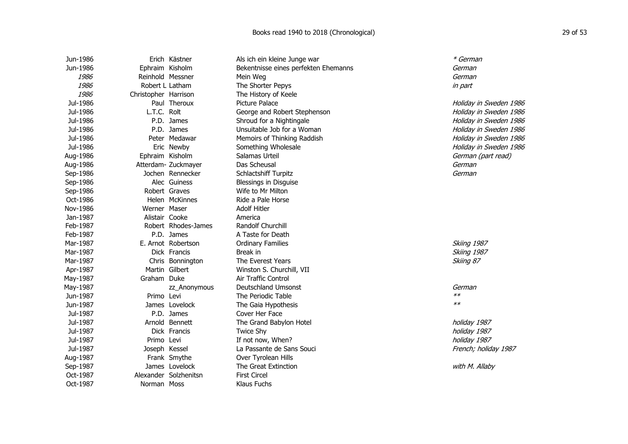| Jun-1986 |                      | Erich Kästner         | Als ich ein kleine Junge war         | * German               |
|----------|----------------------|-----------------------|--------------------------------------|------------------------|
| Jun-1986 | Ephraim Kisholm      |                       | Bekentnisse eines perfekten Ehemanns | German                 |
| 1986     | Reinhold Messner     |                       | Mein Weg                             | German                 |
| 1986     | Robert L Latham      |                       | The Shorter Pepys                    | in part                |
| 1986     | Christopher Harrison |                       | The History of Keele                 |                        |
| Jul-1986 |                      | Paul Theroux          | Picture Palace                       | Holiday in Sweden 1986 |
| Jul-1986 | L.T.C. Rolt          |                       | George and Robert Stephenson         | Holiday in Sweden 1986 |
| Jul-1986 |                      | P.D. James            | Shroud for a Nightingale             | Holiday in Sweden 1986 |
| Jul-1986 |                      | P.D. James            | Unsuitable Job for a Woman           | Holiday in Sweden 1986 |
| Jul-1986 |                      | Peter Medawar         | Memoirs of Thinking Raddish          | Holiday in Sweden 1986 |
| Jul-1986 |                      | Eric Newby            | Something Wholesale                  | Holiday in Sweden 1986 |
| Aug-1986 | Ephraim Kisholm      |                       | Salamas Urteil                       | German (part read)     |
| Aug-1986 |                      | Atterdam- Zuckmayer   | Das Scheusal                         | German                 |
| Sep-1986 |                      | Jochen Rennecker      | Schlactshiff Turpitz                 | German                 |
| Sep-1986 |                      | Alec Guiness          | Blessings in Disguise                |                        |
| Sep-1986 | Robert Graves        |                       | Wife to Mr Milton                    |                        |
| Oct-1986 |                      | Helen McKinnes        | Ride a Pale Horse                    |                        |
| Nov-1986 | Werner Maser         |                       | <b>Adolf Hitler</b>                  |                        |
| Jan-1987 | Alistair Cooke       |                       | America                              |                        |
| Feb-1987 |                      | Robert Rhodes-James   | <b>Randolf Churchill</b>             |                        |
| Feb-1987 |                      | P.D. James            | A Taste for Death                    |                        |
| Mar-1987 |                      | E. Arnot Robertson    | <b>Ordinary Families</b>             | Skiing 1987            |
| Mar-1987 |                      | Dick Francis          | Break in                             | Skiing 1987            |
| Mar-1987 |                      | Chris Bonnington      | The Everest Years                    | Skiing 87              |
| Apr-1987 | Martin Gilbert       |                       | Winston S. Churchill, VII            |                        |
| May-1987 | Graham Duke          |                       | Air Traffic Control                  |                        |
| May-1987 |                      | zz Anonymous          | Deutschland Umsonst                  | German                 |
| Jun-1987 | Primo Levi           |                       | The Periodic Table                   | $**$                   |
| Jun-1987 |                      | James Lovelock        | The Gaia Hypothesis                  | $**$                   |
| Jul-1987 |                      | P.D. James            | Cover Her Face                       |                        |
| Jul-1987 |                      | Arnold Bennett        | The Grand Babylon Hotel              | holiday 1987           |
| Jul-1987 |                      | Dick Francis          | <b>Twice Shy</b>                     | holiday 1987           |
| Jul-1987 | Primo Levi           |                       | If not now, When?                    | holiday 1987           |
| Jul-1987 | Joseph Kessel        |                       | La Passante de Sans Souci            | French; holiday 1987   |
| Aug-1987 |                      | Frank Smythe          | Over Tyrolean Hills                  |                        |
| Sep-1987 |                      | James Lovelock        | The Great Extinction                 | with M. Allaby         |
| Oct-1987 |                      | Alexander Solzhenitsn | <b>First Circel</b>                  |                        |
| Oct-1987 | Norman Moss          |                       | Klaus Fuchs                          |                        |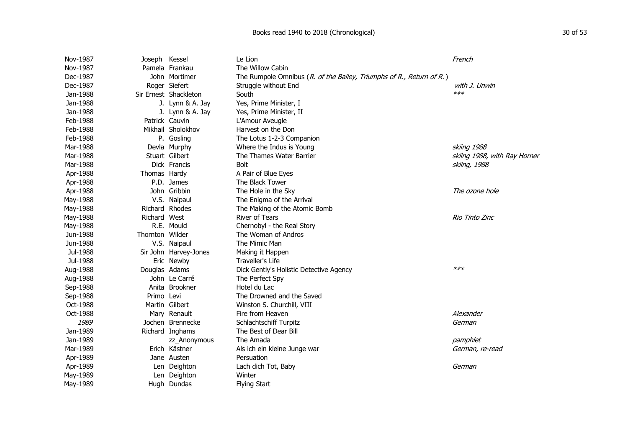## Books read 1940 to 2018 (Chronological) 30 of 53

| Nov-1987 | Joseph Kessel   |                       | Le Lion                                                              | French                       |
|----------|-----------------|-----------------------|----------------------------------------------------------------------|------------------------------|
| Nov-1987 |                 | Pamela Frankau        | The Willow Cabin                                                     |                              |
| Dec-1987 |                 | John Mortimer         | The Rumpole Omnibus (R. of the Bailey, Triumphs of R., Return of R.) |                              |
| Dec-1987 |                 | Roger Siefert         | Struggle without End                                                 | with J. Unwin                |
| Jan-1988 |                 | Sir Ernest Shackleton | South                                                                | $***$                        |
| Jan-1988 |                 | J. Lynn & A. Jay      | Yes, Prime Minister, I                                               |                              |
| Jan-1988 |                 | J. Lynn & A. Jay      | Yes, Prime Minister, II                                              |                              |
| Feb-1988 |                 | Patrick Cauvin        | L'Amour Aveugle                                                      |                              |
| Feb-1988 |                 | Mikhail Sholokhov     | Harvest on the Don                                                   |                              |
| Feb-1988 |                 | P. Gosling            | The Lotus 1-2-3 Companion                                            |                              |
| Mar-1988 |                 | Devla Murphy          | Where the Indus is Young                                             | skiing 1988                  |
| Mar-1988 |                 | Stuart Gilbert        | The Thames Water Barrier                                             | skiing 1988, with Ray Horner |
| Mar-1988 |                 | Dick Francis          | <b>Bolt</b>                                                          | skiing, 1988                 |
| Apr-1988 | Thomas Hardy    |                       | A Pair of Blue Eyes                                                  |                              |
| Apr-1988 |                 | P.D. James            | The Black Tower                                                      |                              |
| Apr-1988 |                 | John Gribbin          | The Hole in the Sky                                                  | The ozone hole               |
| May-1988 |                 | V.S. Naipaul          | The Enigma of the Arrival                                            |                              |
| May-1988 |                 | Richard Rhodes        | The Making of the Atomic Bomb                                        |                              |
| May-1988 | Richard West    |                       | River of Tears                                                       | Rio Tinto Zinc               |
| May-1988 |                 | R.E. Mould            | Chernobyl - the Real Story                                           |                              |
| Jun-1988 | Thornton Wilder |                       | The Woman of Andros                                                  |                              |
| Jun-1988 |                 | V.S. Naipaul          | The Mimic Man                                                        |                              |
| Jul-1988 |                 | Sir John Harvey-Jones | Making it Happen                                                     |                              |
| Jul-1988 |                 | Eric Newby            | Traveller's Life                                                     |                              |
| Aug-1988 | Douglas Adams   |                       | Dick Gently's Holistic Detective Agency                              | $***$                        |
| Aug-1988 |                 | John Le Carré         | The Perfect Spy                                                      |                              |
| Sep-1988 |                 | Anita Brookner        | Hotel du Lac                                                         |                              |
| Sep-1988 | Primo Levi      |                       | The Drowned and the Saved                                            |                              |
| Oct-1988 |                 | Martin Gilbert        | Winston S. Churchill, VIII                                           |                              |
| Oct-1988 |                 | Mary Renault          | Fire from Heaven                                                     | Alexander                    |
| 1989     |                 | Jochen Brennecke      | Schlachtschiff Turpitz                                               | German                       |
| Jan-1989 |                 | Richard Inghams       | The Best of Dear Bill                                                |                              |
| Jan-1989 |                 | zz_Anonymous          | The Amada                                                            | pamphlet                     |
| Mar-1989 |                 | Erich Kästner         | Als ich ein kleine Junge war                                         | German, re-read              |
| Apr-1989 |                 | Jane Austen           | Persuation                                                           |                              |
| Apr-1989 |                 | Len Deighton          | Lach dich Tot, Baby                                                  | German                       |
| May-1989 |                 | Len Deighton          | Winter                                                               |                              |
| May-1989 |                 | Hugh Dundas           | <b>Flying Start</b>                                                  |                              |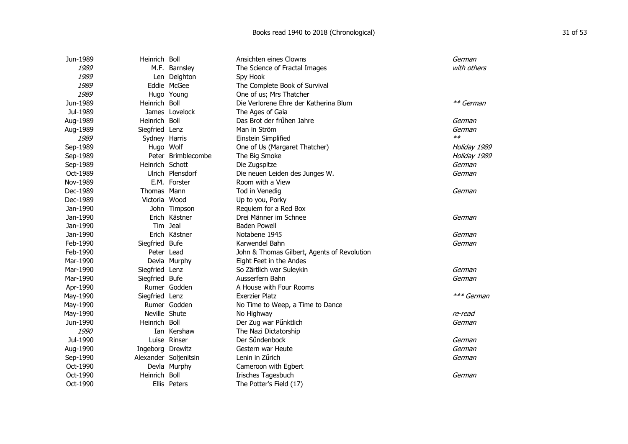| Jun-1989 | Heinrich Boll         |                    | Ansichten eines Clowns                      | German       |
|----------|-----------------------|--------------------|---------------------------------------------|--------------|
| 1989     |                       | M.F. Barnsley      | The Science of Fractal Images               | with others  |
| 1989     |                       | Len Deighton       | Spy Hook                                    |              |
| 1989     | Eddie McGee           |                    | The Complete Book of Survival               |              |
| 1989     | Hugo Young            |                    | One of us; Mrs Thatcher                     |              |
| Jun-1989 | Heinrich Boll         |                    | Die Verlorene Ehre der Katherina Blum       | ** German    |
| Jul-1989 | James Lovelock        |                    | The Ages of Gaia                            |              |
| Aug-1989 | Heinrich Boll         |                    | Das Brot der frühen Jahre                   | German       |
| Aug-1989 | Siegfried Lenz        |                    | Man in Ström                                | German       |
| 1989     | Sydney Harris         |                    | Einstein Simplified                         | $**$         |
| Sep-1989 | Hugo Wolf             |                    | One of Us (Margaret Thatcher)               | Holiday 1989 |
| Sep-1989 |                       | Peter Brimblecombe | The Big Smoke                               | Holiday 1989 |
| Sep-1989 | Heinrich Schott       |                    | Die Zugspitze                               | German       |
| Oct-1989 |                       | Ulrich Plensdorf   | Die neuen Leiden des Junges W.              | German       |
| Nov-1989 |                       | E.M. Forster       | Room with a View                            |              |
| Dec-1989 | Thomas Mann           |                    | Tod in Venedig                              | German       |
| Dec-1989 | Victoria Wood         |                    | Up to you, Porky                            |              |
| Jan-1990 |                       | John Timpson       | Requiem for a Red Box                       |              |
| Jan-1990 |                       | Erich Kästner      | Drei Männer im Schnee                       | German       |
| Jan-1990 | Tim Jeal              |                    | <b>Baden Powell</b>                         |              |
| Jan-1990 |                       | Erich Kästner      | Notabene 1945                               | German       |
| Feb-1990 | Siegfried Bufe        |                    | Karwendel Bahn                              | German       |
| Feb-1990 | Peter Lead            |                    | John & Thomas Gilbert, Agents of Revolution |              |
| Mar-1990 | Devla Murphy          |                    | Eight Feet in the Andes                     |              |
| Mar-1990 | Siegfried Lenz        |                    | So Zärtlich war Suleykin                    | German       |
| Mar-1990 | Siegfried Bufe        |                    | Ausserfern Bahn                             | German       |
| Apr-1990 | Rumer Godden          |                    | A House with Four Rooms                     |              |
| May-1990 | Siegfried Lenz        |                    | <b>Exerzier Platz</b>                       | *** German   |
| May-1990 | Rumer Godden          |                    | No Time to Weep, a Time to Dance            |              |
| May-1990 | Neville Shute         |                    | No Highway                                  | re-read      |
| Jun-1990 | Heinrich Boll         |                    | Der Zug war Pünktlich                       | German       |
| 1990     |                       | Ian Kershaw        | The Nazi Dictatorship                       |              |
| Jul-1990 | Luise Rinser          |                    | Der Sűndenbock                              | German       |
| Aug-1990 | Ingeborg Drewitz      |                    | Gestern war Heute                           | German       |
| Sep-1990 | Alexander Soljenitsin |                    | Lenin in Zűrich                             | German       |
| Oct-1990 | Devla Murphy          |                    | Cameroon with Egbert                        |              |
| Oct-1990 | Heinrich              | Boll               | Irisches Tagesbuch                          | German       |
| Oct-1990 | Ellis Peters          |                    | The Potter's Field (17)                     |              |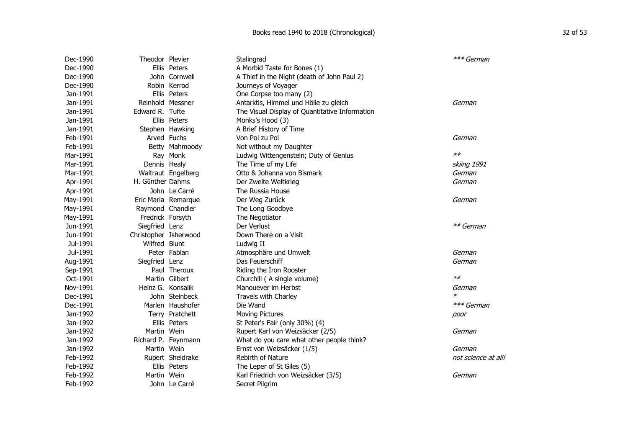| Dec-1990 | Theodor Plevier       |                     | Stalingrad                                     | *** German          |
|----------|-----------------------|---------------------|------------------------------------------------|---------------------|
| Dec-1990 |                       | Ellis Peters        | A Morbid Taste for Bones (1)                   |                     |
| Dec-1990 |                       | John Cornwell       | A Thief in the Night (death of John Paul 2)    |                     |
| Dec-1990 |                       | Robin Kerrod        | Journeys of Voyager                            |                     |
| Jan-1991 |                       | Ellis Peters        | One Corpse too many (2)                        |                     |
| Jan-1991 | Reinhold Messner      |                     | Antarktis, Himmel und Hölle zu gleich          | German              |
| Jan-1991 | Edward R. Tufte       |                     | The Visual Display of Quantitative Information |                     |
| Jan-1991 |                       | Ellis Peters        | Monks's Hood (3)                               |                     |
| Jan-1991 |                       | Stephen Hawking     | A Brief History of Time                        |                     |
| Feb-1991 | Arved Fuchs           |                     | Von Pol zu Pol                                 | German              |
| Feb-1991 |                       | Betty Mahmoody      | Not without my Daughter                        |                     |
| Mar-1991 |                       | Ray Monk            | Ludwig Wittengenstein; Duty of Genius          | $**$                |
| Mar-1991 | Dennis Healy          |                     | The Time of my Life                            | skiing 1991         |
| Mar-1991 |                       | Waltraut Engelberg  | Otto & Johanna von Bismark                     | German              |
| Apr-1991 | H. Gűnther Dahms      |                     | Der Zweite Weltkrieg                           | German              |
| Apr-1991 |                       | John Le Carré       | The Russia House                               |                     |
| May-1991 |                       | Eric Maria Remarque | Der Weg Zurück                                 | German              |
| May-1991 | Raymond Chandler      |                     | The Long Goodbye                               |                     |
| May-1991 | Fredrick Forsyth      |                     | The Negotiator                                 |                     |
| Jun-1991 | Siegfried Lenz        |                     | Der Verlust                                    | ** German           |
| Jun-1991 | Christopher Isherwood |                     | Down There on a Visit                          |                     |
| Jul-1991 | Wilfred Blunt         |                     | Ludwig II                                      |                     |
| Jul-1991 |                       | Peter Fabian        | Atmosphäre und Umwelt                          | German              |
| Aug-1991 | Siegfried Lenz        |                     | Das Feuerschiff                                | German              |
| Sep-1991 |                       | Paul Theroux        | Riding the Iron Rooster                        |                     |
| Oct-1991 |                       | Martin Gilbert      | Churchill (A single volume)                    | $**$                |
| Nov-1991 | Heinz G. Konsalik     |                     | Manouever im Herbst                            | German              |
| Dec-1991 |                       | John Steinbeck      | Travels with Charley                           | $\ast$              |
| Dec-1991 |                       | Marlen Haushofer    | Die Wand                                       | *** German          |
| Jan-1992 |                       | Terry Pratchett     | <b>Moving Pictures</b>                         | poor                |
| Jan-1992 |                       | Ellis Peters        | St Peter's Fair (only 30%) (4)                 |                     |
| Jan-1992 | Martin Wein           |                     | Rupert Karl von Weizsäcker (2/5)               | German              |
| Jan-1992 |                       | Richard P. Feynmann | What do you care what other people think?      |                     |
| Jan-1992 | Martin Wein           |                     | Ernst von Weizsäcker (1/5)                     | German              |
| Feb-1992 |                       | Rupert Sheldrake    | Rebirth of Nature                              | not science at all! |
| Feb-1992 |                       | Ellis Peters        | The Leper of St Giles (5)                      |                     |
| Feb-1992 | Martin Wein           |                     | Karl Friedrich von Weizsäcker (3/5)            | German              |
| Feb-1992 |                       | John Le Carré       | Secret Pilgrim                                 |                     |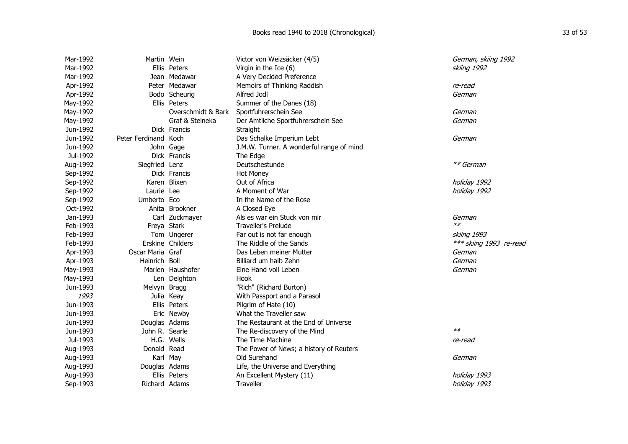| Mar-1992 | Martin Wein          |                    | Victor von Weizsäcker (4/5)              | German, skiing 1992     |
|----------|----------------------|--------------------|------------------------------------------|-------------------------|
| Mar-1992 |                      | Ellis Peters       | Virgin in the Ice (6)                    | skiing 1992             |
| Mar-1992 |                      | Jean Medawar       | A Very Decided Preference                |                         |
| Apr-1992 |                      | Peter Medawar      | Memoirs of Thinking Raddish              | re-read                 |
| Apr-1992 |                      | Bodo Scheurig      | Alfred Jodl                              | German                  |
| May-1992 |                      | Ellis Peters       | Summer of the Danes (18)                 |                         |
| May-1992 |                      | Overschmidt & Bark | Sportfuhrerschein See                    | German                  |
| May-1992 |                      | Graf & Steineka    | Der Amtliche Sportfuhrerschein See       | German                  |
| Jun-1992 |                      | Dick Francis       | Straight                                 |                         |
| Jun-1992 | Peter Ferdinand Koch |                    | Das Schalke Imperium Lebt                | German                  |
| Jun-1992 | John Gage            |                    | J.M.W. Turner. A wonderful range of mind |                         |
| Jul-1992 |                      | Dick Francis       | The Edge                                 |                         |
| Aug-1992 | Siegfried Lenz       |                    | Deutschestunde                           | ** German               |
| Sep-1992 |                      | Dick Francis       | <b>Hot Money</b>                         |                         |
| Sep-1992 | Karen Blixen         |                    | Out of Africa                            | holiday 1992            |
| Sep-1992 | Laurie Lee           |                    | A Moment of War                          | holiday 1992            |
| Sep-1992 | Umberto Eco          |                    | In the Name of the Rose                  |                         |
| Oct-1992 |                      | Anita Brookner     | A Closed Eye                             |                         |
| Jan-1993 |                      | Carl Zuckmayer     | Als es war ein Stuck von mir             | German                  |
| Feb-1993 | Freya Stark          |                    | <b>Traveller's Prelude</b>               | $**$                    |
| Feb-1993 |                      | Tom Ungerer        | Far out is not far enough                | skiing 1993             |
| Feb-1993 | Erskine Childers     |                    | The Riddle of the Sands                  | *** skiing 1993 re-read |
| Apr-1993 | Oscar Maria Graf     |                    | Das Leben meiner Mutter                  | German                  |
| Apr-1993 | Heinrich Boll        |                    | Billiard um halb Zehn                    | German                  |
| May-1993 |                      | Marlen Haushofer   | Eine Hand voll Leben                     | German                  |
| May-1993 |                      | Len Deighton       | Hook                                     |                         |
| Jun-1993 | Melvyn Bragg         |                    | "Rich" (Richard Burton)                  |                         |
| 1993     | Julia Keay           |                    | With Passport and a Parasol              |                         |
| Jun-1993 |                      | Ellis Peters       | Pilgrim of Hate (10)                     |                         |
| Jun-1993 |                      | Eric Newby         | What the Traveller saw                   |                         |
| Jun-1993 | Douglas Adams        |                    | The Restaurant at the End of Universe    |                         |
| Jun-1993 | John R. Searle       |                    | The Re-discovery of the Mind             | $**$                    |
| Jul-1993 | H.G. Wells           |                    | The Time Machine                         | re-read                 |
| Aug-1993 | Donald Read          |                    | The Power of News; a history of Reuters  |                         |
| Aug-1993 | Karl May             |                    | Old Surehand                             | German                  |
| Aug-1993 | Douglas Adams        |                    | Life, the Universe and Everything        |                         |
| Aug-1993 |                      | Ellis Peters       | An Excellent Mystery (11)                | holiday 1993            |
| Sep-1993 | Richard Adams        |                    | Traveller                                | holiday 1993            |
|          |                      |                    |                                          |                         |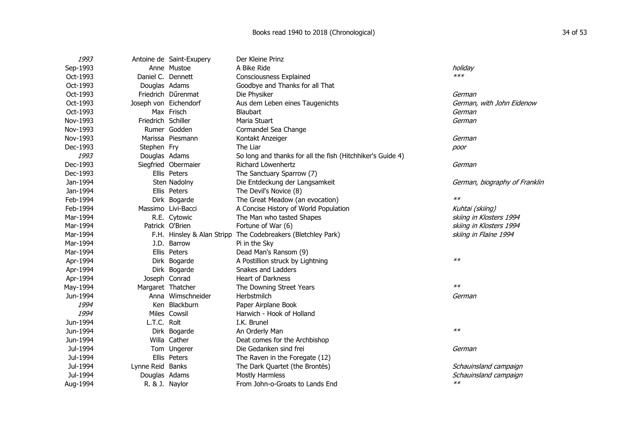| 1993     |                       | Antoine de Saint-Exupery   | Der Kleine Prinz                                           |                               |
|----------|-----------------------|----------------------------|------------------------------------------------------------|-------------------------------|
| Sep-1993 |                       | Anne Mustoe                | A Bike Ride                                                | holiday                       |
| Oct-1993 | Daniel C. Dennett     |                            | Consciousness Explained                                    | $***$                         |
| Oct-1993 | Douglas Adams         |                            | Goodbye and Thanks for all That                            |                               |
| Oct-1993 |                       | Friedrich Dűrenmat         | Die Physiker                                               | German                        |
| Oct-1993 | Joseph von Eichendorf |                            | Aus dem Leben eines Taugenichts                            | German, with John Eidenow     |
| Oct-1993 |                       | Max Frisch                 | Blaubart                                                   | German                        |
| Nov-1993 | Friedrich Schiller    |                            | Maria Stuart                                               | German                        |
| Nov-1993 |                       | Rumer Godden               | Cormandel Sea Change                                       |                               |
| Nov-1993 |                       | Marissa Piesmann           | Kontakt Anzeiger                                           | German                        |
| Dec-1993 | Stephen Fry           |                            | The Liar                                                   | poor                          |
| 1993     | Douglas Adams         |                            | So long and thanks for all the fish (Hitchhiker's Guide 4) |                               |
| Dec-1993 |                       | Siegfried Obermaier        | Richard Löwenhertz                                         | German                        |
| Dec-1993 |                       | Ellis Peters               | The Sanctuary Sparrow (7)                                  |                               |
| Jan-1994 |                       | Sten Nadolny               | Die Entdeckung der Langsamkeit                             | German, biography of Franklin |
| Jan-1994 |                       | Ellis Peters               | The Devil's Novice (8)                                     |                               |
| Feb-1994 |                       | Dirk Bogarde               | The Great Meadow (an evocation)                            | $**$                          |
| Feb-1994 |                       | Massimo Livi-Bacci         | A Concise History of World Population                      | Kuhtai (skiing)               |
| Mar-1994 |                       | R.E. Cytowic               | The Man who tasted Shapes                                  | skiing in Klosters 1994       |
| Mar-1994 |                       | Patrick O'Brien            | Fortune of War (6)                                         | skiing in Klosters 1994       |
| Mar-1994 |                       | F.H. Hinsley & Alan Stripp | The Codebreakers (Bletchley Park)                          | skiing in Flaine 1994         |
| Mar-1994 |                       | J.D. Barrow                | Pi in the Sky                                              |                               |
| Mar-1994 |                       | Ellis Peters               | Dead Man's Ransom (9)                                      |                               |
| Apr-1994 |                       | Dirk Bogarde               | A Postillion struck by Lightning                           | $**$                          |
| Apr-1994 |                       | Dirk Bogarde               | Snakes and Ladders                                         |                               |
| Apr-1994 |                       | Joseph Conrad              | <b>Heart of Darkness</b>                                   |                               |
| May-1994 | Margaret Thatcher     |                            | The Downing Street Years                                   | $**$                          |
| Jun-1994 |                       | Anna Wimschneider          | Herbstmilch                                                | German                        |
| 1994     |                       | Ken Blackburn              | Paper Airplane Book                                        |                               |
| 1994     |                       | Miles Cowsil               | Harwich - Hook of Holland                                  |                               |
| Jun-1994 | L.T.C. Rolt           |                            | I.K. Brunel                                                |                               |
| Jun-1994 |                       | Dirk Bogarde               | An Orderly Man                                             | $**$                          |
| Jun-1994 |                       | Willa Cather               | Deat comes for the Archbishop                              |                               |
| Jul-1994 |                       | Tom Ungerer                | Die Gedanken sind frei                                     | German                        |
| Jul-1994 |                       | Ellis Peters               | The Raven in the Foregate (12)                             |                               |
| Jul-1994 | Lynne Reid Banks      |                            | The Dark Quartet (the Brontës)                             | Schauinsland campaign         |
| Jul-1994 | Douglas Adams         |                            | <b>Mostly Harmless</b>                                     | Schauinsland campaign         |
| Aug-1994 | R. & J. Naylor        |                            | From John-o-Groats to Lands End                            | $**$                          |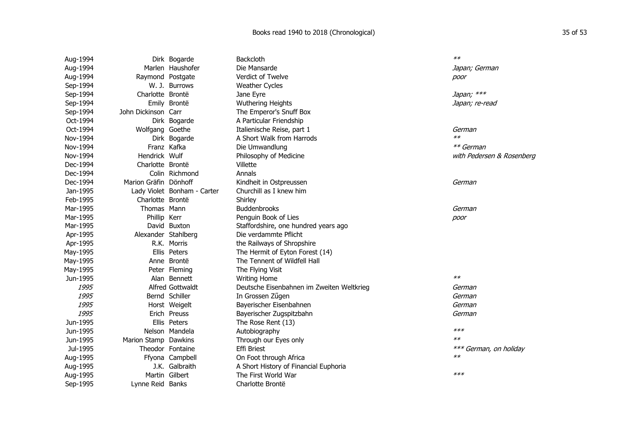| Aug-1994 |                       | Dirk Bogarde                | <b>Backcloth</b>                          | $**$                      |
|----------|-----------------------|-----------------------------|-------------------------------------------|---------------------------|
| Aug-1994 |                       | Marlen Haushofer            | Die Mansarde                              | Japan; German             |
| Aug-1994 | Raymond Postgate      |                             | Verdict of Twelve                         | poor                      |
| Sep-1994 |                       | W. J. Burrows               | <b>Weather Cycles</b>                     |                           |
| Sep-1994 | Charlotte Brontë      |                             | Jane Eyre                                 | Japan; ***                |
| Sep-1994 |                       | Emily Brontë                | <b>Wuthering Heights</b>                  | Japan; re-read            |
| Sep-1994 | John Dickinson Carr   |                             | The Emperor's Snuff Box                   |                           |
| Oct-1994 |                       | Dirk Bogarde                | A Particular Friendship                   |                           |
| Oct-1994 | Wolfgang Goethe       |                             | Italienische Reise, part 1                | German                    |
| Nov-1994 |                       | Dirk Bogarde                | A Short Walk from Harrods                 | $**$                      |
| Nov-1994 |                       | Franz Kafka                 | Die Umwandlung                            | ** German                 |
| Nov-1994 | Hendrick Wulf         |                             | Philosophy of Medicine                    | with Pedersen & Rosenberg |
| Dec-1994 | Charlotte Brontë      |                             | Villette                                  |                           |
| Dec-1994 |                       | Colin Richmond              | Annals                                    |                           |
| Dec-1994 | Marion Gräfin Dönhoff |                             | Kindheit in Ostpreussen                   | German                    |
| Jan-1995 |                       | Lady Violet Bonham - Carter | Churchill as I knew him                   |                           |
| Feb-1995 | Charlotte Brontë      |                             | Shirley                                   |                           |
| Mar-1995 | Thomas Mann           |                             | <b>Buddenbrooks</b>                       | German                    |
| Mar-1995 | Phillip Kerr          |                             | Penguin Book of Lies                      | poor                      |
| Mar-1995 |                       | David Buxton                | Staffordshire, one hundred years ago      |                           |
| Apr-1995 | Alexander Stahlberg   |                             | Die verdammte Pflicht                     |                           |
| Apr-1995 |                       | R.K. Morris                 | the Railways of Shropshire                |                           |
| May-1995 |                       | Ellis Peters                | The Hermit of Eyton Forest (14)           |                           |
| May-1995 |                       | Anne Brontë                 | The Tennent of Wildfell Hall              |                           |
| May-1995 |                       | Peter Fleming               | The Flying Visit                          |                           |
| Jun-1995 |                       | Alan Bennett                | <b>Writing Home</b>                       | $**$                      |
| 1995     |                       | Alfred Gottwaldt            | Deutsche Eisenbahnen im Zweiten Weltkrieg | German                    |
| 1995     |                       | Bernd Schiller              | In Grossen Zügen                          | German                    |
| 1995     |                       | Horst Weigelt               | Bayerischer Eisenbahnen                   | German                    |
| 1995     |                       | Erich Preuss                | Bayerischer Zugspitzbahn                  | German                    |
| Jun-1995 |                       | Ellis Peters                | The Rose Rent (13)                        |                           |
| Jun-1995 |                       | Nelson Mandela              | Autobiography                             | $***$                     |
| Jun-1995 | Marion Stamp Dawkins  |                             | Through our Eyes only                     | $**$                      |
| Jul-1995 |                       | Theodor Fontaine            | <b>Effi Briest</b>                        | *** German, on holiday    |
| Aug-1995 |                       | Ffyona Campbell             | On Foot through Africa                    | $**$                      |
| Aug-1995 |                       | J.K. Galbraith              | A Short History of Financial Euphoria     |                           |
| Aug-1995 |                       | Martin Gilbert              | The First World War                       | $***$                     |
| Sep-1995 | Lynne Reid Banks      |                             | Charlotte Brontë                          |                           |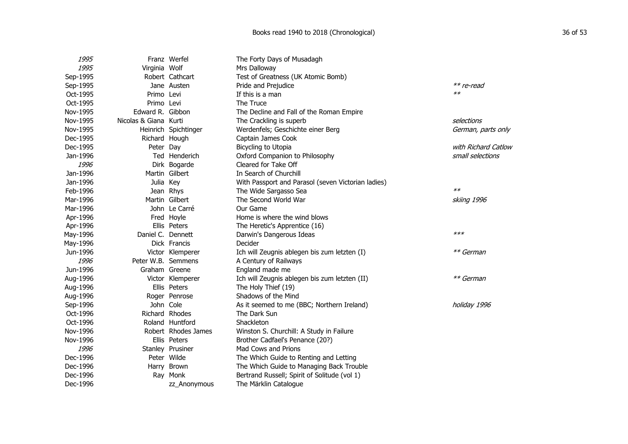| 1995     |                       | Franz Werfel         | The Forty Days of Musadagh                         |                     |
|----------|-----------------------|----------------------|----------------------------------------------------|---------------------|
| 1995     | Virginia Wolf         |                      | Mrs Dalloway                                       |                     |
| Sep-1995 |                       | Robert Cathcart      | Test of Greatness (UK Atomic Bomb)                 |                     |
| Sep-1995 |                       | Jane Austen          | Pride and Prejudice                                | ** re-read          |
| Oct-1995 | Primo Levi            |                      | If this is a man                                   | $**$                |
| Oct-1995 | Primo Levi            |                      | The Truce                                          |                     |
| Nov-1995 | Edward R. Gibbon      |                      | The Decline and Fall of the Roman Empire           |                     |
| Nov-1995 | Nicolas & Giana Kurti |                      | The Crackling is superb                            | selections          |
| Nov-1995 |                       | Heinrich Spichtinger | Werdenfels; Geschichte einer Berg                  | German, parts only  |
| Dec-1995 | Richard Hough         |                      | Captain James Cook                                 |                     |
| Dec-1995 | Peter Day             |                      | Bicycling to Utopia                                | with Richard Catlow |
| Jan-1996 |                       | Ted Henderich        | Oxford Companion to Philosophy                     | small selections    |
| 1996     |                       | Dirk Bogarde         | Cleared for Take Off                               |                     |
| Jan-1996 |                       | Martin Gilbert       | In Search of Churchill                             |                     |
| Jan-1996 | Julia Key             |                      | With Passport and Parasol (seven Victorian ladies) |                     |
| Feb-1996 |                       | Jean Rhys            | The Wide Sargasso Sea                              | $**$                |
| Mar-1996 |                       | Martin Gilbert       | The Second World War                               | skiing 1996         |
| Mar-1996 |                       | John Le Carré        | Our Game                                           |                     |
| Apr-1996 |                       | Fred Hoyle           | Home is where the wind blows                       |                     |
| Apr-1996 |                       | Ellis Peters         | The Heretic's Apprentice (16)                      |                     |
| May-1996 | Daniel C. Dennett     |                      | Darwin's Dangerous Ideas                           | $***$               |
| May-1996 |                       | Dick Francis         | Decider                                            |                     |
| Jun-1996 |                       | Victor Klemperer     | Ich will Zeugnis ablegen bis zum letzten (I)       | ** German           |
| 1996     | Peter W.B. Semmens    |                      | A Century of Railways                              |                     |
| Jun-1996 | Graham Greene         |                      | England made me                                    |                     |
| Aug-1996 |                       | Victor Klemperer     | Ich will Zeugnis ablegen bis zum letzten (II)      | ** German           |
| Aug-1996 |                       | Ellis Peters         | The Holy Thief (19)                                |                     |
| Aug-1996 |                       | Roger Penrose        | Shadows of the Mind                                |                     |
| Sep-1996 | John Cole             |                      | As it seemed to me (BBC; Northern Ireland)         | holiday 1996        |
| Oct-1996 |                       | Richard Rhodes       | The Dark Sun                                       |                     |
| Oct-1996 |                       | Roland Huntford      | Shackleton                                         |                     |
| Nov-1996 |                       | Robert Rhodes James  | Winston S. Churchill: A Study in Failure           |                     |
| Nov-1996 |                       | Ellis Peters         | Brother Cadfael's Penance (20?)                    |                     |
| 1996     |                       | Stanley Prusiner     | Mad Cows and Prions                                |                     |
| Dec-1996 |                       | Peter Wilde          | The Which Guide to Renting and Letting             |                     |
| Dec-1996 |                       | Harry Brown          | The Which Guide to Managing Back Trouble           |                     |
| Dec-1996 |                       | Ray Monk             | Bertrand Russell; Spirit of Solitude (vol 1)       |                     |
| Dec-1996 |                       | zz Anonymous         | The Märklin Catalogue                              |                     |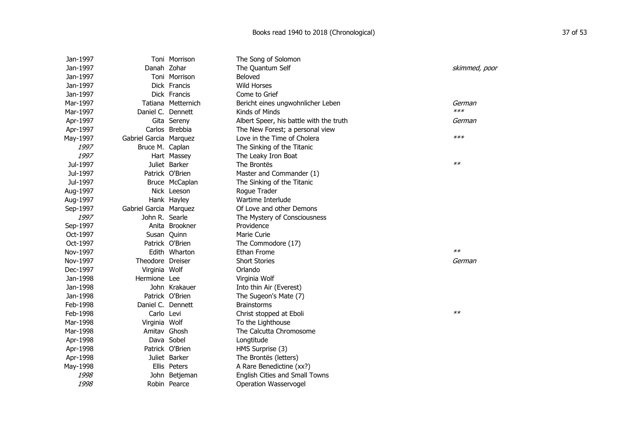| Jan-1997 |                        | Toni Morrison      | The Song of Solomon                     |               |
|----------|------------------------|--------------------|-----------------------------------------|---------------|
| Jan-1997 | Danah Zohar            |                    | The Quantum Self                        | skimmed, poor |
| Jan-1997 |                        | Toni Morrison      | Beloved                                 |               |
| Jan-1997 |                        | Dick Francis       | <b>Wild Horses</b>                      |               |
| Jan-1997 |                        | Dick Francis       | Come to Grief                           |               |
| Mar-1997 |                        | Tatiana Metternich | Bericht eines ungwohnlicher Leben       | German        |
| Mar-1997 | Daniel C. Dennett      |                    | Kinds of Minds                          | $***$         |
| Apr-1997 |                        | Gita Sereny        | Albert Speer, his battle with the truth | German        |
| Apr-1997 |                        | Carlos Brebbia     | The New Forest; a personal view         |               |
| May-1997 | Gabriel Garcia Marquez |                    | Love in the Time of Cholera             | $***$         |
| 1997     | Bruce M. Caplan        |                    | The Sinking of the Titanic              |               |
| 1997     |                        | Hart Massey        | The Leaky Iron Boat                     |               |
| Jul-1997 |                        | Juliet Barker      | The Brontës                             | $**$          |
| Jul-1997 |                        | Patrick O'Brien    | Master and Commander (1)                |               |
| Jul-1997 |                        | Bruce McCaplan     | The Sinking of the Titanic              |               |
| Aug-1997 |                        | Nick Leeson        | Rogue Trader                            |               |
| Aug-1997 |                        | Hank Hayley        | Wartime Interlude                       |               |
| Sep-1997 | Gabriel Garcia Marquez |                    | Of Love and other Demons                |               |
| 1997     | John R. Searle         |                    | The Mystery of Consciousness            |               |
| Sep-1997 |                        | Anita Brookner     | Providence                              |               |
| Oct-1997 | Susan Quinn            |                    | Marie Curie                             |               |
| Oct-1997 |                        | Patrick O'Brien    | The Commodore (17)                      |               |
| Nov-1997 |                        | Edith Wharton      | Ethan Frome                             | $**$          |
| Nov-1997 | Theodore Dreiser       |                    | <b>Short Stories</b>                    | German        |
| Dec-1997 | Virginia Wolf          |                    | Orlando                                 |               |
| Jan-1998 | Hermione Lee           |                    | Virginia Wolf                           |               |
| Jan-1998 |                        | John Krakauer      | Into thin Air (Everest)                 |               |
| Jan-1998 |                        | Patrick O'Brien    | The Sugeon's Mate (7)                   |               |
| Feb-1998 | Daniel C. Dennett      |                    | <b>Brainstorms</b>                      |               |
| Feb-1998 | Carlo Levi             |                    | Christ stopped at Eboli                 | $**$          |
| Mar-1998 | Virginia Wolf          |                    | To the Lighthouse                       |               |
| Mar-1998 | Amitav Ghosh           |                    | The Calcutta Chromosome                 |               |
| Apr-1998 |                        | Dava Sobel         | Longtitude                              |               |
| Apr-1998 |                        | Patrick O'Brien    | HMS Surprise (3)                        |               |
| Apr-1998 |                        | Juliet Barker      | The Brontës (letters)                   |               |
| May-1998 |                        | Ellis Peters       | A Rare Benedictine (xx?)                |               |
| 1998     |                        | John Betjeman      | English Cities and Small Towns          |               |
| 1998     |                        | Robin Pearce       | Operation Wasservogel                   |               |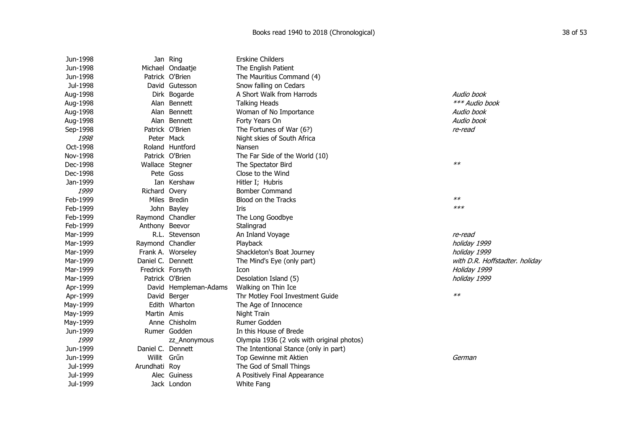| Jun-1998 |                   | Jan Ring              | <b>Erskine Childers</b>                    |                                |  |
|----------|-------------------|-----------------------|--------------------------------------------|--------------------------------|--|
| Jun-1998 |                   | Michael Ondaatje      | The English Patient                        |                                |  |
| Jun-1998 |                   | Patrick O'Brien       | The Mauritius Command (4)                  |                                |  |
| Jul-1998 |                   | David Gutesson        | Snow falling on Cedars                     |                                |  |
| Aug-1998 |                   | Dirk Bogarde          | A Short Walk from Harrods                  | Audio book                     |  |
| Aug-1998 |                   | Alan Bennett          | <b>Talking Heads</b>                       | *** Audio book                 |  |
| Aug-1998 |                   | Alan Bennett          | Woman of No Importance                     | Audio book                     |  |
| Aug-1998 |                   | Alan Bennett          | Forty Years On                             | Audio book                     |  |
| Sep-1998 |                   | Patrick O'Brien       | The Fortunes of War (6?)                   | re-read                        |  |
| 1998     |                   | Peter Mack            | Night skies of South Africa                |                                |  |
| Oct-1998 |                   | Roland Huntford       | Nansen                                     |                                |  |
| Nov-1998 |                   | Patrick O'Brien       | The Far Side of the World (10)             |                                |  |
| Dec-1998 |                   | Wallace Stegner       | The Spectator Bird                         | $**$                           |  |
| Dec-1998 |                   | Pete Goss             | Close to the Wind                          |                                |  |
| Jan-1999 |                   | Ian Kershaw           | Hitler I; Hubris                           |                                |  |
| 1999     | Richard Overy     |                       | <b>Bomber Command</b>                      |                                |  |
| Feb-1999 |                   | Miles Bredin          | Blood on the Tracks                        | $**$                           |  |
| Feb-1999 |                   | John Bayley           | <b>Iris</b>                                | $***$                          |  |
| Feb-1999 | Raymond Chandler  |                       | The Long Goodbye                           |                                |  |
| Feb-1999 | Anthony Beevor    |                       | Stalingrad                                 |                                |  |
| Mar-1999 |                   | R.L. Stevenson        | An Inland Voyage                           | re-read                        |  |
| Mar-1999 | Raymond Chandler  |                       | Playback                                   | holiday 1999                   |  |
| Mar-1999 |                   | Frank A. Worseley     | Shackleton's Boat Journey                  | holiday 1999                   |  |
| Mar-1999 | Daniel C. Dennett |                       | The Mind's Eye (only part)                 | with D.R. Hoffstadter. holiday |  |
| Mar-1999 | Fredrick Forsyth  |                       | Icon                                       | Holiday 1999                   |  |
| Mar-1999 |                   | Patrick O'Brien       | Desolation Island (5)                      | holiday 1999                   |  |
| Apr-1999 |                   | David Hempleman-Adams | Walking on Thin Ice                        |                                |  |
| Apr-1999 |                   | David Berger          | Thr Motley Fool Investment Guide           | $**$                           |  |
| May-1999 |                   | Edith Wharton         | The Age of Innocence                       |                                |  |
| May-1999 | Martin Amis       |                       | Night Train                                |                                |  |
| May-1999 |                   | Anne Chisholm         | Rumer Godden                               |                                |  |
| Jun-1999 |                   | Rumer Godden          | In this House of Brede                     |                                |  |
| 1999     |                   | zz_Anonymous          | Olympia 1936 (2 vols with original photos) |                                |  |
| Jun-1999 | Daniel C. Dennett |                       | The Intentional Stance (only in part)      |                                |  |
| Jun-1999 | Willit            | Grűn                  | Top Gewinne mit Aktien                     | German                         |  |
| Jul-1999 | Arundhati Roy     |                       | The God of Small Things                    |                                |  |
| Jul-1999 |                   | Alec Guiness          | A Positively Final Appearance              |                                |  |
| Jul-1999 |                   | Jack London           | <b>White Fang</b>                          |                                |  |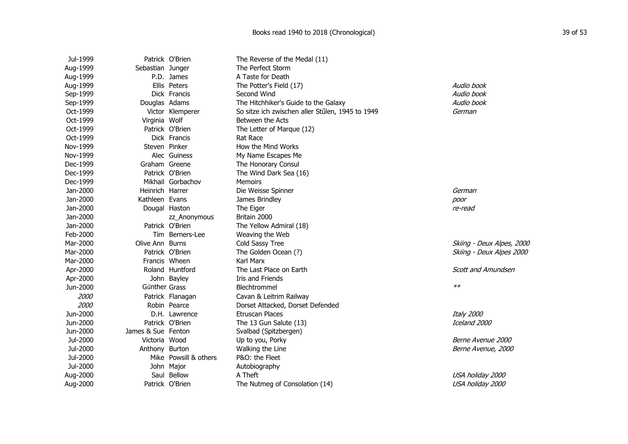| Jul-1999 |                    | Patrick O'Brien       | The Reverse of the Medal (11)                    |                           |
|----------|--------------------|-----------------------|--------------------------------------------------|---------------------------|
| Aug-1999 | Sebastian Junger   |                       | The Perfect Storm                                |                           |
| Aug-1999 |                    | P.D. James            | A Taste for Death                                |                           |
| Aug-1999 |                    | Ellis Peters          | The Potter's Field (17)                          | Audio book                |
| Sep-1999 |                    | Dick Francis          | Second Wind                                      | Audio book                |
| Sep-1999 | Douglas Adams      |                       | The Hitchhiker's Guide to the Galaxy             | Audio book                |
| Oct-1999 |                    | Victor Klemperer      | So sitze ich zwischen aller Stűlen, 1945 to 1949 | German                    |
| Oct-1999 | Virginia Wolf      |                       | Between the Acts                                 |                           |
| Oct-1999 |                    | Patrick O'Brien       | The Letter of Marque (12)                        |                           |
| Oct-1999 |                    | Dick Francis          | Rat Race                                         |                           |
| Nov-1999 | Steven Pinker      |                       | How the Mind Works                               |                           |
| Nov-1999 |                    | Alec Guiness          | My Name Escapes Me                               |                           |
| Dec-1999 | Graham Greene      |                       | The Honorary Consul                              |                           |
| Dec-1999 |                    | Patrick O'Brien       | The Wind Dark Sea (16)                           |                           |
| Dec-1999 |                    | Mikhail Gorbachov     | <b>Memoirs</b>                                   |                           |
| Jan-2000 | Heinrich Harrer    |                       | Die Weisse Spinner                               | German                    |
| Jan-2000 | Kathleen Evans     |                       | James Brindley                                   | poor                      |
| Jan-2000 |                    | Dougal Haston         | The Eiger                                        | re-read                   |
| Jan-2000 |                    | zz_Anonymous          | Britain 2000                                     |                           |
| Jan-2000 |                    | Patrick O'Brien       | The Yellow Admiral (18)                          |                           |
| Feb-2000 |                    | Tim Berners-Lee       | Weaving the Web                                  |                           |
| Mar-2000 | Olive Ann Burns    |                       | Cold Sassy Tree                                  | Skiing - Deux Alpes, 2000 |
| Mar-2000 |                    | Patrick O'Brien       | The Golden Ocean (?)                             | Skiing - Deux Alpes 2000  |
| Mar-2000 |                    | Francis Wheen         | Karl Marx                                        |                           |
| Apr-2000 |                    | Roland Huntford       | The Last Place on Earth                          | <b>Scott and Amundsen</b> |
| Apr-2000 |                    | John Bayley           | Iris and Friends                                 |                           |
| Jun-2000 | Gűnther Grass      |                       | Blechtrommel                                     | $**$                      |
| 2000     |                    | Patrick Flanagan      | Cavan & Leitrim Railway                          |                           |
| 2000     |                    | Robin Pearce          | Dorset Attacked, Dorset Defended                 |                           |
| Jun-2000 |                    | D.H. Lawrence         | Etruscan Places                                  | Italy 2000                |
| Jun-2000 |                    | Patrick O'Brien       | The 13 Gun Salute (13)                           | Iceland 2000              |
| Jun-2000 | James & Sue Fenton |                       | Svalbad (Spitzbergen)                            |                           |
| Jul-2000 | Victoria Wood      |                       | Up to you, Porky                                 | Berne Avenue 2000         |
| Jul-2000 | Anthony Burton     |                       | Walking the Line                                 | Berne Avenue, 2000        |
| Jul-2000 |                    | Mike Powsill & others | P&O: the Fleet                                   |                           |
| Jul-2000 |                    | John Major            | Autobiography                                    |                           |
| Aug-2000 |                    | Saul Bellow           | A Theft                                          | USA holiday 2000          |
| Aug-2000 |                    | Patrick O'Brien       | The Nutmeg of Consolation (14)                   | USA holiday 2000          |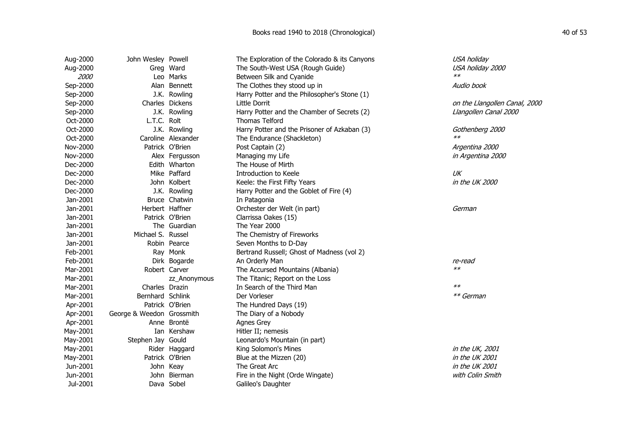| Aug-2000 | John Wesley Powell        |                    | The Exploration of the Colorado & its Canyons | USA holiday                   |
|----------|---------------------------|--------------------|-----------------------------------------------|-------------------------------|
| Aug-2000 |                           | Greg Ward          | The South-West USA (Rough Guide)              | USA holiday 2000              |
| 2000     |                           | Leo Marks          | Between Silk and Cyanide                      | $**$                          |
| Sep-2000 |                           | Alan Bennett       | The Clothes they stood up in                  | Audio book                    |
| Sep-2000 |                           | J.K. Rowling       | Harry Potter and the Philosopher's Stone (1)  |                               |
| Sep-2000 |                           | Charles Dickens    | Little Dorrit                                 | on the Llangollen Canal, 2000 |
| Sep-2000 |                           | J.K. Rowling       | Harry Potter and the Chamber of Secrets (2)   | Llangollen Canal 2000         |
| Oct-2000 | L.T.C. Rolt               |                    | <b>Thomas Telford</b>                         |                               |
| Oct-2000 |                           | J.K. Rowling       | Harry Potter and the Prisoner of Azkaban (3)  | Gothenberg 2000               |
| Oct-2000 |                           | Caroline Alexander | The Endurance (Shackleton)                    | $**$                          |
| Nov-2000 |                           | Patrick O'Brien    | Post Captain (2)                              | Argentina 2000                |
| Nov-2000 |                           | Alex Fergusson     | Managing my Life                              | in Argentina 2000             |
| Dec-2000 |                           | Edith Wharton      | The House of Mirth                            |                               |
| Dec-2000 |                           | Mike Paffard       | Introduction to Keele                         | UK                            |
| Dec-2000 |                           | John Kolbert       | Keele: the First Fifty Years                  | in the UK 2000                |
| Dec-2000 |                           | J.K. Rowling       | Harry Potter and the Goblet of Fire (4)       |                               |
| Jan-2001 |                           | Bruce Chatwin      | In Patagonia                                  |                               |
| Jan-2001 |                           | Herbert Haffner    | Orchester der Welt (in part)                  | German                        |
| Jan-2001 |                           | Patrick O'Brien    | Clarrissa Oakes (15)                          |                               |
| Jan-2001 |                           | The Guardian       | The Year 2000                                 |                               |
| Jan-2001 | Michael S. Russel         |                    | The Chemistry of Fireworks                    |                               |
| Jan-2001 |                           | Robin Pearce       | Seven Months to D-Day                         |                               |
| Feb-2001 |                           | Ray Monk           | Bertrand Russell; Ghost of Madness (vol 2)    |                               |
| Feb-2001 |                           | Dirk Bogarde       | An Orderly Man                                | re-read                       |
| Mar-2001 |                           | Robert Carver      | The Accursed Mountains (Albania)              | $**$                          |
| Mar-2001 |                           | zz Anonymous       | The Titanic; Report on the Loss               |                               |
| Mar-2001 | Charles Drazin            |                    | In Search of the Third Man                    | $**$                          |
| Mar-2001 | Bernhard Schlink          |                    | Der Vorleser                                  | ** German                     |
| Apr-2001 |                           | Patrick O'Brien    | The Hundred Days (19)                         |                               |
| Apr-2001 | George & Weedon Grossmith |                    | The Diary of a Nobody                         |                               |
| Apr-2001 |                           | Anne Brontë        | Agnes Grey                                    |                               |
| May-2001 |                           | Ian Kershaw        | Hitler II; nemesis                            |                               |
| May-2001 | Stephen Jay Gould         |                    | Leonardo's Mountain (in part)                 |                               |
| May-2001 |                           | Rider Haggard      | King Solomon's Mines                          | in the UK, 2001               |
| May-2001 |                           | Patrick O'Brien    | Blue at the Mizzen (20)                       | in the UK 2001                |
| Jun-2001 |                           | John Keay          | The Great Arc                                 | in the UK 2001                |
| Jun-2001 |                           | John Bierman       | Fire in the Night (Orde Wingate)              | with Colin Smith              |
| Jul-2001 |                           | Dava Sobel         | Galileo's Daughter                            |                               |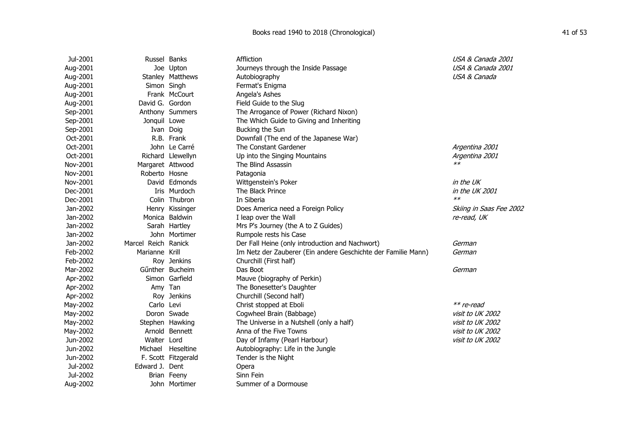| Jul-2001 | Russel Banks        |                     | Affliction                                                    | USA & Canada 2001       |
|----------|---------------------|---------------------|---------------------------------------------------------------|-------------------------|
| Aug-2001 |                     | Joe Upton           | Journeys through the Inside Passage                           | USA & Canada 2001       |
| Aug-2001 |                     | Stanley Matthews    | Autobiography                                                 | USA & Canada            |
| Aug-2001 | Simon Singh         |                     | Fermat's Enigma                                               |                         |
| Aug-2001 |                     | Frank McCourt       | Angela's Ashes                                                |                         |
| Aug-2001 | David G. Gordon     |                     | Field Guide to the Slug                                       |                         |
| Sep-2001 |                     | Anthony Summers     | The Arrogance of Power (Richard Nixon)                        |                         |
| Sep-2001 | Jonquil Lowe        |                     | The Which Guide to Giving and Inheriting                      |                         |
| Sep-2001 | Ivan Doig           |                     | Bucking the Sun                                               |                         |
| Oct-2001 |                     | R.B. Frank          | Downfall (The end of the Japanese War)                        |                         |
| Oct-2001 |                     | John Le Carré       | The Constant Gardener                                         | Argentina 2001          |
| Oct-2001 |                     | Richard Llewellyn   | Up into the Singing Mountains                                 | Argentina 2001          |
| Nov-2001 | Margaret Attwood    |                     | The Blind Assassin                                            | $**$                    |
| Nov-2001 | Roberto Hosne       |                     | Patagonia                                                     |                         |
| Nov-2001 |                     | David Edmonds       | Wittgenstein's Poker                                          | in the UK               |
| Dec-2001 |                     | Iris Murdoch        | The Black Prince                                              | in the UK 2001          |
| Dec-2001 |                     | Colin Thubron       | In Siberia                                                    | $**$                    |
| Jan-2002 |                     | Henry Kissinger     | Does America need a Foreign Policy                            | Skiing in Saas Fee 2002 |
| Jan-2002 |                     | Monica Baldwin      | I leap over the Wall                                          | re-read, UK             |
| Jan-2002 |                     | Sarah Hartley       | Mrs P's Journey (the A to Z Guides)                           |                         |
| Jan-2002 |                     | John Mortimer       | Rumpole rests his Case                                        |                         |
| Jan-2002 | Marcel Reich Ranick |                     | Der Fall Heine (only introduction and Nachwort)               | German                  |
| Feb-2002 | Marianne Krill      |                     | Im Netz der Zauberer (Ein andere Geschichte der Familie Mann) | German                  |
| Feb-2002 |                     | Roy Jenkins         | Churchill (First half)                                        |                         |
| Mar-2002 |                     | Günther Bucheim     | Das Boot                                                      | German                  |
| Apr-2002 |                     | Simon Garfield      | Mauve (biography of Perkin)                                   |                         |
| Apr-2002 | Amy Tan             |                     | The Bonesetter's Daughter                                     |                         |
| Apr-2002 |                     | Roy Jenkins         | Churchill (Second half)                                       |                         |
| May-2002 | Carlo Levi          |                     | Christ stopped at Eboli                                       | ** re-read              |
| May-2002 |                     | Doron Swade         | Cogwheel Brain (Babbage)                                      | visit to UK 2002        |
| May-2002 |                     | Stephen Hawking     | The Universe in a Nutshell (only a half)                      | visit to UK 2002        |
| May-2002 |                     | Arnold Bennett      | Anna of the Five Towns                                        | visit to UK 2002        |
| Jun-2002 | Walter Lord         |                     | Day of Infamy (Pearl Harbour)                                 | visit to UK 2002        |
| Jun-2002 | Michael             | Heseltine           | Autobiography: Life in the Jungle                             |                         |
| Jun-2002 |                     | F. Scott Fitzgerald | Tender is the Night                                           |                         |
| Jul-2002 | Edward J. Dent      |                     | Opera                                                         |                         |
| Jul-2002 |                     | Brian Feeny         | Sinn Fein                                                     |                         |
| Aug-2002 |                     | John Mortimer       | Summer of a Dormouse                                          |                         |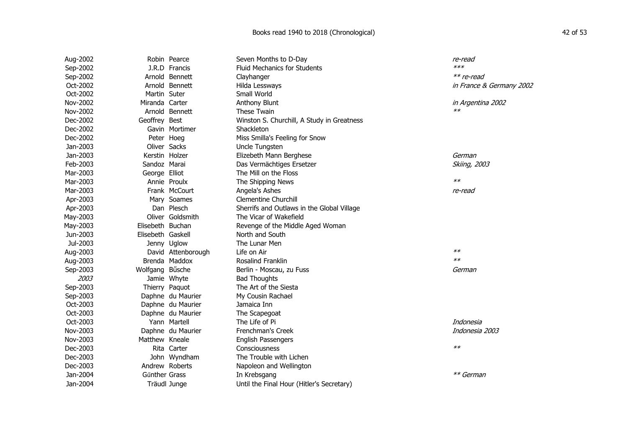| Aug-2002 |                   | Robin Pearce       | Seven Months to D-Day                      | re-read                  |
|----------|-------------------|--------------------|--------------------------------------------|--------------------------|
| Sep-2002 |                   | J.R.D Francis      | <b>Fluid Mechanics for Students</b>        | $***$                    |
| Sep-2002 |                   | Arnold Bennett     | Clayhanger                                 | $**$ re-read             |
| Oct-2002 |                   | Arnold Bennett     | Hilda Lessways                             | in France & Germany 2002 |
| Oct-2002 | Martin Suter      |                    | Small World                                |                          |
| Nov-2002 | Miranda Carter    |                    | Anthony Blunt                              | in Argentina 2002        |
| Nov-2002 |                   | Arnold Bennett     | <b>These Twain</b>                         | $**$                     |
| Dec-2002 | Geoffrey Best     |                    | Winston S. Churchill, A Study in Greatness |                          |
| Dec-2002 |                   | Gavin Mortimer     | Shackleton                                 |                          |
| Dec-2002 | Peter Hoeg        |                    | Miss Smilla's Feeling for Snow             |                          |
| Jan-2003 | Oliver Sacks      |                    | Uncle Tungsten                             |                          |
| Jan-2003 | Kerstin Holzer    |                    | Elizebeth Mann Berghese                    | German                   |
| Feb-2003 | Sandoz Marai      |                    | Das Vermächtiges Ersetzer                  | <b>Skiing, 2003</b>      |
| Mar-2003 | George Elliot     |                    | The Mill on the Floss                      |                          |
| Mar-2003 |                   | Annie Proulx       | The Shipping News                          | $**$                     |
| Mar-2003 |                   | Frank McCourt      | Angela's Ashes                             | re-read                  |
| Apr-2003 |                   | Mary Soames        | <b>Clementine Churchill</b>                |                          |
| Apr-2003 |                   | Dan Plesch         | Sherrifs and Outlaws in the Global Village |                          |
| May-2003 |                   | Oliver Goldsmith   | The Vicar of Wakefield                     |                          |
| May-2003 | Elisebeth Buchan  |                    | Revenge of the Middle Aged Woman           |                          |
| Jun-2003 | Elisebeth Gaskell |                    | North and South                            |                          |
| Jul-2003 |                   | Jenny Uglow        | The Lunar Men                              |                          |
| Aug-2003 |                   | David Attenborough | Life on Air                                | $**$                     |
| Aug-2003 |                   | Brenda Maddox      | Rosalind Franklin                          | $**$                     |
| Sep-2003 | Wolfgang Bűsche   |                    | Berlin - Moscau, zu Fuss                   | German                   |
| 2003     |                   | Jamie Whyte        | <b>Bad Thoughts</b>                        |                          |
| Sep-2003 |                   | Thierry Paquot     | The Art of the Siesta                      |                          |
| Sep-2003 |                   | Daphne du Maurier  | My Cousin Rachael                          |                          |
| Oct-2003 |                   | Daphne du Maurier  | Jamaica Inn                                |                          |
| Oct-2003 |                   | Daphne du Maurier  | The Scapegoat                              |                          |
| Oct-2003 |                   | Yann Martell       | The Life of Pi                             | Indonesia                |
| Nov-2003 |                   | Daphne du Maurier  | <b>Frenchman's Creek</b>                   | Indonesia 2003           |
| Nov-2003 | Matthew Kneale    |                    | <b>English Passengers</b>                  |                          |
| Dec-2003 |                   | Rita Carter        | Consciousness                              | $**$                     |
| Dec-2003 |                   | John Wyndham       | The Trouble with Lichen                    |                          |
| Dec-2003 |                   | Andrew Roberts     | Napoleon and Wellington                    |                          |
| Jan-2004 | Gűnther Grass     |                    | In Krebsgang                               | ** German                |
| Jan-2004 |                   | Träudl Junge       | Until the Final Hour (Hitler's Secretary)  |                          |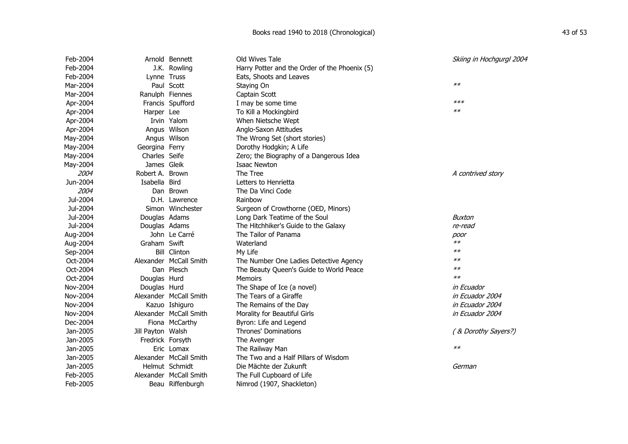| Feb-2004 |                   | Arnold Bennett         | Old Wives Tale                                | Skiing in Hochgurgl 2004 |
|----------|-------------------|------------------------|-----------------------------------------------|--------------------------|
| Feb-2004 |                   | J.K. Rowling           | Harry Potter and the Order of the Phoenix (5) |                          |
| Feb-2004 | Lynne Truss       |                        | Eats, Shoots and Leaves                       |                          |
| Mar-2004 |                   | Paul Scott             | Staying On                                    | $**$                     |
| Mar-2004 | Ranulph Fiennes   |                        | Captain Scott                                 |                          |
| Apr-2004 |                   | Francis Spufford       | I may be some time                            | $***$                    |
| Apr-2004 | Harper Lee        |                        | To Kill a Mockingbird                         | $**$                     |
| Apr-2004 |                   | Irvin Yalom            | When Nietsche Wept                            |                          |
| Apr-2004 |                   | Angus Wilson           | Anglo-Saxon Attitudes                         |                          |
| May-2004 |                   | Angus Wilson           | The Wrong Set (short stories)                 |                          |
| May-2004 | Georgina Ferry    |                        | Dorothy Hodgkin; A Life                       |                          |
| May-2004 | Charles Seife     |                        | Zero; the Biography of a Dangerous Idea       |                          |
| May-2004 | James Gleik       |                        | Isaac Newton                                  |                          |
| 2004     | Robert A. Brown   |                        | The Tree                                      | A contrived story        |
| Jun-2004 | Isabella Bird     |                        | Letters to Henrietta                          |                          |
| 2004     |                   | Dan Brown              | The Da Vinci Code                             |                          |
| Jul-2004 |                   | D.H. Lawrence          | Rainbow                                       |                          |
| Jul-2004 |                   | Simon Winchester       | Surgeon of Crowthorne (OED, Minors)           |                          |
| Jul-2004 | Douglas Adams     |                        | Long Dark Teatime of the Soul                 | <b>Buxton</b>            |
| Jul-2004 | Douglas Adams     |                        | The Hitchhiker's Guide to the Galaxy          | re-read                  |
| Aug-2004 |                   | John Le Carré          | The Tailor of Panama                          | poor                     |
| Aug-2004 | Graham Swift      |                        | Waterland                                     | $**$                     |
| Sep-2004 |                   | <b>Bill Clinton</b>    | My Life                                       | $**$                     |
| Oct-2004 |                   | Alexander McCall Smith | The Number One Ladies Detective Agency        | $**$                     |
| Oct-2004 |                   | Dan Plesch             | The Beauty Queen's Guide to World Peace       | $**$                     |
| Oct-2004 | Douglas Hurd      |                        | <b>Memoirs</b>                                | $**$                     |
| Nov-2004 | Douglas Hurd      |                        | The Shape of Ice (a novel)                    | <i>in Ecuador</i>        |
| Nov-2004 |                   | Alexander McCall Smith | The Tears of a Giraffe                        | in Ecuador 2004          |
| Nov-2004 |                   | Kazuo Ishiguro         | The Remains of the Day                        | in Ecuador 2004          |
| Nov-2004 |                   | Alexander McCall Smith | Morality for Beautiful Girls                  | in Ecuador 2004          |
| Dec-2004 |                   | Fiona McCarthy         | Byron: Life and Legend                        |                          |
| Jan-2005 | Jill Payton Walsh |                        | <b>Thrones' Dominations</b>                   | (& Dorothy Sayers?)      |
| Jan-2005 | Fredrick Forsyth  |                        | The Avenger                                   |                          |
| Jan-2005 |                   | Eric Lomax             | The Railway Man                               | $**$                     |
| Jan-2005 |                   | Alexander McCall Smith | The Two and a Half Pillars of Wisdom          |                          |
| Jan-2005 |                   | Helmut Schmidt         | Die Mächte der Zukunft                        | German                   |
| Feb-2005 |                   | Alexander McCall Smith | The Full Cupboard of Life                     |                          |
| Feb-2005 |                   | Beau Riffenburgh       | Nimrod (1907, Shackleton)                     |                          |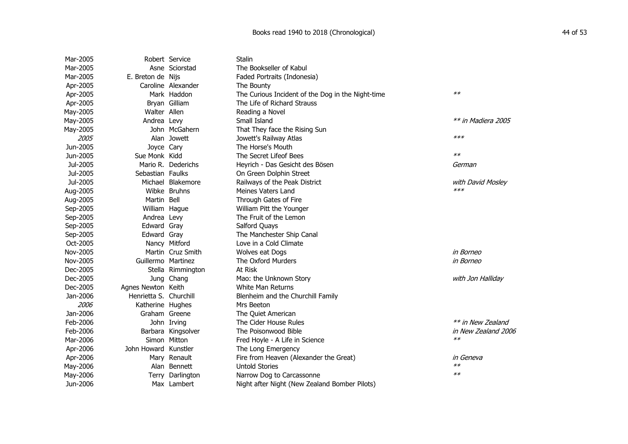## Books read 1940 to 2018 (Chronological) 44 of 53

| Mar-2005 |                        | Robert Service     | <b>Stalin</b>                                     |                     |
|----------|------------------------|--------------------|---------------------------------------------------|---------------------|
| Mar-2005 |                        | Asne Sciorstad     | The Bookseller of Kabul                           |                     |
| Mar-2005 | E. Breton de Nijs      |                    | Faded Portraits (Indonesia)                       |                     |
| Apr-2005 |                        | Caroline Alexander | The Bounty                                        |                     |
| Apr-2005 |                        | Mark Haddon        | The Curious Incident of the Dog in the Night-time | $**$                |
| Apr-2005 |                        | Bryan Gilliam      | The Life of Richard Strauss                       |                     |
| May-2005 | Walter Allen           |                    | Reading a Novel                                   |                     |
| May-2005 | Andrea Levy            |                    | Small Island                                      | ** in Madiera 2005  |
| May-2005 |                        | John McGahern      | That They face the Rising Sun                     |                     |
| 2005     |                        | Alan Jowett        | Jowett's Railway Atlas                            | $***$               |
| Jun-2005 | Joyce Cary             |                    | The Horse's Mouth                                 |                     |
| Jun-2005 | Sue Monk Kidd          |                    | The Secret Lifeof Bees                            | $**$                |
| Jul-2005 |                        | Mario R. Dederichs | Heyrich - Das Gesicht des Bösen                   | German              |
| Jul-2005 | Sebastian Faulks       |                    | On Green Dolphin Street                           |                     |
| Jul-2005 |                        | Michael Blakemore  | Railways of the Peak District                     | with David Mosley   |
| Aug-2005 |                        | Wibke Bruhns       | Meines Vaters Land                                | $***$               |
| Aug-2005 | Martin Bell            |                    | Through Gates of Fire                             |                     |
| Sep-2005 | William Hague          |                    | William Pitt the Younger                          |                     |
| Sep-2005 | Andrea Levy            |                    | The Fruit of the Lemon                            |                     |
| Sep-2005 | Edward Gray            |                    | Salford Quays                                     |                     |
| Sep-2005 | Edward Gray            |                    | The Manchester Ship Canal                         |                     |
| Oct-2005 |                        | Nancy Mitford      | Love in a Cold Climate                            |                     |
| Nov-2005 |                        | Martin Cruz Smith  | Wolves eat Dogs                                   | in Borneo           |
| Nov-2005 | Guillermo Martinez     |                    | The Oxford Murders                                | in Borneo           |
| Dec-2005 |                        | Stella Rimmington  | At Risk                                           |                     |
| Dec-2005 |                        | Jung Chang         | Mao: the Unknown Story                            | with Jon Halliday   |
| Dec-2005 | Agnes Newton Keith     |                    | White Man Returns                                 |                     |
| Jan-2006 | Henrietta S. Churchill |                    | Blenheim and the Churchill Family                 |                     |
| 2006     | Katherine Hughes       |                    | Mrs Beeton                                        |                     |
| Jan-2006 | Graham Greene          |                    | The Quiet American                                |                     |
| Feb-2006 |                        | John Irving        | The Cider House Rules                             | ** in New Zealand   |
| Feb-2006 |                        | Barbara Kingsolver | The Poisonwood Bible                              | in New Zealand 2006 |
| Mar-2006 |                        | Simon Mitton       | Fred Hoyle - A Life in Science                    | $**$                |
| Apr-2006 | John Howard Kunstler   |                    | The Long Emergency                                |                     |
| Apr-2006 |                        | Mary Renault       | Fire from Heaven (Alexander the Great)            | in Geneva           |
| May-2006 |                        | Alan Bennett       | <b>Untold Stories</b>                             | $**$                |
| May-2006 |                        | Terry Darlington   | Narrow Dog to Carcassonne                         | $**$                |
| Jun-2006 |                        | Max Lambert        | Night after Night (New Zealand Bomber Pilots)     |                     |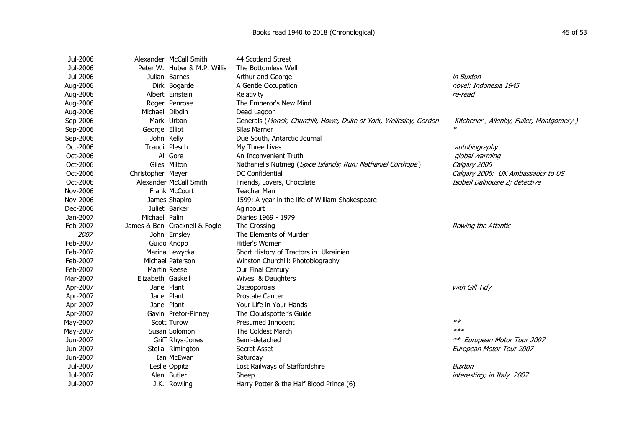| Jul-2006 | Alexander McCall Smith        | 44 Scotland Street                                                |                                         |
|----------|-------------------------------|-------------------------------------------------------------------|-----------------------------------------|
| Jul-2006 | Peter W. Huber & M.P. Willis  | The Bottomless Well                                               |                                         |
| Jul-2006 | Julian Barnes                 | Arthur and George                                                 | in Buxton                               |
| Aug-2006 | Dirk Bogarde                  | A Gentle Occupation                                               | novel: Indonesia 1945                   |
| Aug-2006 | Albert Einstein               | Relativity                                                        | re-read                                 |
| Aug-2006 | Roger Penrose                 | The Emperor's New Mind                                            |                                         |
| Aug-2006 | Michael Dibdin                | Dead Lagoon                                                       |                                         |
| Sep-2006 | Mark Urban                    | Generals (Monck, Churchill, Howe, Duke of York, Wellesley, Gordon | Kitchener, Allenby, Fuller, Montgomery) |
| Sep-2006 | George Elliot                 | Silas Marner                                                      |                                         |
| Sep-2006 | John Kelly                    | Due South, Antarctic Journal                                      |                                         |
| Oct-2006 | Traudi Plesch                 | My Three Lives                                                    | autobiography                           |
| Oct-2006 | Al Gore                       | An Inconvenient Truth                                             | global warming                          |
| Oct-2006 | Giles Milton                  | Nathaniel's Nutmeg (Spice Islands; Run; Nathaniel Corthope)       | Calgary 2006                            |
| Oct-2006 | Christopher Meyer             | <b>DC Confidential</b>                                            | Calgary 2006: UK Ambassador to US       |
| Oct-2006 | Alexander McCall Smith        | Friends, Lovers, Chocolate                                        | Isobell Dalhousie 2; detective          |
| Nov-2006 | Frank McCourt                 | Teacher Man                                                       |                                         |
| Nov-2006 | James Shapiro                 | 1599: A year in the life of William Shakespeare                   |                                         |
| Dec-2006 | Juliet Barker                 | Agincourt                                                         |                                         |
| Jan-2007 | Michael Palin                 | Diaries 1969 - 1979                                               |                                         |
| Feb-2007 | James & Ben Cracknell & Fogle | The Crossing                                                      | Rowing the Atlantic                     |
| 2007     | John Emsley                   | The Elements of Murder                                            |                                         |
| Feb-2007 | Guido Knopp                   | Hitler's Women                                                    |                                         |
| Feb-2007 | Marina Lewycka                | Short History of Tractors in Ukrainian                            |                                         |
| Feb-2007 | Michael Paterson              | Winston Churchill: Photobiography                                 |                                         |
| Feb-2007 | Martin Reese                  | Our Final Century                                                 |                                         |
| Mar-2007 | Elizabeth Gaskell             | Wives & Daughters                                                 |                                         |
| Apr-2007 | Jane Plant                    | Osteoporosis                                                      | with Gill Tidy                          |
| Apr-2007 | Jane Plant                    | <b>Prostate Cancer</b>                                            |                                         |
| Apr-2007 | Jane Plant                    | Your Life in Your Hands                                           |                                         |
| Apr-2007 | Gavin Pretor-Pinney           | The Cloudspotter's Guide                                          |                                         |
| May-2007 | Scott Turow                   | Presumed Innocent                                                 | $**$                                    |
| May-2007 | Susan Solomon                 | The Coldest March                                                 | $***$                                   |
| Jun-2007 | Griff Rhys-Jones              | Semi-detached                                                     | ** European Motor Tour 2007             |
| Jun-2007 | Stella Rimington              | <b>Secret Asset</b>                                               | European Motor Tour 2007                |
| Jun-2007 | Ian McEwan                    | Saturday                                                          |                                         |
| Jul-2007 | Leslie Oppitz                 | Lost Railways of Staffordshire                                    | Buxton                                  |
| Jul-2007 | Alan Butler                   | Sheep                                                             | interesting; in Italy 2007              |
| Jul-2007 | J.K. Rowling                  | Harry Potter & the Half Blood Prince (6)                          |                                         |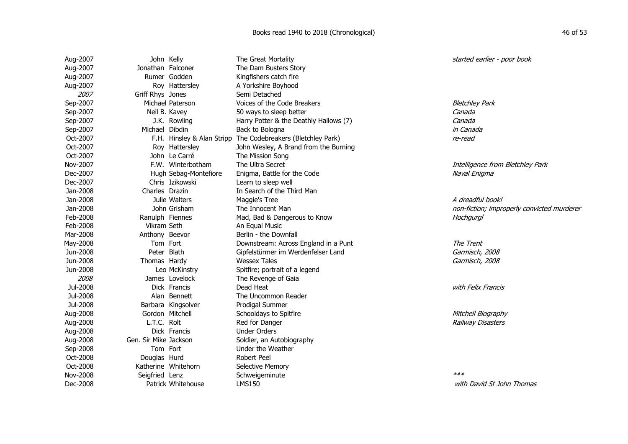| Aug-2007 | John Kelly            |                       | The Great Mortality                                          | started earlier - poor book                |
|----------|-----------------------|-----------------------|--------------------------------------------------------------|--------------------------------------------|
| Aug-2007 | Jonathan Falconer     |                       | The Dam Busters Story                                        |                                            |
| Aug-2007 |                       | Rumer Godden          | Kingfishers catch fire                                       |                                            |
| Aug-2007 |                       | Roy Hattersley        | A Yorkshire Boyhood                                          |                                            |
| 2007     | Griff Rhys Jones      |                       | Semi Detached                                                |                                            |
| Sep-2007 |                       | Michael Paterson      | Voices of the Code Breakers                                  | <b>Bletchley Park</b>                      |
| Sep-2007 |                       | Neil B. Kavey         | 50 ways to sleep better                                      | Canada                                     |
| Sep-2007 |                       | J.K. Rowling          | Harry Potter & the Deathly Hallows (7)                       | Canada                                     |
| Sep-2007 | Michael Dibdin        |                       | Back to Bologna                                              | in Canada                                  |
| Oct-2007 |                       |                       | F.H. Hinsley & Alan Stripp The Codebreakers (Bletchley Park) | re-read                                    |
| Oct-2007 |                       | Roy Hattersley        | John Wesley, A Brand from the Burning                        |                                            |
| Oct-2007 |                       | John Le Carré         | The Mission Song                                             |                                            |
| Nov-2007 |                       | F.W. Winterbotham     | The Ultra Secret                                             | Intelligence from Bletchley Park           |
| Dec-2007 |                       | Hugh Sebag-Montefiore | Enigma, Battle for the Code                                  | Naval Enigma                               |
| Dec-2007 |                       | Chris Izikowski       | Learn to sleep well                                          |                                            |
| Jan-2008 | Charles Drazin        |                       | In Search of the Third Man                                   |                                            |
| Jan-2008 |                       | Julie Walters         | Maggie's Tree                                                | A dreadful book!                           |
| Jan-2008 |                       | John Grisham          | The Innocent Man                                             | non-fiction; improperly convicted murderer |
| Feb-2008 | Ranulph Fiennes       |                       | Mad, Bad & Dangerous to Know                                 | Hochgurgl                                  |
| Feb-2008 | Vikram Seth           |                       | An Equal Music                                               |                                            |
| Mar-2008 | Anthony Beevor        |                       | Berlin - the Downfall                                        |                                            |
| May-2008 | Tom Fort              |                       | Downstream: Across England in a Punt                         | The Trent                                  |
| Jun-2008 | Peter Blath           |                       | Gipfelstürmer im Werdenfelser Land                           | Garmisch, 2008                             |
| Jun-2008 | Thomas Hardy          |                       | <b>Wessex Tales</b>                                          | Garmisch, 2008                             |
| Jun-2008 |                       | Leo McKinstry         | Spitfire; portrait of a legend                               |                                            |
| 2008     |                       | James Lovelock        | The Revenge of Gaia                                          |                                            |
| Jul-2008 |                       | Dick Francis          | Dead Heat                                                    | with Felix Francis                         |
| Jul-2008 |                       | Alan Bennett          | The Uncommon Reader                                          |                                            |
| Jul-2008 |                       | Barbara Kingsolver    | Prodigal Summer                                              |                                            |
| Aug-2008 | Gordon Mitchell       |                       | Schooldays to Spitfire                                       | Mitchell Biography                         |
| Aug-2008 | L.T.C. Rolt           |                       | Red for Danger                                               | <b>Railway Disasters</b>                   |
| Aug-2008 |                       | Dick Francis          | <b>Under Orders</b>                                          |                                            |
| Aug-2008 | Gen. Sir Mike Jackson |                       | Soldier, an Autobiography                                    |                                            |
| Sep-2008 | Tom Fort              |                       | Under the Weather                                            |                                            |
| Oct-2008 | Douglas Hurd          |                       | <b>Robert Peel</b>                                           |                                            |
| Oct-2008 |                       | Katherine Whitehorn   | Selective Memory                                             |                                            |
| Nov-2008 | Seigfried Lenz        |                       | Schweigeminute                                               | $***$                                      |
| Dec-2008 |                       | Patrick Whitehouse    | <b>LMS150</b>                                                | with David St John Thomas                  |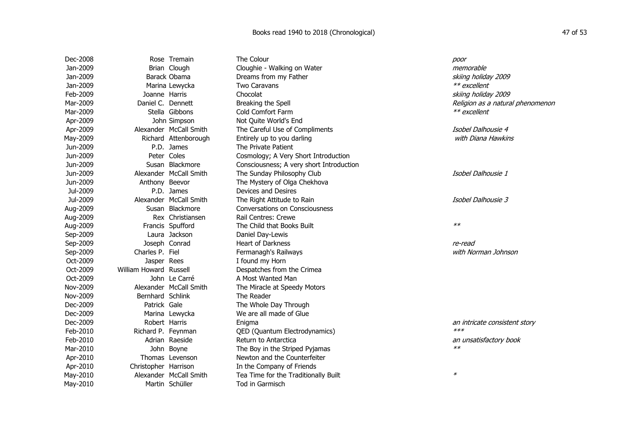| Dec-2008 |                        | Rose Tremain           | The Colour                               | poor                             |
|----------|------------------------|------------------------|------------------------------------------|----------------------------------|
| Jan-2009 |                        | Brian Clough           | Cloughie - Walking on Water              | memorable                        |
| Jan-2009 |                        | Barack Obama           | Dreams from my Father                    | skiing holiday 2009              |
| Jan-2009 |                        | Marina Lewycka         | Two Caravans                             | ** excellent                     |
| Feb-2009 | Joanne Harris          |                        | Chocolat                                 | skiing holiday 2009              |
| Mar-2009 | Daniel C. Dennett      |                        | Breaking the Spell                       | Religion as a natural phenomenon |
| Mar-2009 |                        | Stella Gibbons         | Cold Comfort Farm                        | ** excellent                     |
| Apr-2009 |                        | John Simpson           | Not Quite World's End                    |                                  |
| Apr-2009 |                        | Alexander McCall Smith | The Careful Use of Compliments           | Isobel Dalhousie 4               |
| May-2009 |                        | Richard Attenborough   | Entirely up to you darling               | with Diana Hawkins               |
| Jun-2009 |                        | P.D. James             | The Private Patient                      |                                  |
| Jun-2009 |                        | Peter Coles            | Cosmology; A Very Short Introduction     |                                  |
| Jun-2009 |                        | Susan Blackmore        | Consciousness; A very short Introduction |                                  |
| Jun-2009 |                        | Alexander McCall Smith | The Sunday Philosophy Club               | Isobel Dalhousie 1               |
| Jun-2009 | Anthony Beevor         |                        | The Mystery of Olga Chekhova             |                                  |
| Jul-2009 |                        | P.D. James             | Devices and Desires                      |                                  |
| Jul-2009 |                        | Alexander McCall Smith | The Right Attitude to Rain               | Isobel Dalhousie 3               |
| Aug-2009 |                        | Susan Blackmore        | <b>Conversations on Consciousness</b>    |                                  |
| Aug-2009 |                        | Rex Christiansen       | Rail Centres: Crewe                      |                                  |
| Aug-2009 |                        | Francis Spufford       | The Child that Books Built               | $**$                             |
| Sep-2009 |                        | Laura Jackson          | Daniel Day-Lewis                         |                                  |
| Sep-2009 | Joseph Conrad          |                        | <b>Heart of Darkness</b>                 | re-read                          |
| Sep-2009 | Charles P. Fiel        |                        | Fermanagh's Railways                     | with Norman Johnson              |
| Oct-2009 | Jasper Rees            |                        | I found my Horn                          |                                  |
| Oct-2009 | William Howard Russell |                        | Despatches from the Crimea               |                                  |
| Oct-2009 |                        | John Le Carré          | A Most Wanted Man                        |                                  |
| Nov-2009 |                        | Alexander McCall Smith | The Miracle at Speedy Motors             |                                  |
| Nov-2009 | Bernhard Schlink       |                        | The Reader                               |                                  |
| Dec-2009 | Patrick Gale           |                        | The Whole Day Through                    |                                  |
| Dec-2009 |                        | Marina Lewycka         | We are all made of Glue                  |                                  |
| Dec-2009 | Robert Harris          |                        | Enigma                                   | an intricate consistent story    |
| Feb-2010 | Richard P. Feynman     |                        | QED (Quantum Electrodynamics)            | $***$                            |
| Feb-2010 |                        | Adrian Raeside         | Return to Antarctica                     | an unsatisfactory book           |
| Mar-2010 |                        | John Boyne             | The Boy in the Striped Pyjamas           | $**$                             |
| Apr-2010 |                        | Thomas Levenson        | Newton and the Counterfeiter             |                                  |
| Apr-2010 | Christopher Harrison   |                        | In the Company of Friends                |                                  |
| May-2010 |                        | Alexander McCall Smith | Tea Time for the Traditionally Built     | $\ast$                           |
| May-2010 |                        | Martin Schüller        | Tod in Garmisch                          |                                  |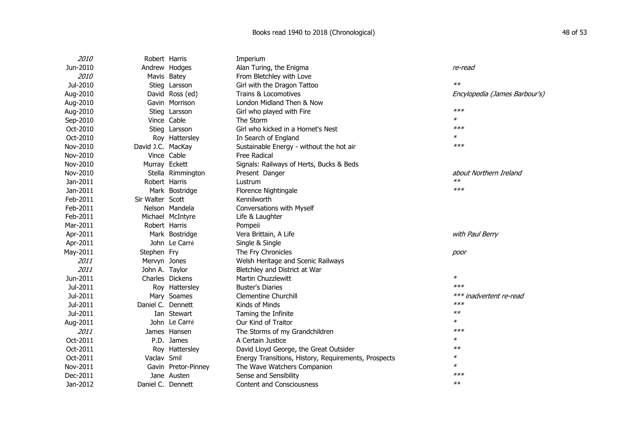| <i>2010</i> | Robert Harris     |                     | Imperium                                             |                               |
|-------------|-------------------|---------------------|------------------------------------------------------|-------------------------------|
| Jun-2010    |                   | Andrew Hodges       | Alan Turing, the Enigma                              | re-read                       |
| 2010        |                   | Mavis Batey         | From Bletchley with Love                             |                               |
| Jul-2010    |                   | Stieg Larsson       | Girl with the Dragon Tattoo                          | $**$                          |
| Aug-2010    |                   | David Ross (ed)     | Trains & Locomotives                                 | Encylopedia (James Barbour's) |
| Aug-2010    |                   | Gavin Morrison      | London Midland Then & Now                            |                               |
| Aug-2010    |                   | Stieg Larsson       | Girl who played with Fire                            | $***$                         |
| Sep-2010    |                   | Vince Cable         | The Storm                                            | ∗                             |
| Oct-2010    |                   | Stieg Larsson       | Girl who kicked in a Hornet's Nest                   | $***$                         |
| Oct-2010    |                   | Roy Hattersley      | In Search of England                                 | $\ast$                        |
| Nov-2010    | David J.C. MacKay |                     | Sustainable Energy - without the hot air             | $***$                         |
| Nov-2010    |                   | Vince Cable         | <b>Free Radical</b>                                  |                               |
| Nov-2010    | Murray Eckett     |                     | Signals: Railways of Herts, Bucks & Beds             |                               |
| Nov-2010    |                   | Stella Rimmington   | Present Danger                                       | about Northern Ireland        |
| Jan-2011    | Robert Harris     |                     | Lustrum                                              | $**$                          |
| Jan-2011    |                   | Mark Bostridge      | Florence Nightingale                                 | $***$                         |
| Feb-2011    | Sir Walter Scott  |                     | Kennilworth                                          |                               |
| Feb-2011    |                   | Nelson Mandela      | Conversations with Myself                            |                               |
| Feb-2011    |                   | Michael McIntyre    | Life & Laughter                                      |                               |
| Mar-2011    | Robert Harris     |                     | Pompeii                                              |                               |
| Apr-2011    |                   | Mark Bostridge      | Vera Brittain, A Life                                | with Paul Berry               |
| Apr-2011    |                   | John Le Carré       | Single & Single                                      |                               |
| May-2011    | Stephen Fry       |                     | The Fry Chronicles                                   | poor                          |
| 2011        | Mervyn Jones      |                     | Welsh Heritage and Scenic Railways                   |                               |
| 2011        | John A. Taylor    |                     | Bletchley and District at War                        |                               |
| Jun-2011    |                   | Charles Dickens     | Martin Chuzzlewitt                                   | *                             |
| Jul-2011    |                   | Roy Hattersley      | <b>Buster's Diaries</b>                              | $***$                         |
| Jul-2011    |                   | Mary Soames         | <b>Clementine Churchill</b>                          | *** inadvertent re-read       |
| Jul-2011    | Daniel C. Dennett |                     | Kinds of Minds                                       | $***$                         |
| Jul-2011    |                   | Ian Stewart         | Taming the Infinite                                  | $**$                          |
| Aug-2011    |                   | John Le Carré       | Our Kind of Traitor                                  | $\ast$                        |
| 2011        |                   | James Hansen        | The Storms of my Grandchildren                       | $***$                         |
| Oct-2011    |                   | P.D. James          | A Certain Justice                                    | $\ast$                        |
| Oct-2011    |                   | Roy Hattersley      | David Lloyd George, the Great Outsider               | $**$                          |
| Oct-2011    | Vaclav Smil       |                     | Energy Transitions, History, Requirements, Prospects | $\ast$                        |
| Nov-2011    |                   | Gavin Pretor-Pinney | The Wave Watchers Companion                          | *                             |
| Dec-2011    |                   | Jane Austen         | Sense and Sensibility                                | $***$                         |
| Jan-2012    | Daniel C. Dennett |                     | <b>Content and Consciousness</b>                     | $**$                          |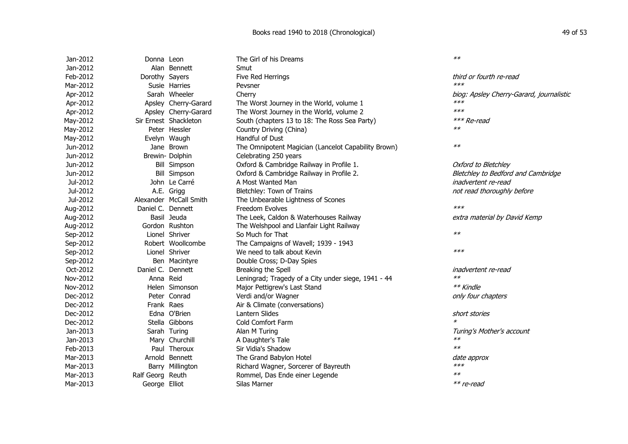| Jan-2012 | Donna Leon        |                        | The Girl of his Dreams                              | $**$                                     |
|----------|-------------------|------------------------|-----------------------------------------------------|------------------------------------------|
| Jan-2012 |                   | Alan Bennett           | Smut                                                |                                          |
| Feb-2012 | Dorothy Sayers    |                        | Five Red Herrings                                   | third or fourth re-read                  |
| Mar-2012 |                   | Susie Harries          | Pevsner                                             | $***$                                    |
| Apr-2012 |                   | Sarah Wheeler          | Cherry                                              | biog: Apsley Cherry-Garard, journalistic |
| Apr-2012 |                   | Apsley Cherry-Garard   | The Worst Journey in the World, volume 1            | $***$                                    |
| Apr-2012 |                   | Apsley Cherry-Garard   | The Worst Journey in the World, volume 2            | $***$                                    |
| May-2012 |                   | Sir Ernest Shackleton  | South (chapters 13 to 18: The Ross Sea Party)       | *** Re-read                              |
| May-2012 |                   | Peter Hessler          | Country Driving (China)                             | $**$                                     |
| May-2012 |                   | Evelyn Waugh           | Handful of Dust                                     |                                          |
| Jun-2012 |                   | Jane Brown             | The Omnipotent Magician (Lancelot Capability Brown) | $**$                                     |
| Jun-2012 |                   | Brewin-Dolphin         | Celebrating 250 years                               |                                          |
| Jun-2012 |                   | <b>Bill Simpson</b>    | Oxford & Cambridge Railway in Profile 1.            | Oxford to Bletchley                      |
| Jun-2012 |                   | <b>Bill Simpson</b>    | Oxford & Cambridge Railway in Profile 2.            | Bletchley to Bedford and Cambridge       |
| Jul-2012 |                   | John Le Carré          | A Most Wanted Man                                   | inadvertent re-read                      |
| Jul-2012 |                   | A.E. Grigg             | Bletchley: Town of Trains                           | not read thoroughly before               |
| Jul-2012 |                   | Alexander McCall Smith | The Unbearable Lightness of Scones                  |                                          |
| Aug-2012 | Daniel C. Dennett |                        | Freedom Evolves                                     | $***$                                    |
| Aug-2012 |                   | Basil Jeuda            | The Leek, Caldon & Waterhouses Railway              | extra material by David Kemp             |
| Aug-2012 |                   | Gordon Rushton         | The Welshpool and Llanfair Light Railway            |                                          |
| Sep-2012 |                   | Lionel Shriver         | So Much for That                                    | $**$                                     |
| Sep-2012 |                   | Robert Woollcombe      | The Campaigns of Wavell; 1939 - 1943                |                                          |
| Sep-2012 |                   | Lionel Shriver         | We need to talk about Kevin                         | $***$                                    |
| Sep-2012 |                   | Ben Macintyre          | Double Cross; D-Day Spies                           |                                          |
| Oct-2012 | Daniel C. Dennett |                        | Breaking the Spell                                  | inadvertent re-read                      |
| Nov-2012 | Anna Reid         |                        | Leningrad; Tragedy of a City under siege, 1941 - 44 | $**$                                     |
| Nov-2012 |                   | Helen Simonson         | Major Pettigrew's Last Stand                        | ** Kindle                                |
| Dec-2012 |                   | Peter Conrad           | Verdi and/or Wagner                                 | only four chapters                       |
| Dec-2012 | Frank Raes        |                        | Air & Climate (conversations)                       |                                          |
| Dec-2012 |                   | Edna O'Brien           | <b>Lantern Slides</b>                               | short stories                            |
| Dec-2012 |                   | Stella Gibbons         | Cold Comfort Farm                                   | $\ast$                                   |
| Jan-2013 |                   | Sarah Turing           | Alan M Turing                                       | Turing's Mother's account                |
| Jan-2013 |                   | Mary Churchill         | A Daughter's Tale                                   | $**$                                     |
| Feb-2013 |                   | Paul Theroux           | Sir Vidia's Shadow                                  | $**$                                     |
| Mar-2013 |                   | Arnold Bennett         | The Grand Babylon Hotel                             | date approx                              |
| Mar-2013 |                   | Barry Millington       | Richard Wagner, Sorcerer of Bayreuth                | $***$                                    |
| Mar-2013 | Ralf Georg Reuth  |                        | Rommel, Das Ende einer Legende                      | $**$                                     |
| Mar-2013 | George Elliot     |                        | Silas Marner                                        | $**$ re-read                             |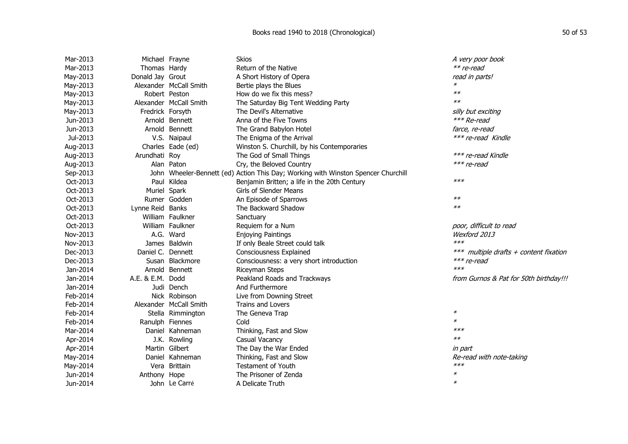| Mar-2013 | Michael Frayne    |                        | <b>Skios</b>                                                                      | A very poor book                       |
|----------|-------------------|------------------------|-----------------------------------------------------------------------------------|----------------------------------------|
| Mar-2013 | Thomas Hardy      |                        | Return of the Native                                                              | ** re-read                             |
| May-2013 | Donald Jay Grout  |                        | A Short History of Opera                                                          | read in parts!                         |
| May-2013 |                   | Alexander McCall Smith | Bertie plays the Blues                                                            |                                        |
| May-2013 |                   | Robert Peston          | How do we fix this mess?                                                          | $**$                                   |
| May-2013 |                   | Alexander McCall Smith | The Saturday Big Tent Wedding Party                                               | $**$                                   |
| May-2013 | Fredrick Forsyth  |                        | The Devil's Alternative                                                           | silly but exciting                     |
| Jun-2013 |                   | Arnold Bennett         | Anna of the Five Towns                                                            | *** Re-read                            |
| Jun-2013 |                   | Arnold Bennett         | The Grand Babylon Hotel                                                           | farce, re-read                         |
| Jul-2013 |                   | V.S. Naipaul           | The Enigma of the Arrival                                                         | *** re-read Kindle                     |
| Aug-2013 |                   | Charles Eade (ed)      | Winston S. Churchill, by his Contemporaries                                       |                                        |
| Aug-2013 | Arundhati Roy     |                        | The God of Small Things                                                           | *** re-read Kindle                     |
| Aug-2013 |                   | Alan Paton             | Cry, the Beloved Country                                                          | $***$ re-read                          |
| Sep-2013 |                   |                        | John Wheeler-Bennett (ed) Action This Day; Working with Winston Spencer Churchill |                                        |
| Oct-2013 |                   | Paul Kildea            | Benjamin Britten; a life in the 20th Century                                      | $***$                                  |
| Oct-2013 | Muriel Spark      |                        | Girls of Slender Means                                                            |                                        |
| Oct-2013 |                   | Rumer Godden           | An Episode of Sparrows                                                            | $**$                                   |
| Oct-2013 | Lynne Reid Banks  |                        | The Backward Shadow                                                               | $**$                                   |
| Oct-2013 |                   | William Faulkner       | Sanctuary                                                                         |                                        |
| Oct-2013 |                   | William Faulkner       | Requiem for a Num                                                                 | poor, difficult to read                |
| Nov-2013 |                   | A.G. Ward              | <b>Enjoying Paintings</b>                                                         | Wexford 2013                           |
| Nov-2013 |                   | James Baldwin          | If only Beale Street could talk                                                   | $***$                                  |
| Dec-2013 | Daniel C. Dennett |                        | Consciousness Explained                                                           | *** multiple drafts + content fixation |
| Dec-2013 |                   | Susan Blackmore        | Consciousness: a very short introduction                                          | *** re-read                            |
| Jan-2014 |                   | Arnold Bennett         | Riceyman Steps                                                                    | $***$                                  |
| Jan-2014 | A.E. & E.M. Dodd  |                        | Peakland Roads and Trackways                                                      | from Gurnos & Pat for 50th birthday!!! |
| Jan-2014 |                   | Judi Dench             | And Furthermore                                                                   |                                        |
| Feb-2014 |                   | Nick Robinson          | Live from Downing Street                                                          |                                        |
| Feb-2014 |                   | Alexander McCall Smith | <b>Trains and Lovers</b>                                                          |                                        |
| Feb-2014 |                   | Stella Rimmington      | The Geneva Trap                                                                   | $\pmb{\ast}$                           |
| Feb-2014 | Ranulph Fiennes   |                        | Cold                                                                              | $\ast$                                 |
| Mar-2014 |                   | Daniel Kahneman        | Thinking, Fast and Slow                                                           | $***$                                  |
| Apr-2014 |                   | J.K. Rowling           | Casual Vacancy                                                                    | $**$                                   |
| Apr-2014 |                   | Martin Gilbert         | The Day the War Ended                                                             | in part                                |
| May-2014 |                   | Daniel Kahneman        | Thinking, Fast and Slow                                                           | Re-read with note-taking               |
| May-2014 |                   | Vera Brittain          | <b>Testament of Youth</b>                                                         | $***$                                  |
| Jun-2014 | Anthony Hope      |                        | The Prisoner of Zenda                                                             | $\ast$                                 |
| Jun-2014 |                   | John Le Carré          | A Delicate Truth                                                                  | $\ast$                                 |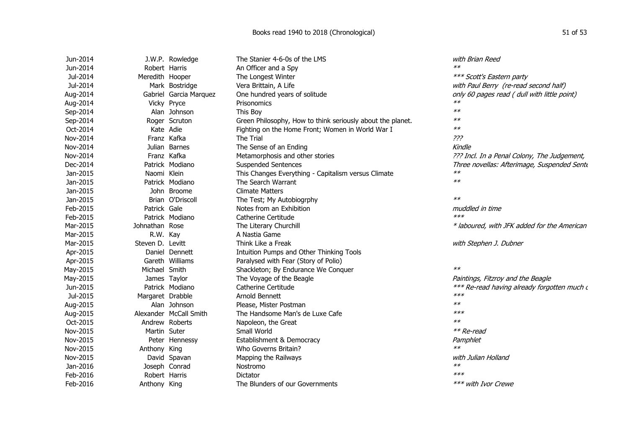| Jun-2014 |                  | J.W.P. Rowledge        | The Stanier 4-6-0s of the LMS                              | with Brian Reed                              |
|----------|------------------|------------------------|------------------------------------------------------------|----------------------------------------------|
| Jun-2014 | Robert Harris    |                        | An Officer and a Spy                                       | $**$                                         |
| Jul-2014 | Meredith Hooper  |                        | The Longest Winter                                         | *** Scott's Eastern party                    |
| Jul-2014 |                  | Mark Bostridge         | Vera Brittain, A Life                                      | with Paul Berry (re-read second half)        |
| Aug-2014 |                  | Gabriel Garcia Marquez | One hundred years of solitude                              | only 60 pages read ( dull with little point) |
| Aug-2014 |                  | Vicky Pryce            | Prisonomics                                                | $**$                                         |
| Sep-2014 |                  | Alan Johnson           | This Boy                                                   | $**$                                         |
| Sep-2014 |                  | Roger Scruton          | Green Philosophy, How to think seriously about the planet. | $**$                                         |
| Oct-2014 | Kate Adie        |                        | Fighting on the Home Front; Women in World War I           | $**$                                         |
| Nov-2014 |                  | Franz Kafka            | The Trial                                                  | ???                                          |
| Nov-2014 |                  | Julian Barnes          | The Sense of an Ending                                     | Kindle                                       |
| Nov-2014 |                  | Franz Kafka            | Metamorphosis and other stories                            | ??? Incl. In a Penal Colony, The Judgement,  |
| Dec-2014 |                  | Patrick Modiano        | <b>Suspended Sentences</b>                                 | Three novellas: Afterimage, Suspended Sente  |
| Jan-2015 | Naomi Klein      |                        | This Changes Everything - Capitalism versus Climate        | $**$                                         |
| Jan-2015 |                  | Patrick Modiano        | The Search Warrant                                         | $**$                                         |
| Jan-2015 |                  | John Broome            | <b>Climate Matters</b>                                     |                                              |
| Jan-2015 |                  | Brian O'Driscoll       | The Test; My Autobiogrphy                                  | $**$                                         |
| Feb-2015 | Patrick Gale     |                        | Notes from an Exhibition                                   | muddled in time                              |
| Feb-2015 |                  | Patrick Modiano        | Catherine Certitude                                        | $***$                                        |
| Mar-2015 | Johnathan Rose   |                        | The Literary Churchill                                     | * laboured, with JFK added for the American  |
| Mar-2015 | R.W. Kay         |                        | A Nastia Game                                              |                                              |
| Mar-2015 | Steven D. Levitt |                        | Think Like a Freak                                         | with Stephen J. Dubner                       |
| Apr-2015 |                  | Daniel Dennett         | Intuition Pumps and Other Thinking Tools                   |                                              |
| Apr-2015 |                  | Gareth Williams        | Paralysed with Fear (Story of Polio)                       |                                              |
| May-2015 | Michael Smith    |                        | Shackleton; By Endurance We Conquer                        | $**$                                         |
| May-2015 |                  | James Taylor           | The Voyage of the Beagle                                   | Paintings, Fitzroy and the Beagle            |
| Jun-2015 |                  | Patrick Modiano        | Catherine Certitude                                        | *** Re-read having already forgotten much d  |
| Jul-2015 | Margaret Drabble |                        | Arnold Bennett                                             | $***$                                        |
| Aug-2015 |                  | Alan Johnson           | Please, Mister Postman                                     | $**$                                         |
| Aug-2015 |                  | Alexander McCall Smith | The Handsome Man's de Luxe Cafe                            | $***$                                        |
| Oct-2015 |                  | Andrew Roberts         | Napoleon, the Great                                        | $**$                                         |
| Nov-2015 | Martin Suter     |                        | Small World                                                | ** Re-read                                   |
| Nov-2015 |                  | Peter Hennessy         | Establishment & Democracy                                  | Pamphlet                                     |
| Nov-2015 | Anthony King     |                        | Who Governs Britain?                                       | $**$                                         |
| Nov-2015 |                  | David Spavan           | Mapping the Railways                                       | with Julian Holland                          |
| Jan-2016 |                  | Joseph Conrad          | Nostromo                                                   | $**$                                         |
| Feb-2016 | Robert Harris    |                        | Dictator                                                   | $***$                                        |
| Feb-2016 | Anthony King     |                        | The Blunders of our Governments                            | *** with Ivor Crewe                          |
|          |                  |                        |                                                            |                                              |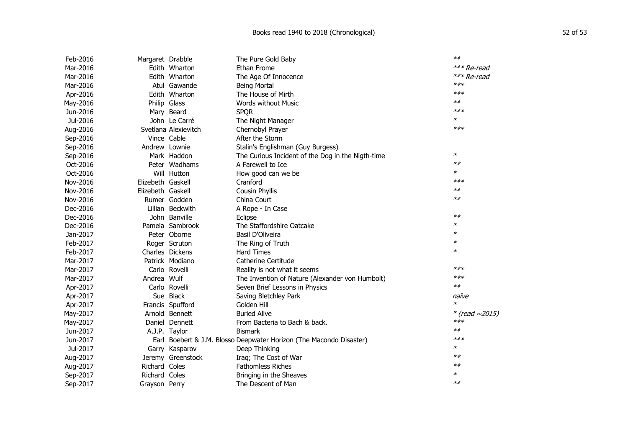| Feb-2016 | Margaret Drabble  |                      | The Pure Gold Baby                                                  | $**$                 |
|----------|-------------------|----------------------|---------------------------------------------------------------------|----------------------|
| Mar-2016 |                   | Edith Wharton        | Ethan Frome                                                         | *** Re-read          |
| Mar-2016 |                   | Edith Wharton        | The Age Of Innocence                                                | *** Re-read          |
| Mar-2016 |                   | Atul Gawande         | <b>Being Mortal</b>                                                 | ***                  |
| Apr-2016 |                   | Edith Wharton        | The House of Mirth                                                  | $***$                |
| May-2016 |                   | Philip Glass         | <b>Words without Music</b>                                          | $**$                 |
| Jun-2016 |                   | Mary Beard           | <b>SPQR</b>                                                         | $***$                |
| Jul-2016 |                   | John Le Carré        | The Night Manager                                                   | ∗                    |
| Aug-2016 |                   | Svetlana Alexievitch | Chernobyl Prayer                                                    | $***$                |
| Sep-2016 |                   | Vince Cable          | After the Storm                                                     |                      |
| Sep-2016 | Andrew Lownie     |                      | Stalin's Englishman (Guy Burgess)                                   |                      |
| Sep-2016 |                   | Mark Haddon          | The Curious Incident of the Dog in the Nigth-time                   | $\ast$               |
| Oct-2016 |                   | Peter Wadhams        | A Farewell to Ice                                                   | $**$                 |
| Oct-2016 |                   | Will Hutton          | How good can we be                                                  | $\ast$               |
| Nov-2016 | Elizebeth Gaskell |                      | Cranford                                                            | $***$                |
| Nov-2016 | Elizebeth Gaskell |                      | Cousin Phyllis                                                      | $**$                 |
| Nov-2016 |                   | Rumer Godden         | China Court                                                         | $**$                 |
| Dec-2016 |                   | Lillian Beckwith     | A Rope - In Case                                                    |                      |
| Dec-2016 |                   | John Banville        | Eclipse                                                             | $**$                 |
| Dec-2016 |                   | Pamela Sambrook      | The Staffordshire Oatcake                                           | ∗                    |
| Jan-2017 |                   | Peter Oborne         | Basil D'Oliveira                                                    | $\ast$               |
| Feb-2017 |                   | Roger Scruton        | The Ring of Truth                                                   | $\ast$               |
| Feb-2017 |                   | Charles Dickens      | <b>Hard Times</b>                                                   | $\ast$               |
| Mar-2017 |                   | Patrick Modiano      | Catherine Certitude                                                 |                      |
| Mar-2017 |                   | Carlo Rovelli        | Reality is not what it seems                                        | $***$                |
| Mar-2017 | Andrea Wulf       |                      | The Invention of Nature (Alexander von Humbolt)                     | $***$                |
| Apr-2017 |                   | Carlo Rovelli        | Seven Brief Lessons in Physics                                      | $**$                 |
| Apr-2017 |                   | Sue Black            | Saving Bletchley Park                                               | naïve                |
| Apr-2017 |                   | Francis Spufford     | Golden Hill                                                         | $\ast$               |
| May-2017 |                   | Arnold Bennett       | <b>Buried Alive</b>                                                 | * (read $\sim$ 2015) |
| May-2017 |                   | Daniel Dennett       | From Bacteria to Bach & back.                                       | $***$                |
| Jun-2017 |                   | A.J.P. Taylor        | <b>Bismark</b>                                                      | $**$                 |
| Jun-2017 |                   |                      | Earl Boebert & J.M. Blosso Deepwater Horizon (The Macondo Disaster) | $***$                |
| Jul-2017 |                   | Garry Kasparov       | Deep Thinking                                                       | $\ast$               |
| Aug-2017 |                   | Jeremy Greenstock    | Iraq; The Cost of War                                               | $**$                 |
| Aug-2017 | Richard Coles     |                      | <b>Fathomless Riches</b>                                            | $**$                 |
| Sep-2017 | Richard Coles     |                      | Bringing in the Sheaves                                             | $\ast$               |
| Sep-2017 | Grayson Perry     |                      | The Descent of Man                                                  | $**$                 |